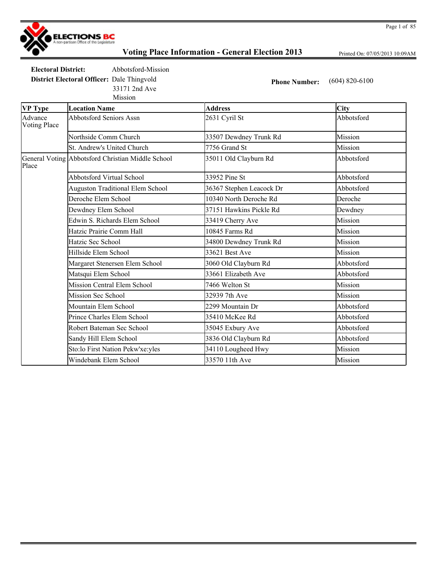

Printed On: 07/05/2013 10:09AM

**Electoral District:** Abbotsford-Mission **District Electoral Officer:** Dale Thingvold **Phone Number:** (604) 820-6100

Mission 33171 2nd Ave

| VP Type                        | <b>Location Name</b>                              | <b>Address</b>           | <b>City</b> |
|--------------------------------|---------------------------------------------------|--------------------------|-------------|
| Advance<br><b>Voting Place</b> | <b>Abbotsford Seniors Assn</b>                    | 2631 Cyril St            | Abbotsford  |
|                                | Northside Comm Church                             | 33507 Dewdney Trunk Rd   | Mission     |
|                                | St. Andrew's United Church                        | 7756 Grand St            | Mission     |
| Place                          | General Voting Abbotsford Christian Middle School | 35011 Old Clayburn Rd    | Abbotsford  |
|                                | <b>Abbotsford Virtual School</b>                  | 33952 Pine St            | Abbotsford  |
|                                | <b>Auguston Traditional Elem School</b>           | 36367 Stephen Leacock Dr | Abbotsford  |
|                                | Deroche Elem School                               | 10340 North Deroche Rd   | Deroche     |
|                                | Dewdney Elem School                               | 37151 Hawkins Pickle Rd  | Dewdney     |
|                                | Edwin S. Richards Elem School                     | 33419 Cherry Ave         | Mission     |
|                                | Hatzic Prairie Comm Hall                          | 10845 Farms Rd           | Mission     |
|                                | Hatzic Sec School                                 | 34800 Dewdney Trunk Rd   | Mission     |
|                                | Hillside Elem School                              | 33621 Best Ave           | Mission     |
|                                | Margaret Stenersen Elem School                    | 3060 Old Clayburn Rd     | Abbotsford  |
|                                | Matsqui Elem School                               | 33661 Elizabeth Ave      | Abbotsford  |
|                                | <b>Mission Central Elem School</b>                | 7466 Welton St           | Mission     |
|                                | Mission Sec School                                | 32939 7th Ave            | Mission     |
|                                | Mountain Elem School                              | 2299 Mountain Dr         | Abbotsford  |
|                                | Prince Charles Elem School                        | 35410 McKee Rd           | Abbotsford  |
|                                | Robert Bateman Sec School                         | 35045 Exbury Ave         | Abbotsford  |
|                                | Sandy Hill Elem School                            | 3836 Old Clayburn Rd     | Abbotsford  |
|                                | Sto:lo First Nation Pekw'xe:yles                  | 34110 Lougheed Hwy       | Mission     |
|                                | Windebank Elem School                             | 33570 11th Ave           | Mission     |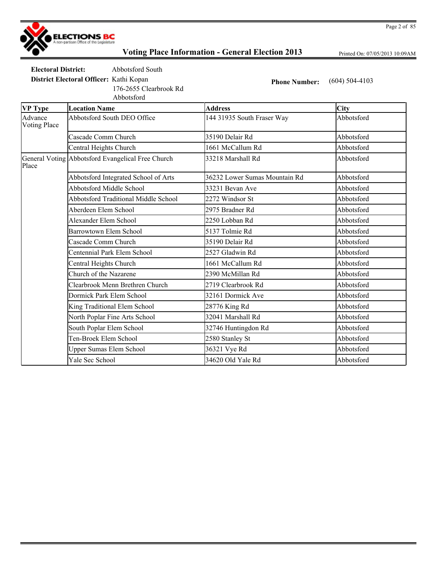

Printed On: 07/05/2013 10:09AM

**Electoral District:** Abbotsford South

176-2655 Clearbrook Rd

Abbotsford

**District Electoral Officer:** Kathi Kopan **Phone Number:** (604) 504-4103

| <b>VP</b> Type                 | <b>Location Name</b>                              | <b>Address</b>                | City       |
|--------------------------------|---------------------------------------------------|-------------------------------|------------|
| Advance<br><b>Voting Place</b> | Abbotsford South DEO Office                       | 144 31935 South Fraser Way    | Abbotsford |
|                                | Cascade Comm Church                               | 35190 Delair Rd               | Abbotsford |
|                                | Central Heights Church                            | 1661 McCallum Rd              | Abbotsford |
| Place                          | General Voting Abbotsford Evangelical Free Church | 33218 Marshall Rd             | Abbotsford |
|                                | Abbotsford Integrated School of Arts              | 36232 Lower Sumas Mountain Rd | Abbotsford |
|                                | Abbotsford Middle School                          | 33231 Bevan Ave               | Abbotsford |
|                                | <b>Abbotsford Traditional Middle School</b>       | 2272 Windsor St               | Abbotsford |
|                                | Aberdeen Elem School                              | 2975 Bradner Rd               | Abbotsford |
|                                | Alexander Elem School                             | 2250 Lobban Rd                | Abbotsford |
|                                | <b>Barrowtown Elem School</b>                     | 5137 Tolmie Rd                | Abbotsford |
|                                | Cascade Comm Church                               | 35190 Delair Rd               | Abbotsford |
|                                | Centennial Park Elem School                       | 2527 Gladwin Rd               | Abbotsford |
|                                | Central Heights Church                            | 1661 McCallum Rd              | Abbotsford |
|                                | Church of the Nazarene                            | 2390 McMillan Rd              | Abbotsford |
|                                | Clearbrook Menn Brethren Church                   | 2719 Clearbrook Rd            | Abbotsford |
|                                | Dormick Park Elem School                          | 32161 Dormick Ave             | Abbotsford |
|                                | King Traditional Elem School                      | 28776 King Rd                 | Abbotsford |
|                                | North Poplar Fine Arts School                     | 32041 Marshall Rd             | Abbotsford |
|                                | South Poplar Elem School                          | 32746 Huntingdon Rd           | Abbotsford |
|                                | Ten-Broek Elem School                             | 2580 Stanley St               | Abbotsford |
|                                | <b>Upper Sumas Elem School</b>                    | 36321 Vye Rd                  | Abbotsford |
|                                | Yale Sec School                                   | 34620 Old Yale Rd             | Abbotsford |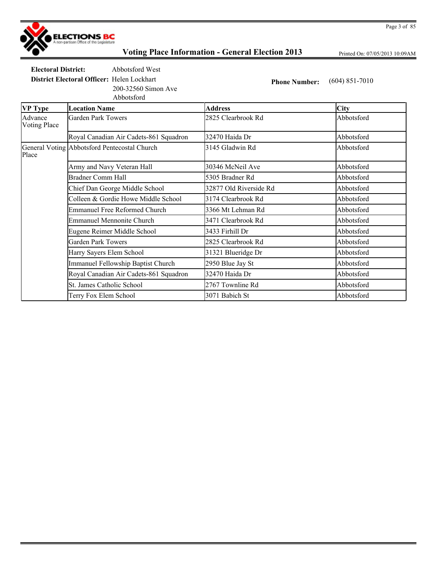

Printed On: 07/05/2013 10:09AM

**Electoral District:** Abbotsford West

200-32560 Simon Ave

**District Electoral Officer:** Helen Lockhart **Phone Number:** (604) 851-7010

|                         | Abbotsford                                   |                        |            |
|-------------------------|----------------------------------------------|------------------------|------------|
| <b>VP</b> Type          | <b>Location Name</b>                         | <b>Address</b>         | City       |
| Advance<br>Voting Place | Garden Park Towers                           | 2825 Clearbrook Rd     | Abbotsford |
|                         | Royal Canadian Air Cadets-861 Squadron       | 32470 Haida Dr         | Abbotsford |
| Place                   | General Voting Abbotsford Pentecostal Church | 3145 Gladwin Rd        | Abbotsford |
|                         | Army and Navy Veteran Hall                   | 30346 McNeil Ave       | Abbotsford |
|                         | <b>Bradner Comm Hall</b>                     | 5305 Bradner Rd        | Abbotsford |
|                         | Chief Dan George Middle School               | 32877 Old Riverside Rd | Abbotsford |
|                         | Colleen & Gordie Howe Middle School          | 3174 Clearbrook Rd     | Abbotsford |
|                         | <b>Emmanuel Free Reformed Church</b>         | 3366 Mt Lehman Rd      | Abbotsford |
|                         | <b>Emmanuel Mennonite Church</b>             | 3471 Clearbrook Rd     | Abbotsford |
|                         | Eugene Reimer Middle School                  | 3433 Firhill Dr        | Abbotsford |
|                         | Garden Park Towers                           | 2825 Clearbrook Rd     | Abbotsford |
|                         | Harry Sayers Elem School                     | 31321 Blueridge Dr     | Abbotsford |
|                         | <b>Immanuel Fellowship Baptist Church</b>    | 2950 Blue Jay St       | Abbotsford |
|                         | Royal Canadian Air Cadets-861 Squadron       | 32470 Haida Dr         | Abbotsford |
|                         | St. James Catholic School                    | 2767 Townline Rd       | Abbotsford |
|                         | Terry Fox Elem School                        | 3071 Babich St         | Abbotsford |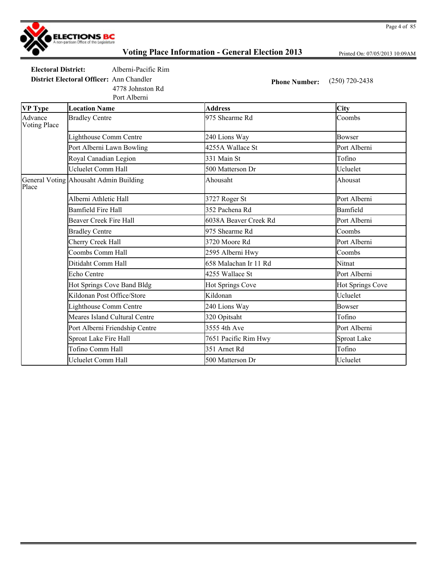

Printed On: 07/05/2013 10:09AM

**Electoral District:** Alberni-Pacific Rim

Port Alberni

4778 Johnston Rd

**District Electoral Officer:** Ann Chandler **Phone Number:** (250) 720-2438

| <b>VP</b> Type                 | <b>Location Name</b>                   | <b>Address</b>        | <b>City</b>      |
|--------------------------------|----------------------------------------|-----------------------|------------------|
| Advance<br><b>Voting Place</b> | <b>Bradley Centre</b>                  | 975 Shearme Rd        | Coombs           |
|                                | Lighthouse Comm Centre                 | 240 Lions Way         | <b>Bowser</b>    |
|                                | Port Alberni Lawn Bowling              | 4255A Wallace St      | Port Alberni     |
|                                | Royal Canadian Legion                  | 331 Main St           | Tofino           |
|                                | <b>Ucluelet Comm Hall</b>              | 500 Matterson Dr      | Ucluelet         |
| Place                          | General Voting Ahousaht Admin Building | Ahousaht              | Ahousat          |
|                                | Alberni Athletic Hall                  | 3727 Roger St         | Port Alberni     |
|                                | <b>Bamfield Fire Hall</b>              | 352 Pachena Rd        | Bamfield         |
|                                | <b>Beaver Creek Fire Hall</b>          | 6038A Beaver Creek Rd | Port Alberni     |
|                                | <b>Bradley Centre</b>                  | 975 Shearme Rd        | Coombs           |
|                                | Cherry Creek Hall                      | 3720 Moore Rd         | Port Alberni     |
|                                | Coombs Comm Hall                       | 2595 Alberni Hwy      | Coombs           |
|                                | Ditidaht Comm Hall                     | 658 Malachan Ir 11 Rd | Nitnat           |
|                                | Echo Centre                            | 4255 Wallace St       | Port Alberni     |
|                                | Hot Springs Cove Band Bldg             | Hot Springs Cove      | Hot Springs Cove |
|                                | Kildonan Post Office/Store             | Kildonan              | Ucluelet         |
|                                | Lighthouse Comm Centre                 | 240 Lions Way         | <b>Bowser</b>    |
|                                | Meares Island Cultural Centre          | 320 Opitsaht          | Tofino           |
|                                | Port Alberni Friendship Centre         | 3555 4th Ave          | Port Alberni     |
|                                | Sproat Lake Fire Hall                  | 7651 Pacific Rim Hwy  | Sproat Lake      |
|                                | Tofino Comm Hall                       | 351 Arnet Rd          | Tofino           |
|                                | Ucluelet Comm Hall                     | 500 Matterson Dr      | Ucluelet         |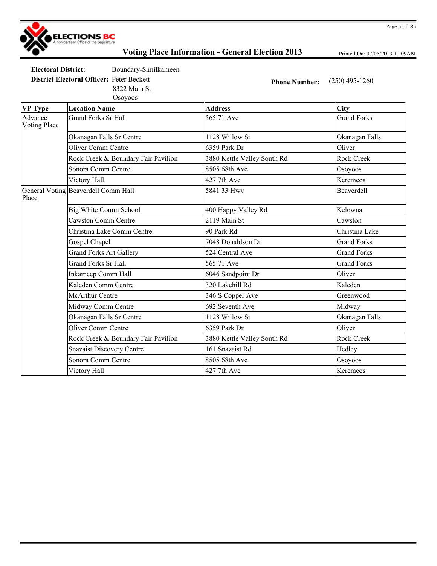

Printed On: 07/05/2013 10:09AM

**Electoral District:** Boundary-Similkameen **District Electoral Officer:** Peter Beckett **Phone Number:** (250) 495-1260

8322 Main St

|                                | Osoyoos                             |                             |                    |
|--------------------------------|-------------------------------------|-----------------------------|--------------------|
| <b>VP</b> Type                 | <b>Location Name</b>                | <b>Address</b>              | City               |
| Advance<br><b>Voting Place</b> | <b>Grand Forks Sr Hall</b>          | 565 71 Ave                  | <b>Grand Forks</b> |
|                                | Okanagan Falls Sr Centre            | 1128 Willow St              | Okanagan Falls     |
|                                | <b>Oliver Comm Centre</b>           | 6359 Park Dr                | Oliver             |
|                                | Rock Creek & Boundary Fair Pavilion | 3880 Kettle Valley South Rd | <b>Rock Creek</b>  |
|                                | Sonora Comm Centre                  | 8505 68th Ave               | Osoyoos            |
|                                | Victory Hall                        | 427 7th Ave                 | Keremeos           |
| Place                          | General Voting Beaverdell Comm Hall | 5841 33 Hwy                 | Beaverdell         |
|                                | Big White Comm School               | 400 Happy Valley Rd         | Kelowna            |
|                                | Cawston Comm Centre                 | 2119 Main St                | Cawston            |
|                                | Christina Lake Comm Centre          | 90 Park Rd                  | Christina Lake     |
|                                | Gospel Chapel                       | 7048 Donaldson Dr           | <b>Grand Forks</b> |
|                                | <b>Grand Forks Art Gallery</b>      | 524 Central Ave             | <b>Grand Forks</b> |
|                                | Grand Forks Sr Hall                 | 565 71 Ave                  | <b>Grand Forks</b> |
|                                | Inkameep Comm Hall                  | 6046 Sandpoint Dr           | Oliver             |
|                                | Kaleden Comm Centre                 | 320 Lakehill Rd             | Kaleden            |
|                                | <b>McArthur Centre</b>              | 346 S Copper Ave            | Greenwood          |
|                                | Midway Comm Centre                  | 692 Seventh Ave             | Midway             |
|                                | Okanagan Falls Sr Centre            | 1128 Willow St              | Okanagan Falls     |
|                                | <b>Oliver Comm Centre</b>           | 6359 Park Dr                | Oliver             |
|                                | Rock Creek & Boundary Fair Pavilion | 3880 Kettle Valley South Rd | <b>Rock Creek</b>  |
|                                | <b>Snazaist Discovery Centre</b>    | 161 Snazaist Rd             | Hedley             |
|                                | Sonora Comm Centre                  | 8505 68th Ave               | Osoyoos            |
|                                | Victory Hall                        | 427 7th Ave                 | Keremeos           |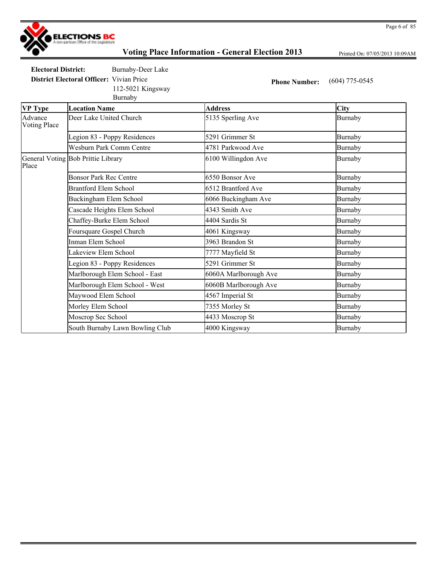

Printed On: 07/05/2013 10:09AM

**Electoral District:** Burnaby-Deer Lake

**District Electoral Officer:** Vivian Price **Phone Number:** (604) 775-0545 112-5021 Kingsway

Burnaby

**VP Type Location Name Address City** Advance Voting Place Deer Lake United Church 5135 Sperling Ave Burnaby Legion 83 - Poppy Residences 5291 Grimmer St Burnaby Wesburn Park Comm Centre 1781 Parkwood Ave Burnaby General Voting Bob Prittie Library Place 6100 Willingdon Ave Burnaby Bonsor Park Rec Centre 6550 Bonsor Ave Burnaby Brantford Elem School 6512 Brantford Ave Burnaby Buckingham Elem School **6066** Buckingham Ave Burnaby Cascade Heights Elem School **4343** Smith Ave **Burnaby** Burnaby Chaffey-Burke Elem School **4404 Sardis St** Burnaby Foursquare Gospel Church 1999 and 4061 Kingsway 1999 and Burnaby Inman Elem School **3963 Brandon St** Burnaby Lakeview Elem School 7777 Mayfield St Burnaby Legion 83 - Poppy Residences 5291 Grimmer St 5291 Burnaby Marlborough Elem School - East 6060A Marlborough Ave Burnaby Marlborough Elem School - West 6060B Marlborough Ave Burnaby Maywood Elem School **1567** Imperial St Burnaby Morley Elem School 7355 Morley St Burnaby Moscrop Sec School **4433 Moscrop St** Burnaby South Burnaby Lawn Bowling Club 4000 Kingsway and Burnaby Burnaby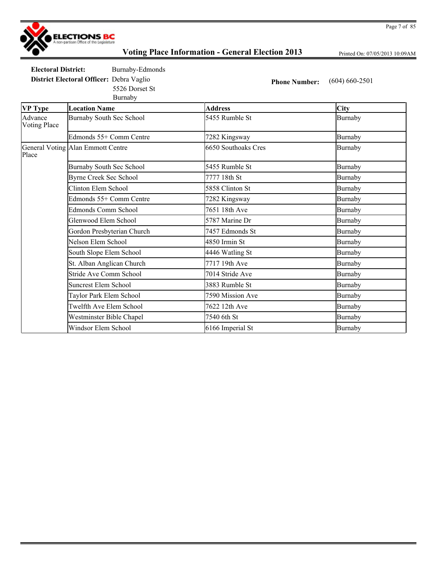

Printed On: 07/05/2013 10:09AM

**Electoral District:** Burnaby-Edmonds

5526 Dorset St

**District Electoral Officer:** Debra Vaglio **Phone Number:** (604) 660-2501

|                                | Burnaby                           |                     |                |
|--------------------------------|-----------------------------------|---------------------|----------------|
| <b>VP Type</b>                 | <b>Location Name</b>              | <b>Address</b>      | <b>City</b>    |
| Advance<br><b>Voting Place</b> | Burnaby South Sec School          | 5455 Rumble St      | Burnaby        |
|                                | Edmonds 55+ Comm Centre           | 7282 Kingsway       | <b>Burnaby</b> |
| Place                          | General Voting Alan Emmott Centre | 6650 Southoaks Cres | Burnaby        |
|                                | <b>Burnaby South Sec School</b>   | 5455 Rumble St      | Burnaby        |
|                                | <b>Byrne Creek Sec School</b>     | 7777 18th St        | Burnaby        |
|                                | Clinton Elem School               | 5858 Clinton St     | Burnaby        |
|                                | Edmonds 55+ Comm Centre           | 7282 Kingsway       | Burnaby        |
|                                | Edmonds Comm School               | 7651 18th Ave       | Burnaby        |
|                                | Glenwood Elem School              | 5787 Marine Dr      | Burnaby        |
|                                | Gordon Presbyterian Church        | 7457 Edmonds St     | Burnaby        |
|                                | Nelson Elem School                | 4850 Irmin St       | Burnaby        |
|                                | South Slope Elem School           | 4446 Watling St     | <b>Burnaby</b> |
|                                | St. Alban Anglican Church         | 7717 19th Ave       | Burnaby        |
|                                | <b>Stride Ave Comm School</b>     | 7014 Stride Ave     | <b>Burnaby</b> |
|                                | <b>Suncrest Elem School</b>       | 3883 Rumble St      | Burnaby        |
|                                | Taylor Park Elem School           | 7590 Mission Ave    | Burnaby        |
|                                | Twelfth Ave Elem School           | 7622 12th Ave       | <b>Burnaby</b> |
|                                | Westminster Bible Chapel          | 7540 6th St         | Burnaby        |
|                                | Windsor Elem School               | 6166 Imperial St    | Burnaby        |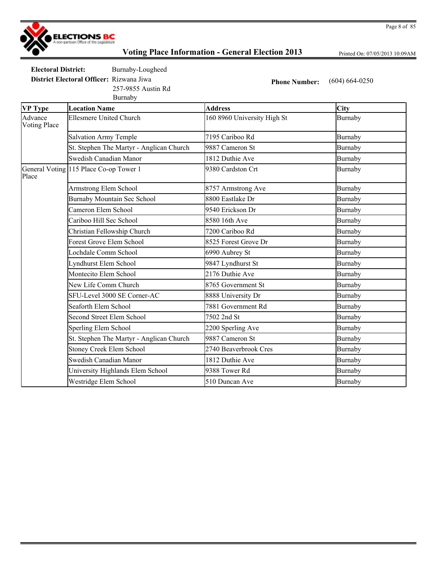

Printed On: 07/05/2013 10:09AM

**Electoral District:** Burnaby-Lougheed

**District Electoral Officer:** Rizwana Jiwa **Phone Number:** (604) 664-0250 257-9855 Austin Rd

|                         | Burnaby                                  |                             |                |
|-------------------------|------------------------------------------|-----------------------------|----------------|
| <b>VP Type</b>          | <b>Location Name</b>                     | <b>Address</b>              | City           |
| Advance<br>Voting Place | <b>Ellesmere United Church</b>           | 160 8960 University High St | Burnaby        |
|                         | <b>Salvation Army Temple</b>             | 7195 Cariboo Rd             | Burnaby        |
|                         | St. Stephen The Martyr - Anglican Church | 9887 Cameron St             | <b>Burnaby</b> |
|                         | Swedish Canadian Manor                   | 1812 Duthie Ave             | <b>Burnaby</b> |
| Place                   | General Voting 115 Place Co-op Tower 1   | 9380 Cardston Crt           | Burnaby        |
|                         | Armstrong Elem School                    | 8757 Armstrong Ave          | <b>Burnaby</b> |
|                         | Burnaby Mountain Sec School              | 8800 Eastlake Dr            | <b>Burnaby</b> |
|                         | Cameron Elem School                      | 9540 Erickson Dr            | Burnaby        |
|                         | Cariboo Hill Sec School                  | 8580 16th Ave               | <b>Burnaby</b> |
|                         | Christian Fellowship Church              | 7200 Cariboo Rd             | Burnaby        |
|                         | Forest Grove Elem School                 | 8525 Forest Grove Dr        | <b>Burnaby</b> |
|                         | Lochdale Comm School                     | 6990 Aubrey St              | <b>Burnaby</b> |
|                         | Lyndhurst Elem School                    | 9847 Lyndhurst St           | Burnaby        |
|                         | Montecito Elem School                    | 2176 Duthie Ave             | Burnaby        |
|                         | New Life Comm Church                     | 8765 Government St          | <b>Burnaby</b> |
|                         | SFU-Level 3000 SE Corner-AC              | 8888 University Dr          | Burnaby        |
|                         | Seaforth Elem School                     | 7881 Government Rd          | Burnaby        |
|                         | <b>Second Street Elem School</b>         | 7502 2nd St                 | <b>Burnaby</b> |
|                         | Sperling Elem School                     | 2200 Sperling Ave           | <b>Burnaby</b> |
|                         | St. Stephen The Martyr - Anglican Church | 9887 Cameron St             | Burnaby        |
|                         | <b>Stoney Creek Elem School</b>          | 2740 Beaverbrook Cres       | Burnaby        |
|                         | Swedish Canadian Manor                   | 1812 Duthie Ave             | <b>Burnaby</b> |
|                         | University Highlands Elem School         | 9388 Tower Rd               | <b>Burnaby</b> |
|                         | Westridge Elem School                    | 510 Duncan Ave              | <b>Burnaby</b> |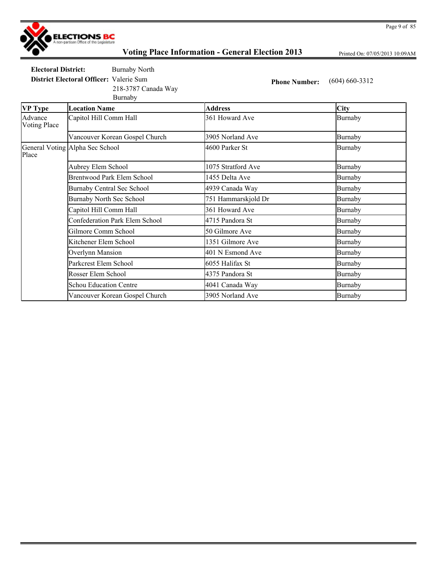

Printed On: 07/05/2013 10:09AM

**Electoral District:** Burnaby North **District Electoral Officer:** Valerie Sum **Phone Number:** (604) 660-3312

218-3787 Canada Way

Burnaby

| <b>VP Type</b>                 | <b>Location Name</b>                  | <b>Address</b>      | City           |
|--------------------------------|---------------------------------------|---------------------|----------------|
| Advance<br><b>Voting Place</b> | Capitol Hill Comm Hall                | 361 Howard Ave      | <b>Burnaby</b> |
|                                | Vancouver Korean Gospel Church        | 3905 Norland Ave    | <b>Burnaby</b> |
| Place                          | General Voting Alpha Sec School       | 4600 Parker St      | Burnaby        |
|                                | Aubrey Elem School                    | 1075 Stratford Ave  | Burnaby        |
|                                | Brentwood Park Elem School            | 1455 Delta Ave      | Burnaby        |
|                                | Burnaby Central Sec School            | 4939 Canada Way     | Burnaby        |
|                                | <b>Burnaby North Sec School</b>       | 751 Hammarskjold Dr | Burnaby        |
|                                | Capitol Hill Comm Hall                | 361 Howard Ave      | Burnaby        |
|                                | <b>Confederation Park Elem School</b> | 4715 Pandora St     | Burnaby        |
|                                | Gilmore Comm School                   | 50 Gilmore Ave      | <b>Burnaby</b> |
|                                | Kitchener Elem School                 | 1351 Gilmore Ave    | <b>Burnaby</b> |
|                                | Overlynn Mansion                      | 401 N Esmond Ave    | <b>Burnaby</b> |
|                                | Parkcrest Elem School                 | 6055 Halifax St     | Burnaby        |
|                                | Rosser Elem School                    | 4375 Pandora St     | <b>Burnaby</b> |
|                                | <b>Schou Education Centre</b>         | 4041 Canada Way     | Burnaby        |
|                                | Vancouver Korean Gospel Church        | 3905 Norland Ave    | Burnaby        |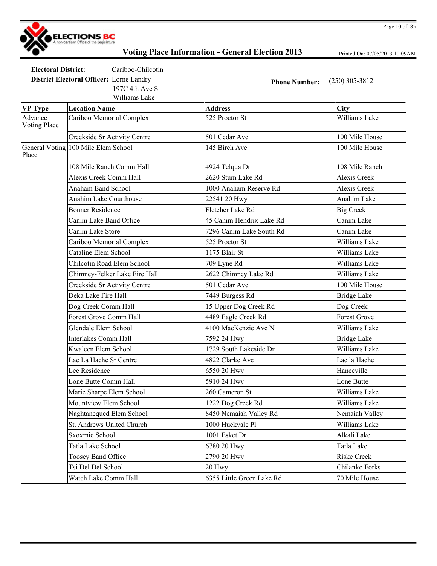

Printed On: 07/05/2013 10:09AM

Page 10 of 85

**Electoral District:** Cariboo-Chilcotin

Williams Lake 197C 4th Ave S

**District Electoral Officer:** Lorne Landry **Phone Number:** (250) 305-3812

| <b>VP Type</b>                 | <b>Location Name</b>                | <b>Address</b>            | City                |
|--------------------------------|-------------------------------------|---------------------------|---------------------|
| Advance<br><b>Voting Place</b> | Cariboo Memorial Complex            | 525 Proctor St            | Williams Lake       |
|                                | Creekside Sr Activity Centre        | 501 Cedar Ave             | 100 Mile House      |
| Place                          | General Voting 100 Mile Elem School | 145 Birch Ave             | 100 Mile House      |
|                                | 108 Mile Ranch Comm Hall            | 4924 Telqua Dr            | 108 Mile Ranch      |
|                                | Alexis Creek Comm Hall              | 2620 Stum Lake Rd         | Alexis Creek        |
|                                | <b>Anaham Band School</b>           | 1000 Anaham Reserve Rd    | <b>Alexis Creek</b> |
|                                | Anahim Lake Courthouse              | 22541 20 Hwy              | Anahim Lake         |
|                                | <b>Bonner Residence</b>             | Fletcher Lake Rd          | <b>Big Creek</b>    |
|                                | Canim Lake Band Office              | 45 Canim Hendrix Lake Rd  | Canim Lake          |
|                                | Canim Lake Store                    | 7296 Canim Lake South Rd  | Canim Lake          |
|                                | Cariboo Memorial Complex            | 525 Proctor St            | Williams Lake       |
|                                | Cataline Elem School                | 1175 Blair St             | Williams Lake       |
|                                | Chilcotin Road Elem School          | 709 Lyne Rd               | Williams Lake       |
|                                | Chimney-Felker Lake Fire Hall       | 2622 Chimney Lake Rd      | Williams Lake       |
|                                | Creekside Sr Activity Centre        | 501 Cedar Ave             | 100 Mile House      |
|                                | Deka Lake Fire Hall                 | 7449 Burgess Rd           | <b>Bridge Lake</b>  |
|                                | Dog Creek Comm Hall                 | 15 Upper Dog Creek Rd     | Dog Creek           |
|                                | <b>Forest Grove Comm Hall</b>       | 4489 Eagle Creek Rd       | <b>Forest Grove</b> |
|                                | Glendale Elem School                | 4100 MacKenzie Ave N      | Williams Lake       |
|                                | <b>Interlakes Comm Hall</b>         | 7592 24 Hwy               | <b>Bridge Lake</b>  |
|                                | Kwaleen Elem School                 | 1729 South Lakeside Dr    | Williams Lake       |
|                                | Lac La Hache Sr Centre              | 4822 Clarke Ave           | Lac la Hache        |
|                                | Lee Residence                       | 6550 20 Hwy               | Hanceville          |
|                                | Lone Butte Comm Hall                | 5910 24 Hwy               | Lone Butte          |
|                                | Marie Sharpe Elem School            | 260 Cameron St            | Williams Lake       |
|                                | Mountview Elem School               | 1222 Dog Creek Rd         | Williams Lake       |
|                                | Naghtanequed Elem School            | 8450 Nemaiah Valley Rd    | Nemaiah Valley      |
|                                | St. Andrews United Church           | 1000 Huckvale Pl          | Williams Lake       |
|                                | Sxoxmic School                      | 1001 Esket Dr             | Alkali Lake         |
|                                | Tatla Lake School                   | 6780 20 Hwy               | Tatla Lake          |
|                                | Toosey Band Office                  | 2790 20 Hwy               | <b>Riske Creek</b>  |
|                                | Tsi Del Del School                  | 20 Hwy                    | Chilanko Forks      |
|                                | Watch Lake Comm Hall                | 6355 Little Green Lake Rd | 70 Mile House       |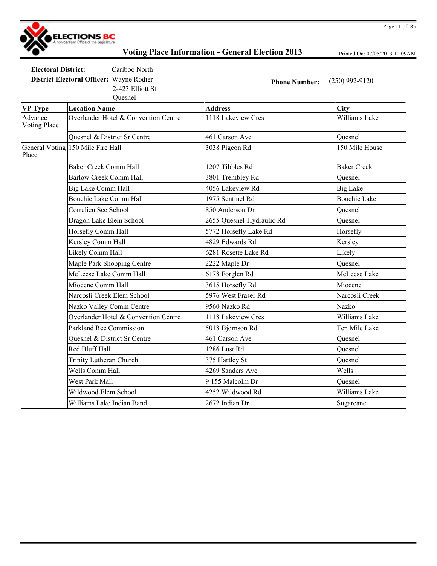

Printed On: 07/05/2013 10:09AM

**Electoral District:** Cariboo North **District Electoral Officer:** Wayne Rodier **Phone Number:** (250) 992-9120 Quesnel 2-423 Elliott St

| <b>VP Type</b>                 | <b>Location Name</b>                    | <b>Address</b>            | City                |
|--------------------------------|-----------------------------------------|---------------------------|---------------------|
| Advance<br><b>Voting Place</b> | Overlander Hotel & Convention Centre    | 1118 Lakeview Cres        | Williams Lake       |
|                                | <b>Ouesnel &amp; District Sr Centre</b> | 461 Carson Ave            | Quesnel             |
| Place                          | General Voting 150 Mile Fire Hall       | 3038 Pigeon Rd            | 150 Mile House      |
|                                | <b>Baker Creek Comm Hall</b>            | 1207 Tibbles Rd           | <b>Baker Creek</b>  |
|                                | <b>Barlow Creek Comm Hall</b>           | 3801 Trembley Rd          | Ouesnel             |
|                                | Big Lake Comm Hall                      | 4056 Lakeview Rd          | <b>Big Lake</b>     |
|                                | Bouchie Lake Comm Hall                  | 1975 Sentinel Rd          | <b>Bouchie Lake</b> |
|                                | Correlieu Sec School                    | 850 Anderson Dr           | Quesnel             |
|                                | Dragon Lake Elem School                 | 2655 Quesnel-Hydraulic Rd | Quesnel             |
|                                | Horsefly Comm Hall                      | 5772 Horsefly Lake Rd     | Horsefly            |
|                                | Kersley Comm Hall                       | 4829 Edwards Rd           | Kersley             |
|                                | Likely Comm Hall                        | 6281 Rosette Lake Rd      | Likely              |
|                                | Maple Park Shopping Centre              | 2222 Maple Dr             | Quesnel             |
|                                | McLeese Lake Comm Hall                  | 6178 Forglen Rd           | McLeese Lake        |
|                                | Miocene Comm Hall                       | 3615 Horsefly Rd          | Miocene             |
|                                | Narcosli Creek Elem School              | 5976 West Fraser Rd       | Narcosli Creek      |
|                                | Nazko Valley Comm Centre                | 9560 Nazko Rd             | Nazko               |
|                                | Overlander Hotel & Convention Centre    | 1118 Lakeview Cres        | Williams Lake       |
|                                | Parkland Rec Commission                 | 5018 Bjornson Rd          | Ten Mile Lake       |
|                                | Quesnel & District Sr Centre            | 461 Carson Ave            | Quesnel             |
|                                | Red Bluff Hall                          | 1286 Lust Rd              | Quesnel             |
|                                | Trinity Lutheran Church                 | 375 Hartley St            | Ouesnel             |
|                                | Wells Comm Hall                         | 4269 Sanders Ave          | Wells               |
|                                | West Park Mall                          | 9 155 Malcolm Dr          | Quesnel             |
|                                | Wildwood Elem School                    | 4252 Wildwood Rd          | Williams Lake       |
|                                | Williams Lake Indian Band               | 2672 Indian Dr            | Sugarcane           |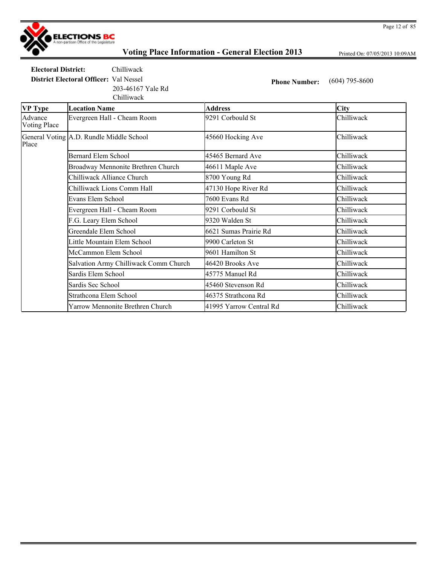

Printed On: 07/05/2013 10:09AM

**Electoral District:** Chilliwack **District Electoral Officer:** Val Nessel **Phone Number:** (604) 795-8600 203-46167 Yale Rd

|                                | Chilliwack                               |                         |             |
|--------------------------------|------------------------------------------|-------------------------|-------------|
| <b>VP Type</b>                 | <b>Location Name</b>                     | <b>Address</b>          | <b>City</b> |
| Advance<br><b>Voting Place</b> | Evergreen Hall - Cheam Room              | 9291 Corbould St        | Chilliwack  |
| Place                          | General Voting A.D. Rundle Middle School | 45660 Hocking Ave       | Chilliwack  |
|                                | <b>Bernard Elem School</b>               | 45465 Bernard Ave       | Chilliwack  |
|                                | Broadway Mennonite Brethren Church       | 46611 Maple Ave         | Chilliwack  |
|                                | Chilliwack Alliance Church               | 8700 Young Rd           | Chilliwack  |
|                                | Chilliwack Lions Comm Hall               | 47130 Hope River Rd     | Chilliwack  |
|                                | Evans Elem School                        | 7600 Evans Rd           | Chilliwack  |
|                                | Evergreen Hall - Cheam Room              | 9291 Corbould St        | Chilliwack  |
|                                | F.G. Leary Elem School                   | 9320 Walden St          | Chilliwack  |
|                                | Greendale Elem School                    | 6621 Sumas Prairie Rd   | Chilliwack  |
|                                | Little Mountain Elem School              | 9900 Carleton St        | Chilliwack  |
|                                | McCammon Elem School                     | 9601 Hamilton St        | Chilliwack  |
|                                | Salvation Army Chilliwack Comm Church    | 46420 Brooks Ave        | Chilliwack  |
|                                | Sardis Elem School                       | 45775 Manuel Rd         | Chilliwack  |
|                                | Sardis Sec School                        | 45460 Stevenson Rd      | Chilliwack  |
|                                | Strathcona Elem School                   | 46375 Strathcona Rd     | Chilliwack  |
|                                | Yarrow Mennonite Brethren Church         | 41995 Yarrow Central Rd | Chilliwack  |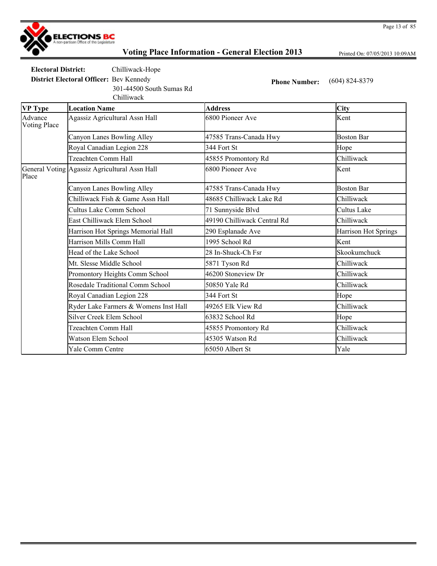

Printed On: 07/05/2013 10:09AM

**Electoral District:** Chilliwack-Hope **District Electoral Officer:** Bev Kennedy **Phone Number:** (604) 824-8379

Chilliwack 301-44500 South Sumas Rd

| <b>VP Type</b>          | <b>Location Name</b>                          | <b>Address</b>              | <b>City</b>          |
|-------------------------|-----------------------------------------------|-----------------------------|----------------------|
| Advance<br>Voting Place | Agassiz Agricultural Assn Hall                | 6800 Pioneer Ave            | Kent                 |
|                         | Canyon Lanes Bowling Alley                    | 47585 Trans-Canada Hwy      | <b>Boston Bar</b>    |
|                         | Royal Canadian Legion 228                     | 344 Fort St                 | Hope                 |
|                         | Tzeachten Comm Hall                           | 45855 Promontory Rd         | Chilliwack           |
| Place                   | General Voting Agassiz Agricultural Assn Hall | 6800 Pioneer Ave            | Kent                 |
|                         | Canyon Lanes Bowling Alley                    | 47585 Trans-Canada Hwy      | <b>Boston Bar</b>    |
|                         | Chilliwack Fish & Game Assn Hall              | 48685 Chilliwack Lake Rd    | Chilliwack           |
|                         | Cultus Lake Comm School                       | 71 Sunnyside Blvd           | Cultus Lake          |
|                         | East Chilliwack Elem School                   | 49190 Chilliwack Central Rd | Chilliwack           |
|                         | Harrison Hot Springs Memorial Hall            | 290 Esplanade Ave           | Harrison Hot Springs |
|                         | Harrison Mills Comm Hall                      | 1995 School Rd              | Kent                 |
|                         | Head of the Lake School                       | 28 In-Shuck-Ch Fsr          | Skookumchuck         |
|                         | Mt. Slesse Middle School                      | 5871 Tyson Rd               | Chilliwack           |
|                         | Promontory Heights Comm School                | 46200 Stoneview Dr          | Chilliwack           |
|                         | Rosedale Traditional Comm School              | 50850 Yale Rd               | Chilliwack           |
|                         | Royal Canadian Legion 228                     | 344 Fort St                 | Hope                 |
|                         | Ryder Lake Farmers & Womens Inst Hall         | 49265 Elk View Rd           | Chilliwack           |
|                         | <b>Silver Creek Elem School</b>               | 63832 School Rd             | Hope                 |
|                         | Tzeachten Comm Hall                           | 45855 Promontory Rd         | Chilliwack           |
|                         | Watson Elem School                            | 45305 Watson Rd             | Chilliwack           |
|                         | Yale Comm Centre                              | 65050 Albert St             | Yale                 |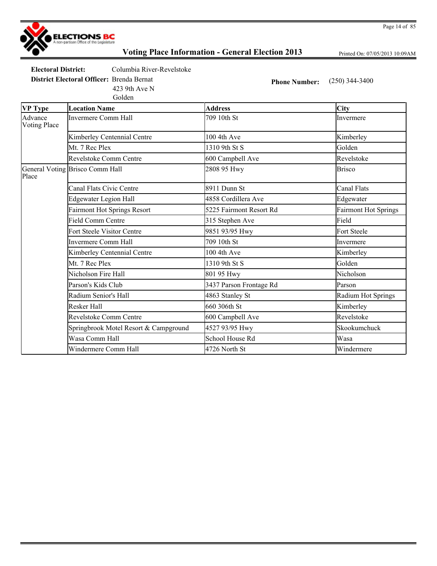

Printed On: 07/05/2013 10:09AM

| Electoral District:                              | Columbia River-Revelstoke |
|--------------------------------------------------|---------------------------|
| <b>District Electoral Officer:</b> Brenda Bernat |                           |
|                                                  | 423 9th Ave N             |
|                                                  | Golden                    |

**Phone Number:** (250) 344-3400

| <b>VP Type</b>                 | <b>Location Name</b>                  | <b>Address</b>          | <b>City</b>                 |
|--------------------------------|---------------------------------------|-------------------------|-----------------------------|
| Advance<br><b>Voting Place</b> | <b>Invermere Comm Hall</b>            | 709 10th St             | Invermere                   |
|                                | Kimberley Centennial Centre           | 100 4th Ave             | Kimberley                   |
|                                | Mt. 7 Rec Plex                        | 1310 9th St S           | Golden                      |
|                                | Revelstoke Comm Centre                | 600 Campbell Ave        | Revelstoke                  |
| Place                          | General Voting Brisco Comm Hall       | 2808 95 Hwy             | <b>Brisco</b>               |
|                                | Canal Flats Civic Centre              | 8911 Dunn St            | <b>Canal Flats</b>          |
|                                | <b>Edgewater Legion Hall</b>          | 4858 Cordillera Ave     | Edgewater                   |
|                                | <b>Fairmont Hot Springs Resort</b>    | 5225 Fairmont Resort Rd | <b>Fairmont Hot Springs</b> |
|                                | <b>Field Comm Centre</b>              | 315 Stephen Ave         | Field                       |
|                                | <b>Fort Steele Visitor Centre</b>     | 9851 93/95 Hwy          | Fort Steele                 |
|                                | <b>Invermere Comm Hall</b>            | 709 10th St             | Invermere                   |
|                                | Kimberley Centennial Centre           | 100 4th Ave             | Kimberley                   |
|                                | Mt. 7 Rec Plex                        | 1310 9th St S           | Golden                      |
|                                | Nicholson Fire Hall                   | 801 95 Hwy              | Nicholson                   |
|                                | Parson's Kids Club                    | 3437 Parson Frontage Rd | Parson                      |
|                                | Radium Senior's Hall                  | 4863 Stanley St         | Radium Hot Springs          |
|                                | <b>Resker Hall</b>                    | 660 306th St            | Kimberley                   |
|                                | Revelstoke Comm Centre                | 600 Campbell Ave        | Revelstoke                  |
|                                | Springbrook Motel Resort & Campground | 4527 93/95 Hwy          | Skookumchuck                |
|                                | Wasa Comm Hall                        | School House Rd         | Wasa                        |
|                                | Windermere Comm Hall                  | 4726 North St           | Windermere                  |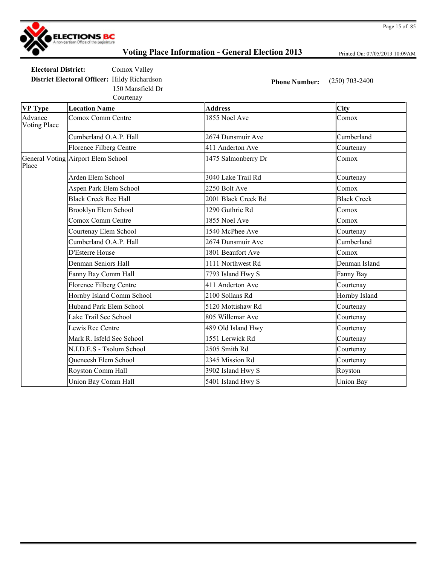

Printed On: 07/05/2013 10:09AM

**Electoral District:** Comox Valley **District Electoral Officer:** Hildy Richardson **Phone Number:** (250) 703-2400 150 Mansfield Dr

Courtenay

**VP Type Location Name Address City** Advance Voting Place Comox Comm Centre 1855 Noel Ave Comox Cumberland O.A.P. Hall 2674 Dunsmuir Ave Cumberland Florence Filberg Centre 1992 and 411 Anderton Ave Courtenay General Voting Airport Elem School Place 1475 Salmonberry Dr Comox Arden Elem School 3040 Lake Trail Rd Courtenay Aspen Park Elem School 2250 Bolt Ave Comox Black Creek Rec Hall 2001 Black Creek Rd Black Creek Brooklyn Elem School 1290 Guthrie Rd Comox Comox Comm Centre 1855 Noel Ave Comox Courtenay Elem School 1540 McPhee Ave Courtenay Cumberland O.A.P. Hall 2674 Dunsmuir Ave Cumberland D'Esterre House 1801 Beaufort Ave Comox Denman Seniors Hall 1111 Northwest Rd Denman Island Fanny Bay Comm Hall **Fanny Bay Comm Hall** 7793 Island Hwy S Fanny Bay Florence Filberg Centre 111 Anderton Ave Courtenay Hornby Island Comm School 2100 Sollans Rd Hornby Island Huband Park Elem School 5120 Mottishaw Rd Courtenay Lake Trail Sec School 805 Willemar Ave Courtenay Lewis Rec Centre 1989 Old Island Hwy Courtenay Mark R. Isfeld Sec School 1551 Lerwick Rd Courtenay N.I.D.E.S - Tsolum School 2505 Smith Rd Courtenay Queneesh Elem School 2345 Mission Rd Courtenay Royston Comm Hall **3902 Island Hwy S** Royston Union Bay Comm Hall **5401 Island Hwy S** Union Bay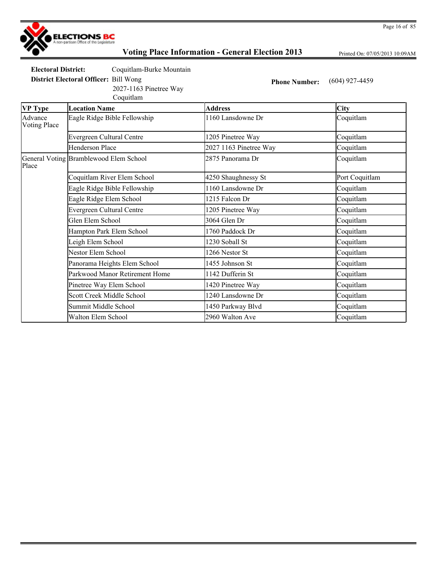

Printed On: 07/05/2013 10:09AM

**Electoral District:** Coquitlam-Burke Mountain

**District Electoral Officer:** Bill Wong **Phone Number:** (604) 927-4459

2027-1163 Pinetree Way

|                                | Coquitlam                              |                        |                |
|--------------------------------|----------------------------------------|------------------------|----------------|
| VP Type                        | <b>Location Name</b>                   | <b>Address</b>         | <b>City</b>    |
| Advance<br><b>Voting Place</b> | Eagle Ridge Bible Fellowship           | 1160 Lansdowne Dr      | Coquitlam      |
|                                | Evergreen Cultural Centre              | 1205 Pinetree Way      | Coquitlam      |
|                                | Henderson Place                        | 2027 1163 Pinetree Way | Coquitlam      |
| Place                          | General Voting Bramblewood Elem School | 2875 Panorama Dr       | Coquitlam      |
|                                | Coquitlam River Elem School            | 4250 Shaughnessy St    | Port Coquitlam |
|                                | Eagle Ridge Bible Fellowship           | 1160 Lansdowne Dr      | Coquitlam      |
|                                | Eagle Ridge Elem School                | 1215 Falcon Dr         | Coquitlam      |
|                                | Evergreen Cultural Centre              | 1205 Pinetree Way      | Coquitlam      |
|                                | Glen Elem School                       | 3064 Glen Dr           | Coquitlam      |
|                                | Hampton Park Elem School               | 1760 Paddock Dr        | Coquitlam      |
|                                | Leigh Elem School                      | 1230 Soball St         | Coquitlam      |
|                                | Nestor Elem School                     | 1266 Nestor St         | Coquitlam      |
|                                | Panorama Heights Elem School           | 1455 Johnson St        | Coquitlam      |
|                                | Parkwood Manor Retirement Home         | 1142 Dufferin St       | Coquitlam      |
|                                | Pinetree Way Elem School               | 1420 Pinetree Way      | Coquitlam      |
|                                | Scott Creek Middle School              | 1240 Lansdowne Dr      | Coquitlam      |
|                                | Summit Middle School                   | 1450 Parkway Blvd      | Coquitlam      |
|                                | Walton Elem School                     | 2960 Walton Ave        | Coquitlam      |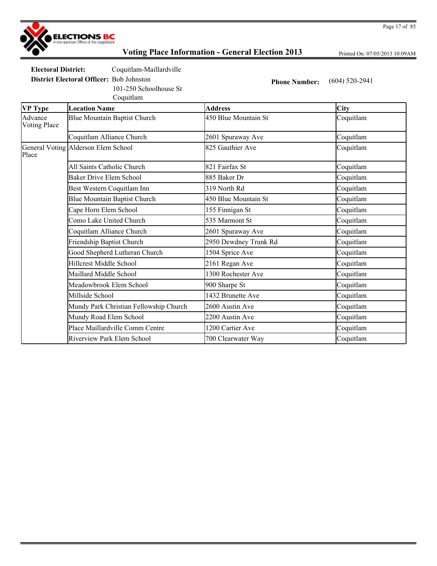

Printed On: 07/05/2013 10:09AM

**Electoral District:** Coquitlam-Maillardville

101-250 Schoolhouse St

Coquitlam

**District Electoral Officer:** Bob Johnston **Phone Number:** (604) 520-2941

| <b>VP Type</b>                 | <b>Location Name</b>                   | <b>Address</b>        | City      |
|--------------------------------|----------------------------------------|-----------------------|-----------|
| Advance<br><b>Voting Place</b> | Blue Mountain Baptist Church           | 450 Blue Mountain St  | Coquitlam |
|                                | Coquitlam Alliance Church              | 2601 Spuraway Ave     | Coquitlam |
| Place                          | General Voting Alderson Elem School    | 825 Gauthier Ave      | Coquitlam |
|                                | All Saints Catholic Church             | 821 Fairfax St        | Coquitlam |
|                                | Baker Drive Elem School                | 885 Baker Dr          | Coquitlam |
|                                | Best Western Coquitlam Inn             | 319 North Rd          | Coquitlam |
|                                | Blue Mountain Baptist Church           | 450 Blue Mountain St  | Coquitlam |
|                                | Cape Horn Elem School                  | 155 Finnigan St       | Coquitlam |
|                                | Como Lake United Church                | 535 Marmont St        | Coquitlam |
|                                | Coquitlam Alliance Church              | 2601 Spuraway Ave     | Coquitlam |
|                                | Friendship Baptist Church              | 2950 Dewdney Trunk Rd | Coquitlam |
|                                | Good Shepherd Lutheran Church          | 1504 Sprice Ave       | Coquitlam |
|                                | <b>Hillcrest Middle School</b>         | 2161 Regan Ave        | Coquitlam |
|                                | Maillard Middle School                 | 1300 Rochester Ave    | Coquitlam |
|                                | Meadowbrook Elem School                | 900 Sharpe St         | Coquitlam |
|                                | Millside School                        | 1432 Brunette Ave     | Coquitlam |
|                                | Mundy Park Christian Fellowship Church | 2600 Austin Ave       | Coquitlam |
|                                | Mundy Road Elem School                 | 2200 Austin Ave       | Coquitlam |
|                                | Place Maillardville Comm Centre        | 1200 Cartier Ave      | Coquitlam |
|                                | Riverview Park Elem School             | 700 Clearwater Way    | Coquitlam |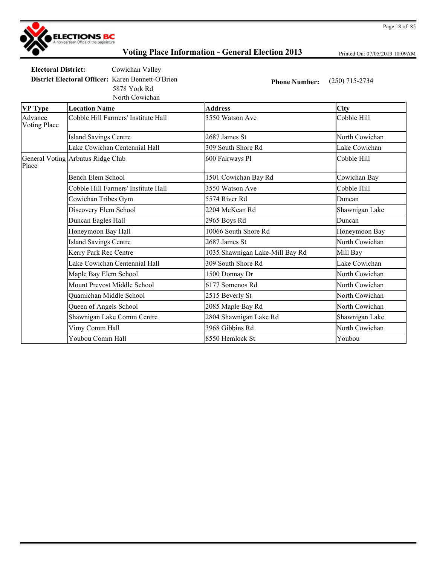

Printed On: 07/05/2013 10:09AM

**Electoral District:** Cowichan Valley **District Electoral Officer:** Karen Bennett-O'Brien **Phone Number:** (250) 715-2734

North Cowichan 5878 York Rd

| $\sum_{i=1}^n$ $\sum_{i=1}^n$ $\sum_{i=1}^n$ $\sum_{i=1}^n$ |
|-------------------------------------------------------------|
|                                                             |
|                                                             |

| <b>VP</b> Type                 | <b>Location Name</b>                | <b>Address</b>                  | <b>City</b>    |
|--------------------------------|-------------------------------------|---------------------------------|----------------|
| Advance<br><b>Voting Place</b> | Cobble Hill Farmers' Institute Hall | 3550 Watson Ave                 | Cobble Hill    |
|                                | <b>Island Savings Centre</b>        | 2687 James St                   | North Cowichan |
|                                | Lake Cowichan Centennial Hall       | 309 South Shore Rd              | Lake Cowichan  |
| Place                          | General Voting Arbutus Ridge Club   | 600 Fairways Pl                 | Cobble Hill    |
|                                | Bench Elem School                   | 1501 Cowichan Bay Rd            | Cowichan Bay   |
|                                | Cobble Hill Farmers' Institute Hall | 3550 Watson Ave                 | Cobble Hill    |
|                                | Cowichan Tribes Gym                 | 5574 River Rd                   | Duncan         |
|                                | Discovery Elem School               | 2204 McKean Rd                  | Shawnigan Lake |
|                                | Duncan Eagles Hall                  | 2965 Boys Rd                    | Duncan         |
|                                | Honeymoon Bay Hall                  | 10066 South Shore Rd            | Honeymoon Bay  |
|                                | <b>Island Savings Centre</b>        | 2687 James St                   | North Cowichan |
|                                | Kerry Park Rec Centre               | 1035 Shawnigan Lake-Mill Bay Rd | Mill Bay       |
|                                | Lake Cowichan Centennial Hall       | 309 South Shore Rd              | Lake Cowichan  |
|                                | Maple Bay Elem School               | 1500 Donnay Dr                  | North Cowichan |
|                                | Mount Prevost Middle School         | 6177 Somenos Rd                 | North Cowichan |
|                                | Quamichan Middle School             | 2515 Beverly St                 | North Cowichan |
|                                | Queen of Angels School              | 2085 Maple Bay Rd               | North Cowichan |
|                                | Shawnigan Lake Comm Centre          | 2804 Shawnigan Lake Rd          | Shawnigan Lake |
|                                | Vimy Comm Hall                      | 3968 Gibbins Rd                 | North Cowichan |
|                                | Youbou Comm Hall                    | 8550 Hemlock St                 | Youbou         |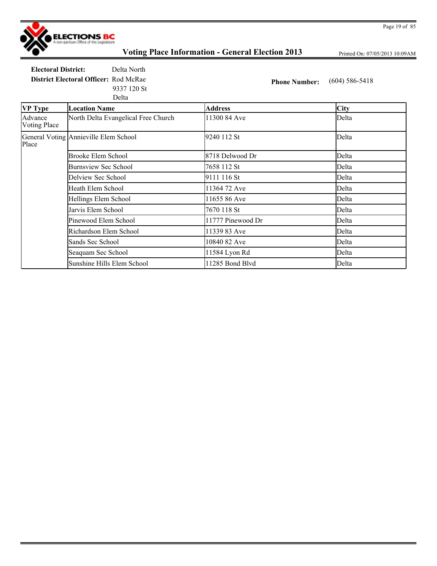

Printed On: 07/05/2013 10:09AM

**Electoral District:** Delta North **District Electoral Officer:** Rod McRae **Phone Number:** (604) 586-5418 Delta 9337 120 St

| <b>VP Type</b>                 | <b>Location Name</b>                  | <b>Address</b>    | <b>City</b> |
|--------------------------------|---------------------------------------|-------------------|-------------|
| Advance<br><b>Voting Place</b> | North Delta Evangelical Free Church   | 11300 84 Ave      | Delta       |
| Place                          | General Voting Annieville Elem School | 9240 112 St       | Delta       |
|                                | Brooke Elem School                    | 8718 Delwood Dr   | Delta       |
|                                | <b>Burnsview Sec School</b>           | 7658 112 St       | Delta       |
|                                | Delview Sec School                    | 9111 116 St       | Delta       |
|                                | Heath Elem School                     | 11364 72 Ave      | Delta       |
|                                | Hellings Elem School                  | 11655 86 Ave      | Delta       |
|                                | Jarvis Elem School                    | 7670 118 St       | Delta       |
|                                | Pinewood Elem School                  | 11777 Pinewood Dr | Delta       |
|                                | Richardson Elem School                | 11339 83 Ave      | Delta       |
|                                | Sands Sec School                      | 10840 82 Ave      | Delta       |
|                                | Seaquam Sec School                    | 11584 Lyon Rd     | Delta       |
|                                | Sunshine Hills Elem School            | 11285 Bond Blvd   | Delta       |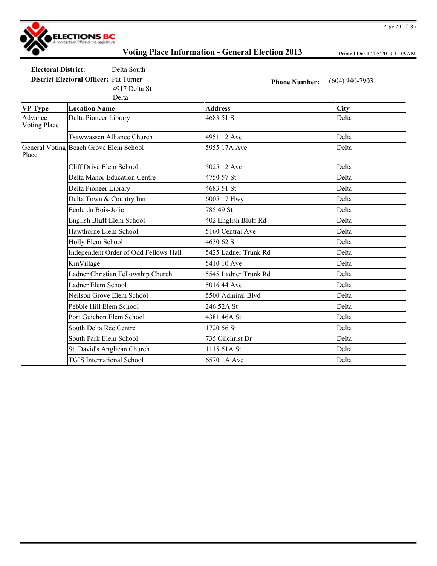

Printed On: 07/05/2013 10:09AM

**Electoral District:** Delta South **District Electoral Officer:** Pat Turner **Phone Number:** (604) 940-7903 4917 Delta St

Delta

| <b>VP Type</b>                 | <b>Location Name</b>                   | <b>Address</b>       | <b>City</b> |
|--------------------------------|----------------------------------------|----------------------|-------------|
| Advance<br><b>Voting Place</b> | Delta Pioneer Library                  | 4683 51 St           | Delta       |
|                                | Tsawwassen Alliance Church             | 4951 12 Ave          | Delta       |
| Place                          | General Voting Beach Grove Elem School | 5955 17A Ave         | Delta       |
|                                | Cliff Drive Elem School                | 5025 12 Ave          | Delta       |
|                                | <b>Delta Manor Education Centre</b>    | 4750 57 St           | Delta       |
|                                | Delta Pioneer Library                  | 4683 51 St           | Delta       |
|                                | Delta Town & Country Inn               | 6005 17 Hwy          | Delta       |
|                                | Ecole du Bois-Jolie                    | 785 49 St            | Delta       |
|                                | English Bluff Elem School              | 402 English Bluff Rd | Delta       |
|                                | Hawthorne Elem School                  | 5160 Central Ave     | Delta       |
|                                | Holly Elem School                      | 4630 62 St           | Delta       |
|                                | Independent Order of Odd Fellows Hall  | 5425 Ladner Trunk Rd | Delta       |
|                                | KinVillage                             | 5410 10 Ave          | Delta       |
|                                | Ladner Christian Fellowship Church     | 5545 Ladner Trunk Rd | Delta       |
|                                | Ladner Elem School                     | 5016 44 Ave          | Delta       |
|                                | Neilson Grove Elem School              | 5500 Admiral Blvd    | Delta       |
|                                | Pebble Hill Elem School                | 246 52A St           | Delta       |
|                                | Port Guichon Elem School               | 4381 46A St          | Delta       |
|                                | South Delta Rec Centre                 | 1720 56 St           | Delta       |
|                                | South Park Elem School                 | 735 Gilchrist Dr     | Delta       |
|                                | St. David's Anglican Church            | 1115 51A St          | Delta       |
|                                | <b>TGIS</b> International School       | 6570 1A Ave          | Delta       |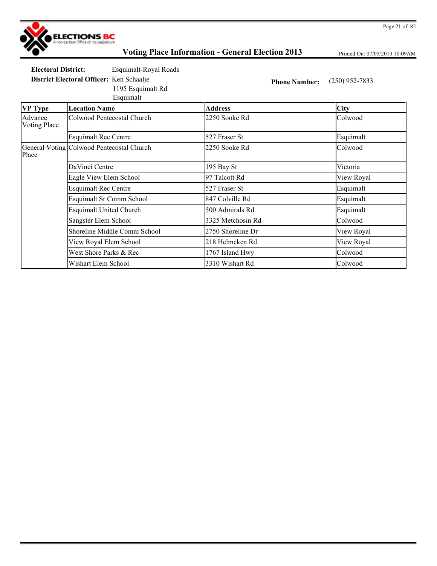

Printed On: 07/05/2013 10:09AM

**Electoral District:** Esquimalt-Royal Roads

Esquimalt

1195 Esquimalt Rd

**District Electoral Officer:** Ken Schaalje **Phone Number:** (250) 952-7833

| <b>VP</b> Type                 | <b>Location Name</b>                      | <b>Address</b>    | <b>City</b> |
|--------------------------------|-------------------------------------------|-------------------|-------------|
| Advance<br><b>Voting Place</b> | Colwood Pentecostal Church                | 2250 Sooke Rd     | Colwood     |
|                                | <b>Esquimalt Rec Centre</b>               | 527 Fraser St     | Esquimalt   |
| Place                          | General Voting Colwood Pentecostal Church | 2250 Sooke Rd     | Colwood     |
|                                | DaVinci Centre                            | 195 Bay St        | Victoria    |
|                                | Eagle View Elem School                    | 97 Talcott Rd     | View Royal  |
|                                | <b>Esquimalt Rec Centre</b>               | 527 Fraser St     | Esquimalt   |
|                                | <b>Esquimalt Sr Comm School</b>           | 847 Colville Rd   | Esquimalt   |
|                                | <b>Esquimalt United Church</b>            | 500 Admirals Rd   | Esquimalt   |
|                                | Sangster Elem School                      | 3325 Metchosin Rd | Colwood     |
|                                | Shoreline Middle Comm School              | 2750 Shoreline Dr | View Royal  |
|                                | View Royal Elem School                    | 218 Helmcken Rd   | View Royal  |
|                                | West Shore Parks & Rec                    | 1767 Island Hwy   | Colwood     |
|                                | Wishart Elem School                       | 3310 Wishart Rd   | Colwood     |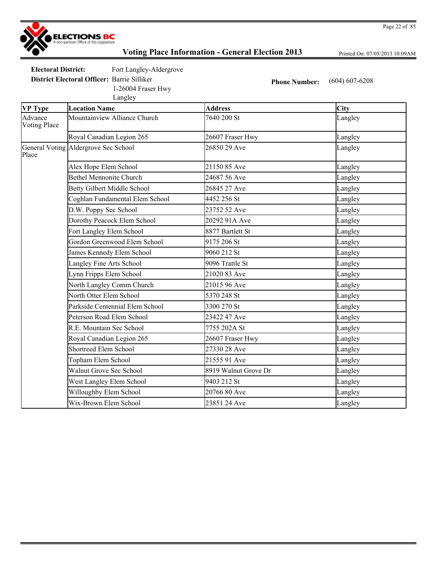

Printed On: 07/05/2013 10:09AM

**Electoral District:** Fort Langley-Aldergrove

1-26004 Fraser Hwy

**District Electoral Officer:** Barrie Silliker **Phone Number:** (604) 607-6208

|                                | Langley                              |                      |         |
|--------------------------------|--------------------------------------|----------------------|---------|
| <b>VP Type</b>                 | <b>Location Name</b>                 | <b>Address</b>       | City    |
| Advance<br><b>Voting Place</b> | Mountainview Alliance Church         | 7640 200 St          | Langley |
|                                | Royal Canadian Legion 265            | 26607 Fraser Hwy     | Langley |
| Place                          | General Voting Aldergrove Sec School | 26850 29 Ave         | Langley |
|                                | Alex Hope Elem School                | 21150 85 Ave         | Langley |
|                                | <b>Bethel Mennonite Church</b>       | 24687 56 Ave         | Langley |
|                                | <b>Betty Gilbert Middle School</b>   | 26845 27 Ave         | Langley |
|                                | Coghlan Fundamental Elem School      | 4452 256 St          | Langley |
|                                | D.W. Poppy Sec School                | 23752 52 Ave         | Langley |
|                                | Dorothy Peacock Elem School          | 20292 91A Ave        | Langley |
|                                | Fort Langley Elem School             | 8877 Bartlett St     | Langley |
|                                | Gordon Greenwood Elem School         | 9175 206 St          | Langley |
|                                | James Kennedy Elem School            | 9060 212 St          | Langley |
|                                | Langley Fine Arts School             | 9096 Trattle St      | Langley |
|                                | Lynn Fripps Elem School              | 21020 83 Ave         | Langley |
|                                | North Langley Comm Church            | 21015 96 Ave         | Langley |
|                                | North Otter Elem School              | 5370 248 St          | Langley |
|                                | Parkside Centennial Elem School      | 3300 270 St          | Langley |
|                                | Peterson Road Elem School            | 23422 47 Ave         | Langley |
|                                | R.E. Mountain Sec School             | 7755 202A St         | Langley |
|                                | Royal Canadian Legion 265            | 26607 Fraser Hwy     | Langley |
|                                | <b>Shortreed Elem School</b>         | 27330 28 Ave         | Langley |
|                                | Topham Elem School                   | 21555 91 Ave         | Langley |
|                                | <b>Walnut Grove Sec School</b>       | 8919 Walnut Grove Dr | Langley |
|                                | West Langley Elem School             | 9403 212 St          | Langley |
|                                | Willoughby Elem School               | 20766 80 Ave         | Langley |
|                                | Wix-Brown Elem School                | 23851 24 Ave         | Langley |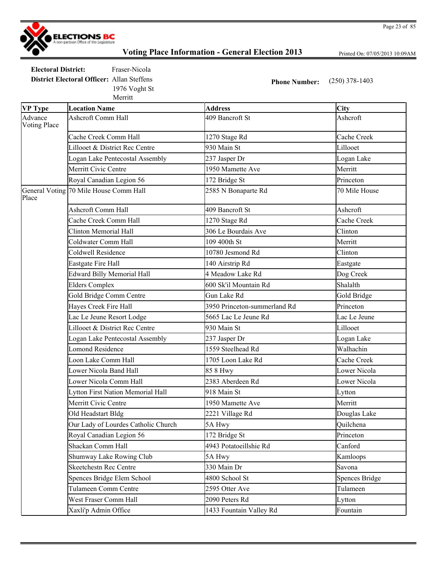

Printed On: 07/05/2013 10:09AM

**Electoral District:** Fraser-Nicola **District Electoral Officer:** Allan Steffens **Phone Number:** (250) 378-1403 Merritt 1976 Voght St

| <b>VP Type</b>          | <b>Location Name</b>                   | <b>Address</b>               | <b>City</b>    |
|-------------------------|----------------------------------------|------------------------------|----------------|
| Advance<br>Voting Place | <b>Ashcroft Comm Hall</b>              | 409 Bancroft St              | Ashcroft       |
|                         | Cache Creek Comm Hall                  | 1270 Stage Rd                | Cache Creek    |
|                         | Lillooet & District Rec Centre         | 930 Main St                  | Lillooet       |
|                         | Logan Lake Pentecostal Assembly        | 237 Jasper Dr                | Logan Lake     |
|                         | Merritt Civic Centre                   | 1950 Mamette Ave             | Merritt        |
|                         | Royal Canadian Legion 56               | 172 Bridge St                | Princeton      |
| Place                   | General Voting 70 Mile House Comm Hall | 2585 N Bonaparte Rd          | 70 Mile House  |
|                         | <b>Ashcroft Comm Hall</b>              | 409 Bancroft St              | Ashcroft       |
|                         | Cache Creek Comm Hall                  | 1270 Stage Rd                | Cache Creek    |
|                         | <b>Clinton Memorial Hall</b>           | 306 Le Bourdais Ave          | Clinton        |
|                         | Coldwater Comm Hall                    | 109 400th St                 | Merritt        |
|                         | Coldwell Residence                     | 10780 Jesmond Rd             | Clinton        |
|                         | Eastgate Fire Hall                     | 140 Airstrip Rd              | Eastgate       |
|                         | <b>Edward Billy Memorial Hall</b>      | 4 Meadow Lake Rd             | Dog Creek      |
|                         | <b>Elders Complex</b>                  | 600 Sk'il Mountain Rd        | Shalalth       |
|                         | Gold Bridge Comm Centre                | Gun Lake Rd                  | Gold Bridge    |
|                         | Hayes Creek Fire Hall                  | 3950 Princeton-summerland Rd | Princeton      |
|                         | Lac Le Jeune Resort Lodge              | 5665 Lac Le Jeune Rd         | Lac Le Jeune   |
|                         | Lillooet & District Rec Centre         | 930 Main St                  | Lillooet       |
|                         | Logan Lake Pentecostal Assembly        | 237 Jasper Dr                | Logan Lake     |
|                         | <b>Lomond Residence</b>                | 1559 Steelhead Rd            | Walhachin      |
|                         | Loon Lake Comm Hall                    | 1705 Loon Lake Rd            | Cache Creek    |
|                         | Lower Nicola Band Hall                 | 85 8 Hwy                     | Lower Nicola   |
|                         | Lower Nicola Comm Hall                 | 2383 Aberdeen Rd             | Lower Nicola   |
|                         | Lytton First Nation Memorial Hall      | 918 Main St                  | Lytton         |
|                         | Merritt Civic Centre                   | 1950 Mamette Ave             | Merritt        |
|                         | Old Headstart Bldg                     | 2221 Village Rd              | Douglas Lake   |
|                         | Our Lady of Lourdes Catholic Church    | 5A Hwy                       | Quilchena      |
|                         | Royal Canadian Legion 56               | 172 Bridge St                | Princeton      |
|                         | Shackan Comm Hall                      | 4943 Potatoeillshie Rd       | Canford        |
|                         | Shumway Lake Rowing Club               | 5A Hwy                       | Kamloops       |
|                         | <b>Skeetchestn Rec Centre</b>          | 330 Main Dr                  | Savona         |
|                         | Spences Bridge Elem School             | 4800 School St               | Spences Bridge |
|                         | Tulameen Comm Centre                   | 2595 Otter Ave               | Tulameen       |
|                         | West Fraser Comm Hall                  | 2090 Peters Rd               | Lytton         |
|                         | Xaxli'p Admin Office                   | 1433 Fountain Valley Rd      | Fountain       |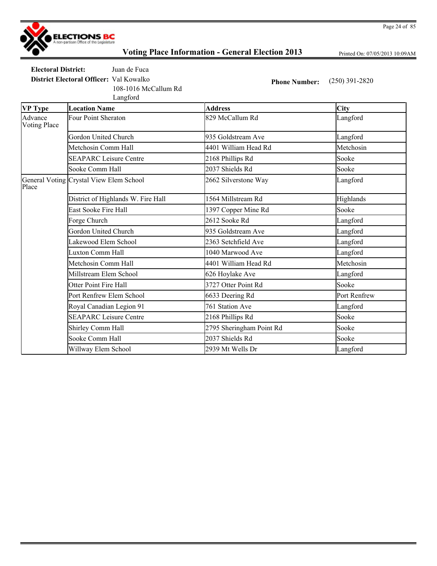

Printed On: 07/05/2013 10:09AM

**Electoral District:** Juan de Fuca **District Electoral Officer:** Val Kowalko **Phone Number:** (250) 391-2820

108-1016 McCallum Rd

|                                | Langford                                |                          |              |
|--------------------------------|-----------------------------------------|--------------------------|--------------|
| <b>VP Type</b>                 | <b>Location Name</b>                    | <b>Address</b>           | <b>City</b>  |
| Advance<br><b>Voting Place</b> | <b>Four Point Sheraton</b>              | 829 McCallum Rd          | Langford     |
|                                | Gordon United Church                    | 935 Goldstream Ave       | Langford     |
|                                | Metchosin Comm Hall                     | 4401 William Head Rd     | Metchosin    |
|                                | <b>SEAPARC Leisure Centre</b>           | 2168 Phillips Rd         | Sooke        |
|                                | Sooke Comm Hall                         | 2037 Shields Rd          | Sooke        |
| Place                          | General Voting Crystal View Elem School | 2662 Silverstone Way     | Langford     |
|                                | District of Highlands W. Fire Hall      | 1564 Millstream Rd       | Highlands    |
|                                | East Sooke Fire Hall                    | 1397 Copper Mine Rd      | Sooke        |
|                                | Forge Church                            | 2612 Sooke Rd            | Langford     |
|                                | Gordon United Church                    | 935 Goldstream Ave       | Langford     |
|                                | Lakewood Elem School                    | 2363 Setchfield Ave      | Langford     |
|                                | <b>Luxton Comm Hall</b>                 | 1040 Marwood Ave         | Langford     |
|                                | Metchosin Comm Hall                     | 4401 William Head Rd     | Metchosin    |
|                                | Millstream Elem School                  | 626 Hoylake Ave          | Langford     |
|                                | <b>Otter Point Fire Hall</b>            | 3727 Otter Point Rd      | Sooke        |
|                                | Port Renfrew Elem School                | 6633 Deering Rd          | Port Renfrew |
|                                | Royal Canadian Legion 91                | 761 Station Ave          | Langford     |
|                                | <b>SEAPARC Leisure Centre</b>           | 2168 Phillips Rd         | Sooke        |
|                                | Shirley Comm Hall                       | 2795 Sheringham Point Rd | Sooke        |
|                                | Sooke Comm Hall                         | 2037 Shields Rd          | Sooke        |
|                                | Willway Elem School                     | 2939 Mt Wells Dr         | Langford     |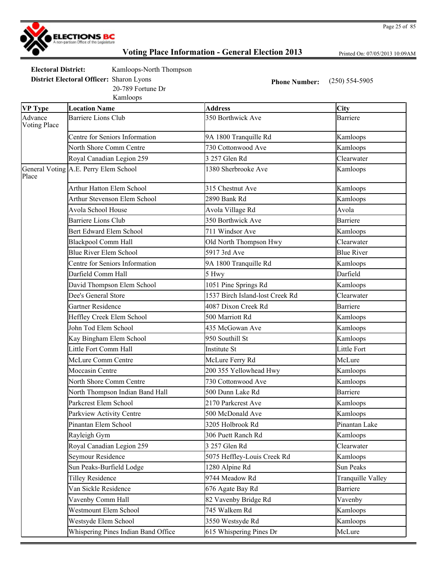

Printed On: 07/05/2013 10:09AM

| <b>Electoral District:</b>                      | Kamloops-North Thompson |                      |                  |
|-------------------------------------------------|-------------------------|----------------------|------------------|
| <b>District Electoral Officer:</b> Sharon Lyons |                         | <b>Phone Number:</b> | $(250)$ 554-5905 |
|                                                 | 20-789 Fortune Dr       |                      |                  |

Kamloops

| <b>Barriere Lions Club</b><br>350 Borthwick Ave<br><b>Barriere</b><br>Centre for Seniors Information<br>9A 1800 Tranquille Rd<br>Kamloops<br>730 Cottonwood Ave<br>North Shore Comm Centre<br>Kamloops<br>Royal Canadian Legion 259<br>3 257 Glen Rd<br>Clearwater<br>General Voting A.E. Perry Elem School<br>Place<br>1380 Sherbrooke Ave<br>Kamloops<br><b>Arthur Hatton Elem School</b><br>315 Chestnut Ave<br>Kamloops<br>Arthur Stevenson Elem School<br>2890 Bank Rd<br>Kamloops<br>Avola School House<br>Avola<br>Avola Village Rd<br><b>Barriere Lions Club</b><br>350 Borthwick Ave<br>Barriere<br><b>Bert Edward Elem School</b><br>711 Windsor Ave<br>Kamloops<br>Blackpool Comm Hall<br>Clearwater<br>Old North Thompson Hwy<br><b>Blue River Elem School</b><br>5917 3rd Ave<br><b>Blue River</b><br>Centre for Seniors Information<br>9A 1800 Tranquille Rd<br>Kamloops<br>Darfield<br>Darfield Comm Hall<br>5 Hwy<br>David Thompson Elem School<br>1051 Pine Springs Rd<br>Kamloops<br>Dee's General Store<br>1537 Birch Island-lost Creek Rd<br>Clearwater<br>4087 Dixon Creek Rd<br><b>Barriere</b><br>Gartner Residence<br>Heffley Creek Elem School<br>500 Marriott Rd<br>Kamloops<br>John Tod Elem School<br>435 McGowan Ave<br>Kamloops<br>950 Southill St<br>Kamloops<br>Kay Bingham Elem School<br>Little Fort Comm Hall<br>Little Fort<br><b>Institute St</b><br>McLure Comm Centre<br>McLure Ferry Rd<br>McLure<br>Moccasin Centre<br>200 355 Yellowhead Hwy<br>Kamloops<br>North Shore Comm Centre<br>730 Cottonwood Ave<br>Kamloops<br>North Thompson Indian Band Hall<br>500 Dunn Lake Rd<br><b>Barriere</b><br>Parkcrest Elem School<br>2170 Parkcrest Ave<br>Kamloops<br>500 McDonald Ave<br>Kamloops<br>Parkview Activity Centre<br>Pinantan Lake<br>Pinantan Elem School<br>3205 Holbrook Rd<br>306 Puett Ranch Rd<br>Rayleigh Gym<br>Kamloops<br>Royal Canadian Legion 259<br>Clearwater<br>3 257 Glen Rd<br>Seymour Residence<br>5075 Heffley-Louis Creek Rd<br>Kamloops<br>Sun Peaks-Burfield Lodge<br>1280 Alpine Rd<br>Sun Peaks<br><b>Tilley Residence</b><br>9744 Meadow Rd<br>Tranquille Valley<br>Van Sickle Residence<br><b>Barriere</b><br>676 Agate Bay Rd<br>82 Vavenby Bridge Rd<br>Vavenby<br>Vavenby Comm Hall<br>Westmount Elem School<br>745 Walkem Rd<br>Kamloops<br>Westsyde Elem School<br>3550 Westsyde Rd<br>Kamloops<br>Whispering Pines Indian Band Office<br>615 Whispering Pines Dr<br>McLure | <b>VP Type</b>          | <b>Location Name</b> | <b>Address</b> | City |
|-----------------------------------------------------------------------------------------------------------------------------------------------------------------------------------------------------------------------------------------------------------------------------------------------------------------------------------------------------------------------------------------------------------------------------------------------------------------------------------------------------------------------------------------------------------------------------------------------------------------------------------------------------------------------------------------------------------------------------------------------------------------------------------------------------------------------------------------------------------------------------------------------------------------------------------------------------------------------------------------------------------------------------------------------------------------------------------------------------------------------------------------------------------------------------------------------------------------------------------------------------------------------------------------------------------------------------------------------------------------------------------------------------------------------------------------------------------------------------------------------------------------------------------------------------------------------------------------------------------------------------------------------------------------------------------------------------------------------------------------------------------------------------------------------------------------------------------------------------------------------------------------------------------------------------------------------------------------------------------------------------------------------------------------------------------------------------------------------------------------------------------------------------------------------------------------------------------------------------------------------------------------------------------------------------------------------------------------------------------------------------------------------------------------------------------------------------------|-------------------------|----------------------|----------------|------|
|                                                                                                                                                                                                                                                                                                                                                                                                                                                                                                                                                                                                                                                                                                                                                                                                                                                                                                                                                                                                                                                                                                                                                                                                                                                                                                                                                                                                                                                                                                                                                                                                                                                                                                                                                                                                                                                                                                                                                                                                                                                                                                                                                                                                                                                                                                                                                                                                                                                           | Advance<br>Voting Place |                      |                |      |
|                                                                                                                                                                                                                                                                                                                                                                                                                                                                                                                                                                                                                                                                                                                                                                                                                                                                                                                                                                                                                                                                                                                                                                                                                                                                                                                                                                                                                                                                                                                                                                                                                                                                                                                                                                                                                                                                                                                                                                                                                                                                                                                                                                                                                                                                                                                                                                                                                                                           |                         |                      |                |      |
|                                                                                                                                                                                                                                                                                                                                                                                                                                                                                                                                                                                                                                                                                                                                                                                                                                                                                                                                                                                                                                                                                                                                                                                                                                                                                                                                                                                                                                                                                                                                                                                                                                                                                                                                                                                                                                                                                                                                                                                                                                                                                                                                                                                                                                                                                                                                                                                                                                                           |                         |                      |                |      |
|                                                                                                                                                                                                                                                                                                                                                                                                                                                                                                                                                                                                                                                                                                                                                                                                                                                                                                                                                                                                                                                                                                                                                                                                                                                                                                                                                                                                                                                                                                                                                                                                                                                                                                                                                                                                                                                                                                                                                                                                                                                                                                                                                                                                                                                                                                                                                                                                                                                           |                         |                      |                |      |
|                                                                                                                                                                                                                                                                                                                                                                                                                                                                                                                                                                                                                                                                                                                                                                                                                                                                                                                                                                                                                                                                                                                                                                                                                                                                                                                                                                                                                                                                                                                                                                                                                                                                                                                                                                                                                                                                                                                                                                                                                                                                                                                                                                                                                                                                                                                                                                                                                                                           |                         |                      |                |      |
|                                                                                                                                                                                                                                                                                                                                                                                                                                                                                                                                                                                                                                                                                                                                                                                                                                                                                                                                                                                                                                                                                                                                                                                                                                                                                                                                                                                                                                                                                                                                                                                                                                                                                                                                                                                                                                                                                                                                                                                                                                                                                                                                                                                                                                                                                                                                                                                                                                                           |                         |                      |                |      |
|                                                                                                                                                                                                                                                                                                                                                                                                                                                                                                                                                                                                                                                                                                                                                                                                                                                                                                                                                                                                                                                                                                                                                                                                                                                                                                                                                                                                                                                                                                                                                                                                                                                                                                                                                                                                                                                                                                                                                                                                                                                                                                                                                                                                                                                                                                                                                                                                                                                           |                         |                      |                |      |
|                                                                                                                                                                                                                                                                                                                                                                                                                                                                                                                                                                                                                                                                                                                                                                                                                                                                                                                                                                                                                                                                                                                                                                                                                                                                                                                                                                                                                                                                                                                                                                                                                                                                                                                                                                                                                                                                                                                                                                                                                                                                                                                                                                                                                                                                                                                                                                                                                                                           |                         |                      |                |      |
|                                                                                                                                                                                                                                                                                                                                                                                                                                                                                                                                                                                                                                                                                                                                                                                                                                                                                                                                                                                                                                                                                                                                                                                                                                                                                                                                                                                                                                                                                                                                                                                                                                                                                                                                                                                                                                                                                                                                                                                                                                                                                                                                                                                                                                                                                                                                                                                                                                                           |                         |                      |                |      |
|                                                                                                                                                                                                                                                                                                                                                                                                                                                                                                                                                                                                                                                                                                                                                                                                                                                                                                                                                                                                                                                                                                                                                                                                                                                                                                                                                                                                                                                                                                                                                                                                                                                                                                                                                                                                                                                                                                                                                                                                                                                                                                                                                                                                                                                                                                                                                                                                                                                           |                         |                      |                |      |
|                                                                                                                                                                                                                                                                                                                                                                                                                                                                                                                                                                                                                                                                                                                                                                                                                                                                                                                                                                                                                                                                                                                                                                                                                                                                                                                                                                                                                                                                                                                                                                                                                                                                                                                                                                                                                                                                                                                                                                                                                                                                                                                                                                                                                                                                                                                                                                                                                                                           |                         |                      |                |      |
|                                                                                                                                                                                                                                                                                                                                                                                                                                                                                                                                                                                                                                                                                                                                                                                                                                                                                                                                                                                                                                                                                                                                                                                                                                                                                                                                                                                                                                                                                                                                                                                                                                                                                                                                                                                                                                                                                                                                                                                                                                                                                                                                                                                                                                                                                                                                                                                                                                                           |                         |                      |                |      |
|                                                                                                                                                                                                                                                                                                                                                                                                                                                                                                                                                                                                                                                                                                                                                                                                                                                                                                                                                                                                                                                                                                                                                                                                                                                                                                                                                                                                                                                                                                                                                                                                                                                                                                                                                                                                                                                                                                                                                                                                                                                                                                                                                                                                                                                                                                                                                                                                                                                           |                         |                      |                |      |
|                                                                                                                                                                                                                                                                                                                                                                                                                                                                                                                                                                                                                                                                                                                                                                                                                                                                                                                                                                                                                                                                                                                                                                                                                                                                                                                                                                                                                                                                                                                                                                                                                                                                                                                                                                                                                                                                                                                                                                                                                                                                                                                                                                                                                                                                                                                                                                                                                                                           |                         |                      |                |      |
|                                                                                                                                                                                                                                                                                                                                                                                                                                                                                                                                                                                                                                                                                                                                                                                                                                                                                                                                                                                                                                                                                                                                                                                                                                                                                                                                                                                                                                                                                                                                                                                                                                                                                                                                                                                                                                                                                                                                                                                                                                                                                                                                                                                                                                                                                                                                                                                                                                                           |                         |                      |                |      |
|                                                                                                                                                                                                                                                                                                                                                                                                                                                                                                                                                                                                                                                                                                                                                                                                                                                                                                                                                                                                                                                                                                                                                                                                                                                                                                                                                                                                                                                                                                                                                                                                                                                                                                                                                                                                                                                                                                                                                                                                                                                                                                                                                                                                                                                                                                                                                                                                                                                           |                         |                      |                |      |
|                                                                                                                                                                                                                                                                                                                                                                                                                                                                                                                                                                                                                                                                                                                                                                                                                                                                                                                                                                                                                                                                                                                                                                                                                                                                                                                                                                                                                                                                                                                                                                                                                                                                                                                                                                                                                                                                                                                                                                                                                                                                                                                                                                                                                                                                                                                                                                                                                                                           |                         |                      |                |      |
|                                                                                                                                                                                                                                                                                                                                                                                                                                                                                                                                                                                                                                                                                                                                                                                                                                                                                                                                                                                                                                                                                                                                                                                                                                                                                                                                                                                                                                                                                                                                                                                                                                                                                                                                                                                                                                                                                                                                                                                                                                                                                                                                                                                                                                                                                                                                                                                                                                                           |                         |                      |                |      |
|                                                                                                                                                                                                                                                                                                                                                                                                                                                                                                                                                                                                                                                                                                                                                                                                                                                                                                                                                                                                                                                                                                                                                                                                                                                                                                                                                                                                                                                                                                                                                                                                                                                                                                                                                                                                                                                                                                                                                                                                                                                                                                                                                                                                                                                                                                                                                                                                                                                           |                         |                      |                |      |
|                                                                                                                                                                                                                                                                                                                                                                                                                                                                                                                                                                                                                                                                                                                                                                                                                                                                                                                                                                                                                                                                                                                                                                                                                                                                                                                                                                                                                                                                                                                                                                                                                                                                                                                                                                                                                                                                                                                                                                                                                                                                                                                                                                                                                                                                                                                                                                                                                                                           |                         |                      |                |      |
|                                                                                                                                                                                                                                                                                                                                                                                                                                                                                                                                                                                                                                                                                                                                                                                                                                                                                                                                                                                                                                                                                                                                                                                                                                                                                                                                                                                                                                                                                                                                                                                                                                                                                                                                                                                                                                                                                                                                                                                                                                                                                                                                                                                                                                                                                                                                                                                                                                                           |                         |                      |                |      |
|                                                                                                                                                                                                                                                                                                                                                                                                                                                                                                                                                                                                                                                                                                                                                                                                                                                                                                                                                                                                                                                                                                                                                                                                                                                                                                                                                                                                                                                                                                                                                                                                                                                                                                                                                                                                                                                                                                                                                                                                                                                                                                                                                                                                                                                                                                                                                                                                                                                           |                         |                      |                |      |
|                                                                                                                                                                                                                                                                                                                                                                                                                                                                                                                                                                                                                                                                                                                                                                                                                                                                                                                                                                                                                                                                                                                                                                                                                                                                                                                                                                                                                                                                                                                                                                                                                                                                                                                                                                                                                                                                                                                                                                                                                                                                                                                                                                                                                                                                                                                                                                                                                                                           |                         |                      |                |      |
|                                                                                                                                                                                                                                                                                                                                                                                                                                                                                                                                                                                                                                                                                                                                                                                                                                                                                                                                                                                                                                                                                                                                                                                                                                                                                                                                                                                                                                                                                                                                                                                                                                                                                                                                                                                                                                                                                                                                                                                                                                                                                                                                                                                                                                                                                                                                                                                                                                                           |                         |                      |                |      |
|                                                                                                                                                                                                                                                                                                                                                                                                                                                                                                                                                                                                                                                                                                                                                                                                                                                                                                                                                                                                                                                                                                                                                                                                                                                                                                                                                                                                                                                                                                                                                                                                                                                                                                                                                                                                                                                                                                                                                                                                                                                                                                                                                                                                                                                                                                                                                                                                                                                           |                         |                      |                |      |
|                                                                                                                                                                                                                                                                                                                                                                                                                                                                                                                                                                                                                                                                                                                                                                                                                                                                                                                                                                                                                                                                                                                                                                                                                                                                                                                                                                                                                                                                                                                                                                                                                                                                                                                                                                                                                                                                                                                                                                                                                                                                                                                                                                                                                                                                                                                                                                                                                                                           |                         |                      |                |      |
|                                                                                                                                                                                                                                                                                                                                                                                                                                                                                                                                                                                                                                                                                                                                                                                                                                                                                                                                                                                                                                                                                                                                                                                                                                                                                                                                                                                                                                                                                                                                                                                                                                                                                                                                                                                                                                                                                                                                                                                                                                                                                                                                                                                                                                                                                                                                                                                                                                                           |                         |                      |                |      |
|                                                                                                                                                                                                                                                                                                                                                                                                                                                                                                                                                                                                                                                                                                                                                                                                                                                                                                                                                                                                                                                                                                                                                                                                                                                                                                                                                                                                                                                                                                                                                                                                                                                                                                                                                                                                                                                                                                                                                                                                                                                                                                                                                                                                                                                                                                                                                                                                                                                           |                         |                      |                |      |
|                                                                                                                                                                                                                                                                                                                                                                                                                                                                                                                                                                                                                                                                                                                                                                                                                                                                                                                                                                                                                                                                                                                                                                                                                                                                                                                                                                                                                                                                                                                                                                                                                                                                                                                                                                                                                                                                                                                                                                                                                                                                                                                                                                                                                                                                                                                                                                                                                                                           |                         |                      |                |      |
|                                                                                                                                                                                                                                                                                                                                                                                                                                                                                                                                                                                                                                                                                                                                                                                                                                                                                                                                                                                                                                                                                                                                                                                                                                                                                                                                                                                                                                                                                                                                                                                                                                                                                                                                                                                                                                                                                                                                                                                                                                                                                                                                                                                                                                                                                                                                                                                                                                                           |                         |                      |                |      |
|                                                                                                                                                                                                                                                                                                                                                                                                                                                                                                                                                                                                                                                                                                                                                                                                                                                                                                                                                                                                                                                                                                                                                                                                                                                                                                                                                                                                                                                                                                                                                                                                                                                                                                                                                                                                                                                                                                                                                                                                                                                                                                                                                                                                                                                                                                                                                                                                                                                           |                         |                      |                |      |
|                                                                                                                                                                                                                                                                                                                                                                                                                                                                                                                                                                                                                                                                                                                                                                                                                                                                                                                                                                                                                                                                                                                                                                                                                                                                                                                                                                                                                                                                                                                                                                                                                                                                                                                                                                                                                                                                                                                                                                                                                                                                                                                                                                                                                                                                                                                                                                                                                                                           |                         |                      |                |      |
|                                                                                                                                                                                                                                                                                                                                                                                                                                                                                                                                                                                                                                                                                                                                                                                                                                                                                                                                                                                                                                                                                                                                                                                                                                                                                                                                                                                                                                                                                                                                                                                                                                                                                                                                                                                                                                                                                                                                                                                                                                                                                                                                                                                                                                                                                                                                                                                                                                                           |                         |                      |                |      |
|                                                                                                                                                                                                                                                                                                                                                                                                                                                                                                                                                                                                                                                                                                                                                                                                                                                                                                                                                                                                                                                                                                                                                                                                                                                                                                                                                                                                                                                                                                                                                                                                                                                                                                                                                                                                                                                                                                                                                                                                                                                                                                                                                                                                                                                                                                                                                                                                                                                           |                         |                      |                |      |
|                                                                                                                                                                                                                                                                                                                                                                                                                                                                                                                                                                                                                                                                                                                                                                                                                                                                                                                                                                                                                                                                                                                                                                                                                                                                                                                                                                                                                                                                                                                                                                                                                                                                                                                                                                                                                                                                                                                                                                                                                                                                                                                                                                                                                                                                                                                                                                                                                                                           |                         |                      |                |      |
|                                                                                                                                                                                                                                                                                                                                                                                                                                                                                                                                                                                                                                                                                                                                                                                                                                                                                                                                                                                                                                                                                                                                                                                                                                                                                                                                                                                                                                                                                                                                                                                                                                                                                                                                                                                                                                                                                                                                                                                                                                                                                                                                                                                                                                                                                                                                                                                                                                                           |                         |                      |                |      |
|                                                                                                                                                                                                                                                                                                                                                                                                                                                                                                                                                                                                                                                                                                                                                                                                                                                                                                                                                                                                                                                                                                                                                                                                                                                                                                                                                                                                                                                                                                                                                                                                                                                                                                                                                                                                                                                                                                                                                                                                                                                                                                                                                                                                                                                                                                                                                                                                                                                           |                         |                      |                |      |
|                                                                                                                                                                                                                                                                                                                                                                                                                                                                                                                                                                                                                                                                                                                                                                                                                                                                                                                                                                                                                                                                                                                                                                                                                                                                                                                                                                                                                                                                                                                                                                                                                                                                                                                                                                                                                                                                                                                                                                                                                                                                                                                                                                                                                                                                                                                                                                                                                                                           |                         |                      |                |      |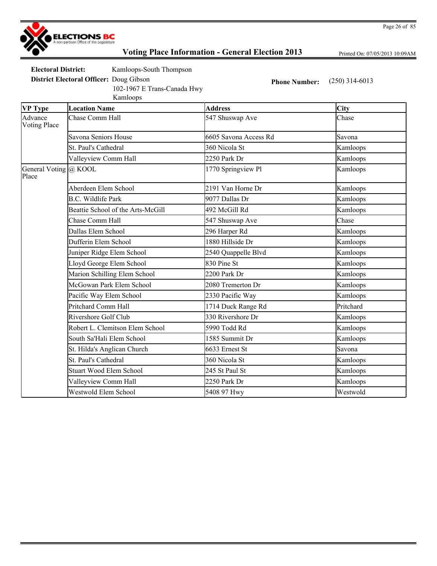

Printed On: 07/05/2013 10:09AM

**Electoral District:** Kamloops-South Thompson

Kamloops 102-1967 E Trans-Canada Hwy

**District Electoral Officer:** Doug Gibson **Phone Number:** (250) 314-6013

| <b>VP Type</b>                 | <b>Location Name</b>              | <b>Address</b>        | City      |
|--------------------------------|-----------------------------------|-----------------------|-----------|
| Advance<br><b>Voting Place</b> | Chase Comm Hall                   | 547 Shuswap Ave       | Chase     |
|                                | Savona Seniors House              | 6605 Savona Access Rd | Savona    |
|                                | St. Paul's Cathedral              | 360 Nicola St         | Kamloops  |
|                                | Valleyview Comm Hall              | 2250 Park Dr          | Kamloops  |
| General Voting @ KOOL<br>Place |                                   | 1770 Springview Pl    | Kamloops  |
|                                | Aberdeen Elem School              | 2191 Van Horne Dr     | Kamloops  |
|                                | <b>B.C.</b> Wildlife Park         | 9077 Dallas Dr        | Kamloops  |
|                                | Beattie School of the Arts-McGill | 492 McGill Rd         | Kamloops  |
|                                | Chase Comm Hall                   | 547 Shuswap Ave       | Chase     |
|                                | Dallas Elem School                | 296 Harper Rd         | Kamloops  |
|                                | Dufferin Elem School              | 1880 Hillside Dr      | Kamloops  |
|                                | Juniper Ridge Elem School         | 2540 Quappelle Blvd   | Kamloops  |
|                                | Lloyd George Elem School          | 830 Pine St           | Kamloops  |
|                                | Marion Schilling Elem School      | 2200 Park Dr          | Kamloops  |
|                                | McGowan Park Elem School          | 2080 Tremerton Dr     | Kamloops  |
|                                | Pacific Way Elem School           | 2330 Pacific Way      | Kamloops  |
|                                | <b>Pritchard Comm Hall</b>        | 1714 Duck Range Rd    | Pritchard |
|                                | Rivershore Golf Club              | 330 Rivershore Dr     | Kamloops  |
|                                | Robert L. Clemitson Elem School   | 5990 Todd Rd          | Kamloops  |
|                                | South Sa'Hali Elem School         | 1585 Summit Dr        | Kamloops  |
|                                | St. Hilda's Anglican Church       | 6633 Ernest St        | Savona    |
|                                | St. Paul's Cathedral              | 360 Nicola St         | Kamloops  |
|                                | <b>Stuart Wood Elem School</b>    | 245 St Paul St        | Kamloops  |
|                                | Valleyview Comm Hall              | 2250 Park Dr          | Kamloops  |
|                                | <b>Westwold Elem School</b>       | 5408 97 Hwy           | Westwold  |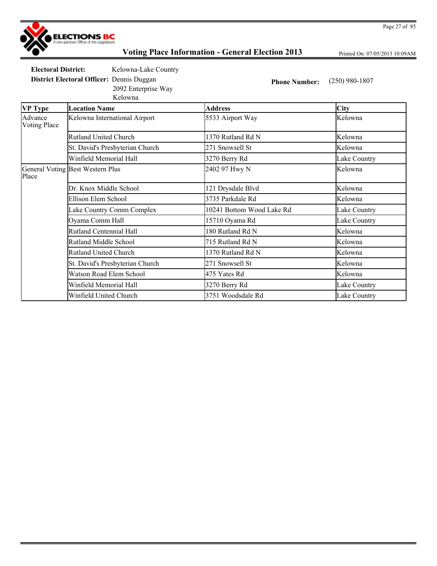

Printed On: 07/05/2013 10:09AM

**Electoral District:** Kelowna-Lake Country

2092 Enterprise Way

**District Electoral Officer:** Dennis Duggan **Phone Number:** (250) 980-1807

|                         | Kelowna                          |                           |              |
|-------------------------|----------------------------------|---------------------------|--------------|
| <b>VP Type</b>          | <b>Location Name</b>             | <b>Address</b>            | <b>City</b>  |
| Advance<br>Voting Place | Kelowna International Airport    | 5533 Airport Way          | Kelowna      |
|                         | <b>Rutland United Church</b>     | 1370 Rutland Rd N         | Kelowna      |
|                         | St. David's Presbyterian Church  | 271 Snowsell St           | Kelowna      |
|                         | Winfield Memorial Hall           | 3270 Berry Rd             | Lake Country |
| Place                   | General Voting Best Western Plus | 2402 97 Hwy N             | Kelowna      |
|                         | Dr. Knox Middle School           | 121 Drysdale Blvd         | Kelowna      |
|                         | Ellison Elem School              | 3735 Parkdale Rd          | Kelowna      |
|                         | Lake Country Comm Complex        | 10241 Bottom Wood Lake Rd | Lake Country |
|                         | Oyama Comm Hall                  | 15710 Oyama Rd            | Lake Country |
|                         | <b>Rutland Centennial Hall</b>   | 180 Rutland Rd N          | Kelowna      |
|                         | <b>Rutland Middle School</b>     | 715 Rutland Rd N          | Kelowna      |
|                         | <b>Rutland United Church</b>     | 1370 Rutland Rd N         | Kelowna      |
|                         | St. David's Presbyterian Church  | 271 Snowsell St           | Kelowna      |
|                         | Watson Road Elem School          | 475 Yates Rd              | Kelowna      |
|                         | Winfield Memorial Hall           | 3270 Berry Rd             | Lake Country |
|                         | Winfield United Church           | 3751 Woodsdale Rd         | Lake Country |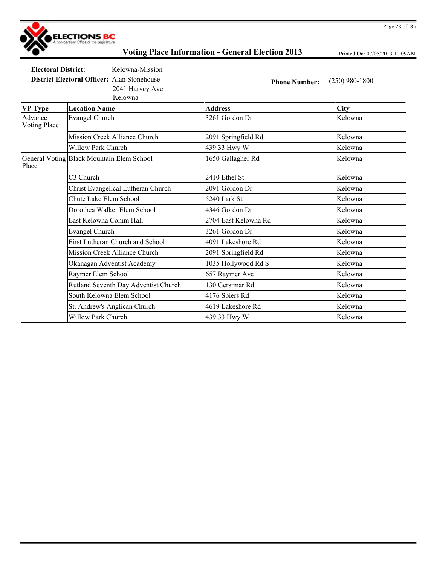

Printed On: 07/05/2013 10:09AM

**Electoral District:** Kelowna-Mission **District Electoral Officer:** Alan Stonehouse **Phone Number:** (250) 980-1800 2041 Harvey Ave

Kelowna

| ixuu wiig               |                                           |                      |             |
|-------------------------|-------------------------------------------|----------------------|-------------|
| <b>VP Type</b>          | <b>Location Name</b>                      | <b>Address</b>       | <b>City</b> |
| Advance<br>Voting Place | <b>Evangel Church</b>                     | 3261 Gordon Dr       | Kelowna     |
|                         | Mission Creek Alliance Church             | 2091 Springfield Rd  | Kelowna     |
|                         | Willow Park Church                        | 439 33 Hwy W         | Kelowna     |
| Place                   | General Voting Black Mountain Elem School | 1650 Gallagher Rd    | Kelowna     |
|                         | C <sub>3</sub> Church                     | 2410 Ethel St        | Kelowna     |
|                         | Christ Evangelical Lutheran Church        | 2091 Gordon Dr       | Kelowna     |
|                         | Chute Lake Elem School                    | 5240 Lark St         | Kelowna     |
|                         | Dorothea Walker Elem School               | 4346 Gordon Dr       | Kelowna     |
|                         | East Kelowna Comm Hall                    | 2704 East Kelowna Rd | Kelowna     |
|                         | Evangel Church                            | 3261 Gordon Dr       | Kelowna     |
|                         | First Lutheran Church and School          | 4091 Lakeshore Rd    | Kelowna     |
|                         | Mission Creek Alliance Church             | 2091 Springfield Rd  | Kelowna     |
|                         | Okanagan Adventist Academy                | 1035 Hollywood Rd S  | Kelowna     |
|                         | Raymer Elem School                        | 657 Raymer Ave       | Kelowna     |
|                         | Rutland Seventh Day Adventist Church      | 130 Gerstmar Rd      | Kelowna     |
|                         | South Kelowna Elem School                 | 4176 Spiers Rd       | Kelowna     |
|                         | St. Andrew's Anglican Church              | 4619 Lakeshore Rd    | Kelowna     |
|                         | <b>Willow Park Church</b>                 | 439 33 Hwy W         | Kelowna     |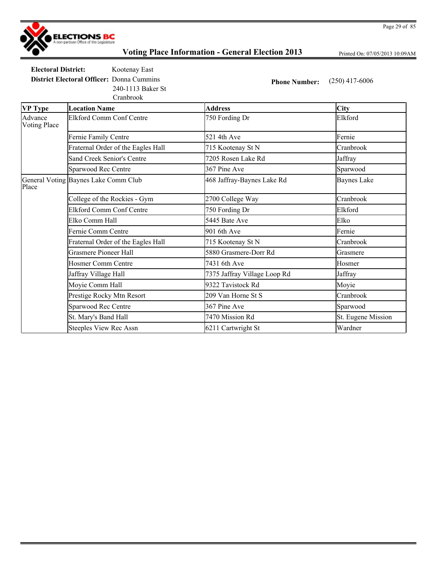

Printed On: 07/05/2013 10:09AM

**Electoral District:** Kootenay East **District Electoral Officer:** Donna Cummins **Phone Number:** (250) 417-6006

240-1113 Baker St

|                                | Cranbrook                            |                              |                    |
|--------------------------------|--------------------------------------|------------------------------|--------------------|
| <b>VP</b> Type                 | <b>Location Name</b>                 | <b>Address</b>               | <b>City</b>        |
| Advance<br><b>Voting Place</b> | <b>Elkford Comm Conf Centre</b>      | 750 Fording Dr               | Elkford            |
|                                | Fernie Family Centre                 | 521 4th Ave                  | Fernie             |
|                                | Fraternal Order of the Eagles Hall   | 715 Kootenay St N            | Cranbrook          |
|                                | Sand Creek Senior's Centre           | 7205 Rosen Lake Rd           | Jaffray            |
|                                | Sparwood Rec Centre                  | 367 Pine Ave                 | Sparwood           |
| Place                          | General Voting Baynes Lake Comm Club | 468 Jaffray-Baynes Lake Rd   | <b>Baynes Lake</b> |
|                                | College of the Rockies - Gym         | 2700 College Way             | Cranbrook          |
|                                | <b>Elkford Comm Conf Centre</b>      | 750 Fording Dr               | Elkford            |
|                                | Elko Comm Hall                       | 5445 Bate Ave                | Elko               |
|                                | Fernie Comm Centre                   | 901 6th Ave                  | Fernie             |
|                                | Fraternal Order of the Eagles Hall   | 715 Kootenay St N            | Cranbrook          |
|                                | <b>Grasmere Pioneer Hall</b>         | 5880 Grasmere-Dorr Rd        | Grasmere           |
|                                | <b>Hosmer Comm Centre</b>            | 7431 6th Ave                 | Hosmer             |
|                                | Jaffray Village Hall                 | 7375 Jaffray Village Loop Rd | Jaffray            |
|                                | Moyie Comm Hall                      | 9322 Tavistock Rd            | Moyie              |
|                                | Prestige Rocky Mtn Resort            | 209 Van Horne St S           | Cranbrook          |
|                                | Sparwood Rec Centre                  | 367 Pine Ave                 | Sparwood           |
|                                | St. Mary's Band Hall                 | 7470 Mission Rd              | St. Eugene Mission |
|                                | Steeples View Rec Assn               | 6211 Cartwright St           | Wardner            |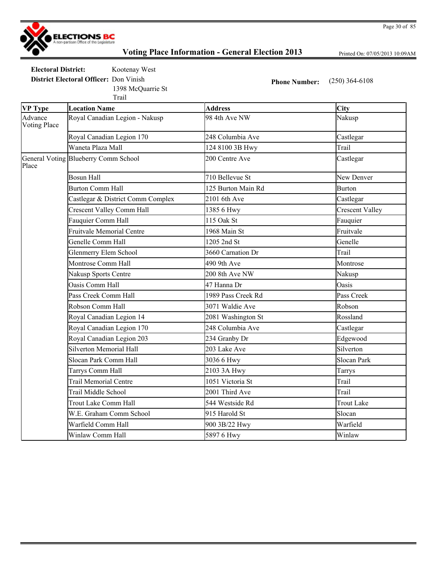

Printed On: 07/05/2013 10:09AM

Page 30 of 85

**Electoral District:** Kootenay West

**District Electoral Officer:** Don Vinish **Phone Number:** (250) 364-6108 1398 McQuarrie St

|                                | Trail                                |                    |                        |
|--------------------------------|--------------------------------------|--------------------|------------------------|
| <b>VP Type</b>                 | <b>Location Name</b>                 | <b>Address</b>     | City                   |
| Advance<br><b>Voting Place</b> | Royal Canadian Legion - Nakusp       | 98 4th Ave NW      | Nakusp                 |
|                                | Royal Canadian Legion 170            | 248 Columbia Ave   | Castlegar              |
|                                | Waneta Plaza Mall                    | 124 8100 3B Hwy    | Trail                  |
| Place                          | General Voting Blueberry Comm School | 200 Centre Ave     | Castlegar              |
|                                | <b>Bosun Hall</b>                    | 710 Bellevue St    | New Denver             |
|                                | <b>Burton Comm Hall</b>              | 125 Burton Main Rd | <b>Burton</b>          |
|                                | Castlegar & District Comm Complex    | 2101 6th Ave       | Castlegar              |
|                                | <b>Crescent Valley Comm Hall</b>     | 1385 6 Hwy         | <b>Crescent Valley</b> |
|                                | Fauquier Comm Hall                   | 115 Oak St         | Fauquier               |
|                                | <b>Fruitvale Memorial Centre</b>     | 1968 Main St       | Fruitvale              |
|                                | Genelle Comm Hall                    | 1205 2nd St        | Genelle                |
|                                | <b>Glenmerry Elem School</b>         | 3660 Carnation Dr  | Trail                  |
|                                | Montrose Comm Hall                   | 490 9th Ave        | Montrose               |
|                                | Nakusp Sports Centre                 | 200 8th Ave NW     | Nakusp                 |
|                                | Oasis Comm Hall                      | 47 Hanna Dr        | Oasis                  |
|                                | Pass Creek Comm Hall                 | 1989 Pass Creek Rd | Pass Creek             |
|                                | Robson Comm Hall                     | 3071 Waldie Ave    | Robson                 |
|                                | Royal Canadian Legion 14             | 2081 Washington St | Rossland               |
|                                | Royal Canadian Legion 170            | 248 Columbia Ave   | Castlegar              |
|                                | Royal Canadian Legion 203            | 234 Granby Dr      | Edgewood               |
|                                | <b>Silverton Memorial Hall</b>       | 203 Lake Ave       | Silverton              |
|                                | Slocan Park Comm Hall                | 3036 6 Hwy         | Slocan Park            |
|                                | Tarrys Comm Hall                     | 2103 3A Hwy        | Tarrys                 |
|                                | <b>Trail Memorial Centre</b>         | 1051 Victoria St   | Trail                  |
|                                | Trail Middle School                  | 2001 Third Ave     | Trail                  |
|                                | Trout Lake Comm Hall                 | 544 Westside Rd    | <b>Trout Lake</b>      |
|                                | W.E. Graham Comm School              | 915 Harold St      | Slocan                 |
|                                | Warfield Comm Hall                   | 900 3B/22 Hwy      | Warfield               |
|                                | Winlaw Comm Hall                     | 5897 6 Hwy         | Winlaw                 |
|                                |                                      |                    |                        |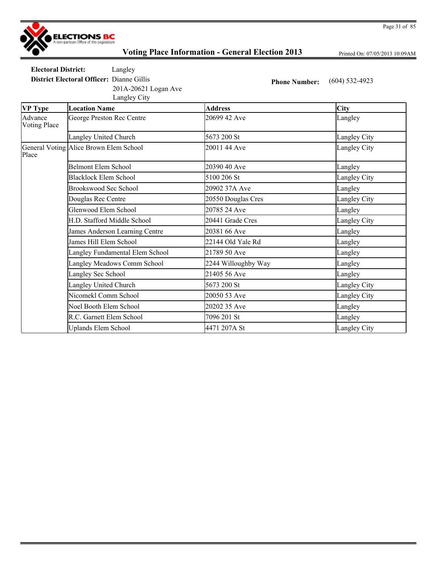

Printed On: 07/05/2013 10:09AM

**Electoral District:** Langley

201A-20621 Logan Ave

**District Electoral Officer:** Dianne Gillis **Phone Number:** (604) 532-4923

Langley City

| <b>VP Type</b>                 | <b>Location Name</b>                   | <b>Address</b>      | <b>City</b>  |
|--------------------------------|----------------------------------------|---------------------|--------------|
| Advance<br><b>Voting Place</b> | George Preston Rec Centre              | 20699 42 Ave        | Langley      |
|                                | Langley United Church                  | 5673 200 St         | Langley City |
| Place                          | General Voting Alice Brown Elem School | 20011 44 Ave        | Langley City |
|                                | <b>Belmont Elem School</b>             | 20390 40 Ave        | Langley      |
|                                | Blacklock Elem School                  | 5100 206 St         | Langley City |
|                                | Brookswood Sec School                  | 20902 37A Ave       | Langley      |
|                                | Douglas Rec Centre                     | 20550 Douglas Cres  | Langley City |
|                                | Glenwood Elem School                   | 20785 24 Ave        | Langley      |
|                                | H.D. Stafford Middle School            | 20441 Grade Cres    | Langley City |
|                                | James Anderson Learning Centre         | 20381 66 Ave        | Langley      |
|                                | James Hill Elem School                 | 22144 Old Yale Rd   | Langley      |
|                                | Langley Fundamental Elem School        | 21789 50 Ave        | Langley      |
|                                | Langley Meadows Comm School            | 2244 Willoughby Way | Langley      |
|                                | Langley Sec School                     | 21405 56 Ave        | Langley      |
|                                | Langley United Church                  | 5673 200 St         | Langley City |
|                                | Nicomekl Comm School                   | 20050 53 Ave        | Langley City |
|                                | Noel Booth Elem School                 | 20202 35 Ave        | Langley      |
|                                | R.C. Garnett Elem School               | 7096 201 St         | Langley      |
|                                | <b>Uplands Elem School</b>             | 4471 207A St        | Langley City |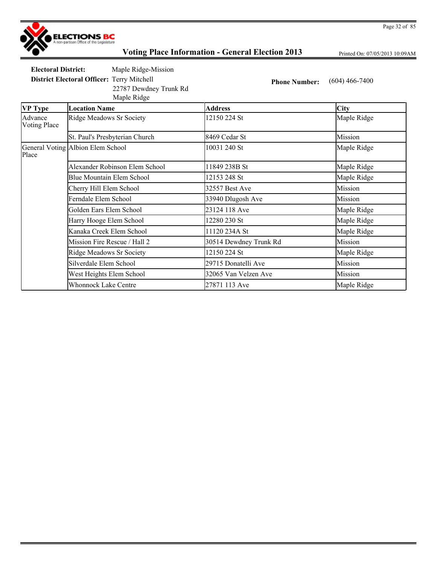

Printed On: 07/05/2013 10:09AM

**Electoral District:** Maple Ridge-Mission

22787 Dewdney Trunk Rd

Maple Ridge

**District Electoral Officer:** Terry Mitchell **Phone Number:** (604) 466-7400

| <b>VP</b> Type                 | <b>Location Name</b>              | <b>Address</b>         | <b>City</b> |
|--------------------------------|-----------------------------------|------------------------|-------------|
| Advance<br><b>Voting Place</b> | <b>Ridge Meadows Sr Society</b>   | 12150 224 St           | Maple Ridge |
|                                | St. Paul's Presbyterian Church    | 8469 Cedar St          | Mission     |
| Place                          | General Voting Albion Elem School | 10031 240 St           | Maple Ridge |
|                                | Alexander Robinson Elem School    | 11849 238B St          | Maple Ridge |
|                                | Blue Mountain Elem School         | 12153 248 St           | Maple Ridge |
|                                | Cherry Hill Elem School           | 32557 Best Ave         | Mission     |
|                                | Ferndale Elem School              | 33940 Dlugosh Ave      | Mission     |
|                                | Golden Ears Elem School           | 23124 118 Ave          | Maple Ridge |
|                                | Harry Hooge Elem School           | 12280 230 St           | Maple Ridge |
|                                | Kanaka Creek Elem School          | 11120 234A St          | Maple Ridge |
|                                | Mission Fire Rescue / Hall 2      | 30514 Dewdney Trunk Rd | Mission     |
|                                | <b>Ridge Meadows Sr Society</b>   | 12150 224 St           | Maple Ridge |
|                                | Silverdale Elem School            | 29715 Donatelli Ave    | Mission     |
|                                | West Heights Elem School          | 32065 Van Velzen Ave   | Mission     |
|                                | <b>Whonnock Lake Centre</b>       | 27871 113 Ave          | Maple Ridge |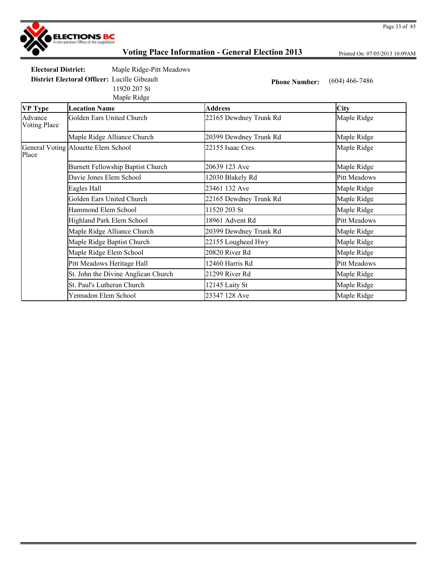

Printed On: 07/05/2013 10:09AM

**Electoral District:** Maple Ridge-Pitt Meadows **District Electoral Officer:** Lucille Gibeault **Phone Number:** (604) 466-7486

Maple Ridge 11920 207 St

| <b>VP Type</b>                 | <b>Location Name</b>                | <b>Address</b>         | <b>City</b>         |
|--------------------------------|-------------------------------------|------------------------|---------------------|
| Advance<br><b>Voting Place</b> | Golden Ears United Church           | 22165 Dewdney Trunk Rd | Maple Ridge         |
|                                | Maple Ridge Alliance Church         | 20399 Dewdney Trunk Rd | Maple Ridge         |
| Place                          | General Voting Alouette Elem School | 22155 Isaac Cres       | Maple Ridge         |
|                                | Burnett Fellowship Baptist Church   | 20639 123 Ave          | Maple Ridge         |
|                                | Davie Jones Elem School             | 12030 Blakely Rd       | <b>Pitt Meadows</b> |
|                                | Eagles Hall                         | 23461 132 Ave          | Maple Ridge         |
|                                | Golden Ears United Church           | 22165 Dewdney Trunk Rd | Maple Ridge         |
|                                | Hammond Elem School                 | 11520 203 St           | Maple Ridge         |
|                                | Highland Park Elem School           | 18961 Advent Rd        | <b>Pitt Meadows</b> |
|                                | Maple Ridge Alliance Church         | 20399 Dewdney Trunk Rd | Maple Ridge         |
|                                | Maple Ridge Baptist Church          | 22155 Lougheed Hwy     | Maple Ridge         |
|                                | Maple Ridge Elem School             | 20820 River Rd         | Maple Ridge         |
|                                | Pitt Meadows Heritage Hall          | 12460 Harris Rd        | <b>Pitt Meadows</b> |
|                                | St. John the Divine Anglican Church | 21299 River Rd         | Maple Ridge         |
|                                | St. Paul's Lutheran Church          | 12145 Laity St         | Maple Ridge         |
|                                | Yennadon Elem School                | 23347 128 Ave          | Maple Ridge         |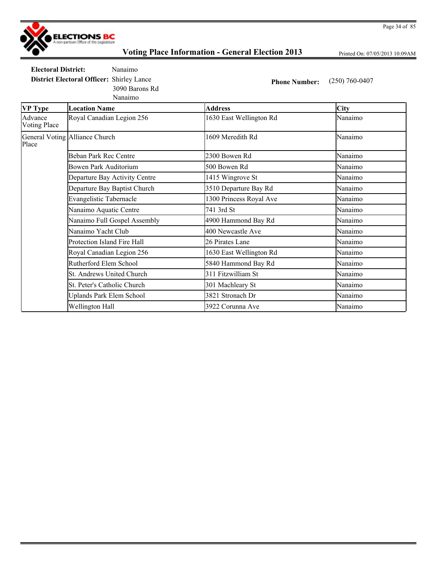

**VP Type Location Name** 

Advance Voting Place

# **Voting Place Information - General Election 2013**

Printed On: 07/05/2013 10:09AM

**Electoral District:** Nanaimo **District Electoral Officer:** Shirley Lance **Phone Number:** (250) 760-0407 3090 Barons Rd

Nanaimo

| <b>Location Name</b>      | <b>Address</b>          | <b>City</b> |
|---------------------------|-------------------------|-------------|
| Royal Canadian Legion 256 | 1630 East Wellington Rd | Nanaimo     |
| Alliance Church           | 1609 Meredith Rd        | Nanaimo     |
| Behan Park Rec Centre     | 2300 Bowen Rd           | Nanaimo     |

| Place | General Voting Alliance Church  | 1609 Meredith Rd        | Nanaimo |
|-------|---------------------------------|-------------------------|---------|
|       | Beban Park Rec Centre           | 2300 Bowen Rd           | Nanaimo |
|       | Bowen Park Auditorium           | 500 Bowen Rd            | Nanaimo |
|       | Departure Bay Activity Centre   | 1415 Wingrove St        | Nanaimo |
|       | Departure Bay Baptist Church    | 3510 Departure Bay Rd   | Nanaimo |
|       | <b>Evangelistic Tabernacle</b>  | 1300 Princess Royal Ave | Nanaimo |
|       | Nanaimo Aquatic Centre          | 741 3rd St              | Nanaimo |
|       | Nanaimo Full Gospel Assembly    | 4900 Hammond Bay Rd     | Nanaimo |
|       | Nanaimo Yacht Club              | 400 Newcastle Ave       | Nanaimo |
|       | Protection Island Fire Hall     | 26 Pirates Lane         | Nanaimo |
|       | Royal Canadian Legion 256       | 1630 East Wellington Rd | Nanaimo |
|       | Rutherford Elem School          | 5840 Hammond Bay Rd     | Nanaimo |
|       | St. Andrews United Church       | 311 Fitzwilliam St      | Nanaimo |
|       | St. Peter's Catholic Church     | 301 Machleary St        | Nanaimo |
|       | <b>Uplands Park Elem School</b> | 3821 Stronach Dr        | Nanaimo |
|       | Wellington Hall                 | 3922 Corunna Ave        | Nanaimo |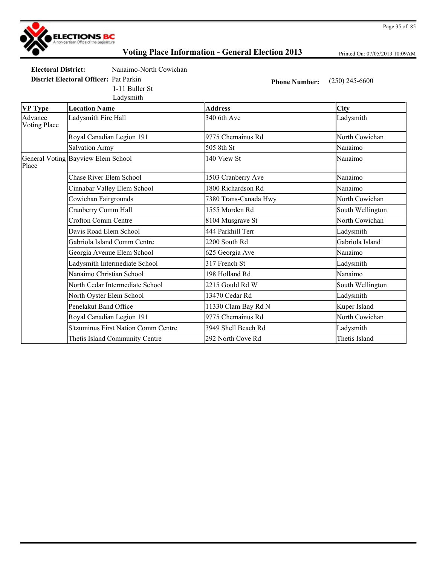

Printed On: 07/05/2013 10:09AM

**Electoral District:** Nanaimo-North Cowichan

1-11 Buller St

Ladysmith

**District Electoral Officer:** Pat Parkin **Phone Number:** (250) 245-6600

**VP Type Location Name Address City** Advance Voting Place Ladysmith Fire Hall 340 6th Ave Ladysmith Royal Canadian Legion 191 9775 Chemainus Rd North Cowichan Salvation Army 505 8th St Nanaimo General Voting Bayview Elem School 140 View St Nanaimo Place Chase River Elem School 1503 Cranberry Ave Nanaimo Cinnabar Valley Elem School 1800 Richardson Rd Nanaimo Cowichan Fairgrounds 7380 Trans-Canada Hwy North Cowichan Cranberry Comm Hall **1555** Morden Rd South Wellington Crofton Comm Centre 8104 Musgrave St North Cowichan Davis Road Elem School **1444 Parkhill Terr** 1444 Parkhill Terr Ladysmith Gabriola Island Comm Centre 2200 South Rd Gabriola Island Georgia Avenue Elem School 625 Georgia Ave Nanaimo Ladysmith Intermediate School 317 French St Ladysmith Nanaimo Christian School 198 Holland Rd Nanaimo North Cedar Intermediate School 2215 Gould Rd W South Wellington North Oyster Elem School 13470 Cedar Rd Ladysmith Penelakut Band Office 11330 Clam Bay Rd N Kuper Island Royal Canadian Legion 191 **9775 Chemainus Rd** North Cowichan S'tzuminus First Nation Comm Centre 3949 Shell Beach Rd Ladysmith Thetis Island Community Centre 292 North Cove Rd Thetis Island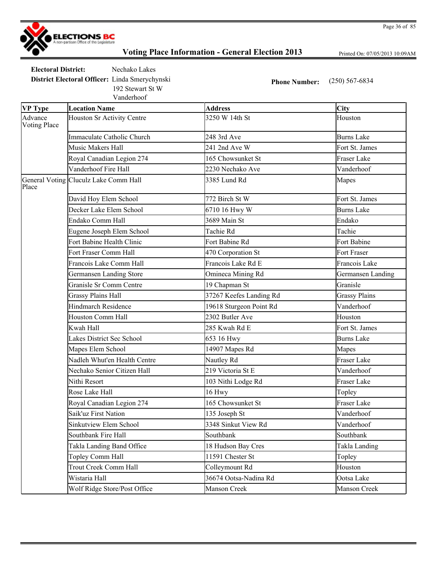

Printed On: 07/05/2013 10:09AM

**Electoral District:** Nechako Lakes **District Electoral Officer:** Linda Smerychynski **Phone Number:** (250) 567-6834

Vanderhoof 192 Stewart St W

| <b>VP Type</b>                 | <b>Location Name</b>                  | <b>Address</b>          | <b>City</b>          |
|--------------------------------|---------------------------------------|-------------------------|----------------------|
| Advance<br><b>Voting Place</b> | Houston Sr Activity Centre            | 3250 W 14th St          | Houston              |
|                                | Immaculate Catholic Church            | 248 3rd Ave             | <b>Burns Lake</b>    |
|                                | Music Makers Hall                     | 241 2nd Ave W           | Fort St. James       |
|                                | Royal Canadian Legion 274             | 165 Chowsunket St       | <b>Fraser Lake</b>   |
|                                | Vanderhoof Fire Hall                  | 2230 Nechako Ave        | Vanderhoof           |
| Place                          | General Voting Cluculz Lake Comm Hall | 3385 Lund Rd            | Mapes                |
|                                | David Hoy Elem School                 | 772 Birch St W          | Fort St. James       |
|                                | Decker Lake Elem School               | 6710 16 Hwy W           | <b>Burns Lake</b>    |
|                                | Endako Comm Hall                      | 3689 Main St            | Endako               |
|                                | Eugene Joseph Elem School             | Tachie Rd               | Tachie               |
|                                | Fort Babine Health Clinic             | Fort Babine Rd          | Fort Babine          |
|                                | Fort Fraser Comm Hall                 | 470 Corporation St      | Fort Fraser          |
|                                | Francois Lake Comm Hall               | Francois Lake Rd E      | Francois Lake        |
|                                | <b>Germansen Landing Store</b>        | Omineca Mining Rd       | Germansen Landing    |
|                                | Granisle Sr Comm Centre               | 19 Chapman St           | Granisle             |
|                                | <b>Grassy Plains Hall</b>             | 37267 Keefes Landing Rd | <b>Grassy Plains</b> |
|                                | <b>Hindmarch Residence</b>            | 19618 Sturgeon Point Rd | Vanderhoof           |
|                                | Houston Comm Hall                     | 2302 Butler Ave         | Houston              |
|                                | Kwah Hall                             | 285 Kwah Rd E           | Fort St. James       |
|                                | <b>Lakes District Sec School</b>      | 653 16 Hwy              | <b>Burns Lake</b>    |
|                                | Mapes Elem School                     | 14907 Mapes Rd          | Mapes                |
|                                | Nadleh Whut'en Health Centre          | Nautley Rd              | <b>Fraser Lake</b>   |
|                                | Nechako Senior Citizen Hall           | 219 Victoria St E       | Vanderhoof           |
|                                | Nithi Resort                          | 103 Nithi Lodge Rd      | Fraser Lake          |
|                                | Rose Lake Hall                        | 16 Hwy                  | Topley               |
|                                | Royal Canadian Legion 274             | 165 Chowsunket St       | Fraser Lake          |
|                                | Saik'uz First Nation                  | 135 Joseph St           | Vanderhoof           |
|                                | Sinkutview Elem School                | 3348 Sinkut View Rd     | Vanderhoof           |
|                                | Southbank Fire Hall                   | Southbank               | Southbank            |
|                                | Takla Landing Band Office             | 18 Hudson Bay Cres      | Takla Landing        |
|                                | Topley Comm Hall                      | 11591 Chester St        | Topley               |
|                                | Trout Creek Comm Hall                 | Colleymount Rd          | Houston              |
|                                | Wistaria Hall                         | 36674 Ootsa-Nadina Rd   | Ootsa Lake           |
|                                | Wolf Ridge Store/Post Office          | Manson Creek            | Manson Creek         |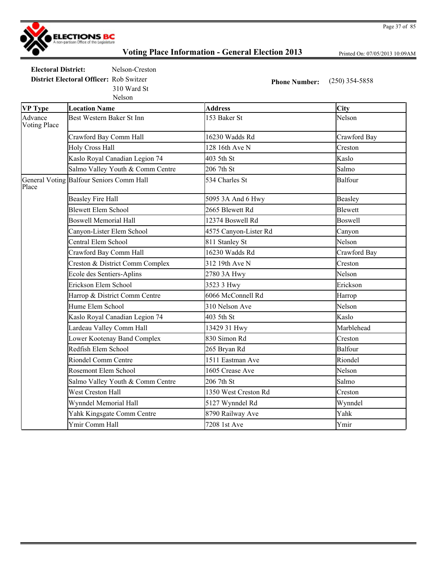

Printed On: 07/05/2013 10:09AM

**Electoral District:** Nelson-Creston **District Electoral Officer:** Rob Switzer **Phone Number:** (250) 354-5858 310 Ward St

Nelson

| <b>VP Type</b>                 | <b>Location Name</b>                     | <b>Address</b>        | City           |
|--------------------------------|------------------------------------------|-----------------------|----------------|
| Advance<br><b>Voting Place</b> | Best Western Baker St Inn                | 153 Baker St          | Nelson         |
|                                | Crawford Bay Comm Hall                   | 16230 Wadds Rd        | Crawford Bay   |
|                                | <b>Holy Cross Hall</b>                   | 128 16th Ave N        | Creston        |
|                                | Kaslo Royal Canadian Legion 74           | 403 5th St            | Kaslo          |
|                                | Salmo Valley Youth & Comm Centre         | 206 7th St            | Salmo          |
| Place                          | General Voting Balfour Seniors Comm Hall | 534 Charles St        | <b>Balfour</b> |
|                                | <b>Beasley Fire Hall</b>                 | 5095 3A And 6 Hwy     | Beasley        |
|                                | <b>Blewett Elem School</b>               | 2665 Blewett Rd       | Blewett        |
|                                | <b>Boswell Memorial Hall</b>             | 12374 Boswell Rd      | Boswell        |
|                                | Canyon-Lister Elem School                | 4575 Canyon-Lister Rd | Canyon         |
|                                | Central Elem School                      | 811 Stanley St        | Nelson         |
|                                | Crawford Bay Comm Hall                   | 16230 Wadds Rd        | Crawford Bay   |
|                                | Creston & District Comm Complex          | 312 19th Ave N        | Creston        |
|                                | Ecole des Sentiers-Aplins                | 2780 3A Hwy           | Nelson         |
|                                | Erickson Elem School                     | 3523 3 Hwy            | Erickson       |
|                                | Harrop & District Comm Centre            | 6066 McConnell Rd     | Harrop         |
|                                | Hume Elem School                         | 310 Nelson Ave        | Nelson         |
|                                | Kaslo Royal Canadian Legion 74           | 403 5th St            | Kaslo          |
|                                | Lardeau Valley Comm Hall                 | 13429 31 Hwy          | Marblehead     |
|                                | Lower Kootenay Band Complex              | 830 Simon Rd          | Creston        |
|                                | Redfish Elem School                      | 265 Bryan Rd          | <b>Balfour</b> |
|                                | <b>Riondel Comm Centre</b>               | 1511 Eastman Ave      | Riondel        |
|                                | Rosemont Elem School                     | 1605 Crease Ave       | Nelson         |
|                                | Salmo Valley Youth & Comm Centre         | 206 7th St            | Salmo          |
|                                | West Creston Hall                        | 1350 West Creston Rd  | Creston        |
|                                | Wynndel Memorial Hall                    | 5127 Wynndel Rd       | Wynndel        |
|                                | Yahk Kingsgate Comm Centre               | 8790 Railway Ave      | Yahk           |
|                                | Ymir Comm Hall                           | 7208 1st Ave          | Ymir           |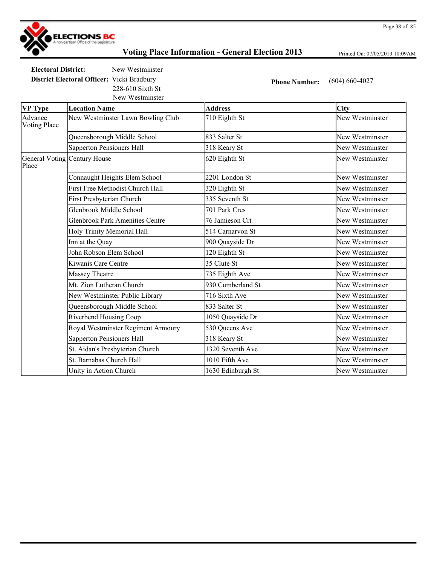

Printed On: 07/05/2013 10:09AM

**Electoral District:** New Westminster **District Electoral Officer:** Vicki Bradbury **Phone Number:** (604) 660-4027 228-610 Sixth St

New Westminster

| <b>VP Type</b>                 | <b>Location Name</b>                   | <b>Address</b>    | City            |
|--------------------------------|----------------------------------------|-------------------|-----------------|
| Advance<br><b>Voting Place</b> | New Westminster Lawn Bowling Club      | 710 Eighth St     | New Westminster |
|                                | Queensborough Middle School            | 833 Salter St     | New Westminster |
|                                | Sapperton Pensioners Hall              | 318 Keary St      | New Westminster |
| Place                          | General Voting Century House           | 620 Eighth St     | New Westminster |
|                                | Connaught Heights Elem School          | 2201 London St    | New Westminster |
|                                | First Free Methodist Church Hall       | 320 Eighth St     | New Westminster |
|                                | First Presbyterian Church              | 335 Seventh St    | New Westminster |
|                                | Glenbrook Middle School                | 701 Park Cres     | New Westminster |
|                                | <b>Glenbrook Park Amenities Centre</b> | 76 Jamieson Crt   | New Westminster |
|                                | Holy Trinity Memorial Hall             | 514 Carnarvon St  | New Westminster |
|                                | Inn at the Quay                        | 900 Quayside Dr   | New Westminster |
|                                | John Robson Elem School                | 120 Eighth St     | New Westminster |
|                                | Kiwanis Care Centre                    | 35 Clute St       | New Westminster |
|                                | Massey Theatre                         | 735 Eighth Ave    | New Westminster |
|                                | Mt. Zion Lutheran Church               | 930 Cumberland St | New Westminster |
|                                | New Westminster Public Library         | 716 Sixth Ave     | New Westminster |
|                                | Queensborough Middle School            | 833 Salter St     | New Westminster |
|                                | Riverbend Housing Coop                 | 1050 Quayside Dr  | New Westminster |
|                                | Royal Westminster Regiment Armoury     | 530 Queens Ave    | New Westminster |
|                                | Sapperton Pensioners Hall              | 318 Keary St      | New Westminster |
|                                | St. Aidan's Presbyterian Church        | 1320 Seventh Ave  | New Westminster |
|                                | St. Barnabas Church Hall               | 1010 Fifth Ave    | New Westminster |
|                                | Unity in Action Church                 | 1630 Edinburgh St | New Westminster |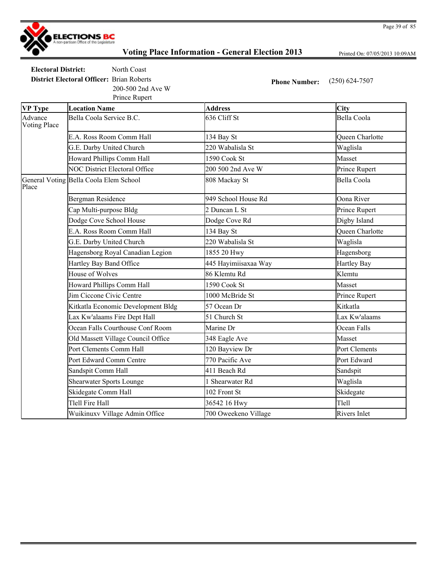

Printed On: 07/05/2013 10:09AM

Page 39 of 85

**Electoral District:** North Coast **District Electoral Officer:** Brian Roberts **Phone Number:** (250) 624-7507 200-500 2nd Ave W

| Prince Rupert                  |                                        |                      |                        |
|--------------------------------|----------------------------------------|----------------------|------------------------|
| <b>VP Type</b>                 | <b>Location Name</b>                   | <b>Address</b>       | City                   |
| Advance<br><b>Voting Place</b> | Bella Coola Service B.C.               | 636 Cliff St         | Bella Coola            |
|                                | E.A. Ross Room Comm Hall               | 134 Bay St           | <b>Oueen Charlotte</b> |
|                                | G.E. Darby United Church               | 220 Wabalisla St     | Waglisla               |
|                                | Howard Phillips Comm Hall              | 1590 Cook St         | Masset                 |
|                                | <b>NOC District Electoral Office</b>   | 200 500 2nd Ave W    | Prince Rupert          |
| Place                          | General Voting Bella Coola Elem School | 808 Mackay St        | <b>Bella Coola</b>     |
|                                | <b>Bergman Residence</b>               | 949 School House Rd  | Oona River             |
|                                | Cap Multi-purpose Bldg                 | 2 Duncan L St        | Prince Rupert          |
|                                | Dodge Cove School House                | Dodge Cove Rd        | Digby Island           |
|                                | E.A. Ross Room Comm Hall               | 134 Bay St           | <b>Oueen Charlotte</b> |
|                                | G.E. Darby United Church               | 220 Wabalisla St     | Waglisla               |
|                                | Hagensborg Royal Canadian Legion       | 1855 20 Hwy          | Hagensborg             |
|                                | Hartley Bay Band Office                | 445 Hayimiisaxaa Way | <b>Hartley Bay</b>     |
|                                | House of Wolves                        | 86 Klemtu Rd         | Klemtu                 |
|                                | Howard Phillips Comm Hall              | 1590 Cook St         | Masset                 |
|                                | Jim Ciccone Civic Centre               | 1000 McBride St      | Prince Rupert          |
|                                | Kitkatla Economic Development Bldg     | 57 Ocean Dr          | Kitkatla               |
|                                | Lax Kw'alaams Fire Dept Hall           | 51 Church St         | Lax Kw'alaams          |
|                                | Ocean Falls Courthouse Conf Room       | Marine Dr            | Ocean Falls            |
|                                | Old Massett Village Council Office     | 348 Eagle Ave        | Masset                 |
|                                | Port Clements Comm Hall                | 120 Bayview Dr       | Port Clements          |
|                                | Port Edward Comm Centre                | 770 Pacific Ave      | Port Edward            |
|                                | Sandspit Comm Hall                     | 411 Beach Rd         | Sandspit               |
|                                | <b>Shearwater Sports Lounge</b>        | 1 Shearwater Rd      | Waglisla               |
|                                | Skidegate Comm Hall                    | 102 Front St         | Skidegate              |
|                                | Tlell Fire Hall                        | 36542 16 Hwy         | Tlell                  |
|                                | Wuikinuxv Village Admin Office         | 700 Oweekeno Village | <b>Rivers Inlet</b>    |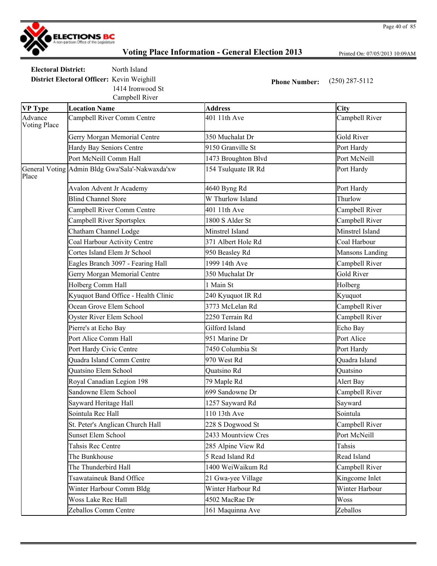

Printed On: 07/05/2013 10:09AM

**Electoral District:** North Island **District Electoral Officer:** Kevin Weighill **Phone Number:** (250) 287-5112

Campbell River 1414 Ironwood St

| <b>VP Type</b>                 | <b>Location Name</b>                            | <b>Address</b>      | City              |
|--------------------------------|-------------------------------------------------|---------------------|-------------------|
| Advance<br><b>Voting Place</b> | Campbell River Comm Centre                      | 401 11th Ave        | Campbell River    |
|                                | Gerry Morgan Memorial Centre                    | 350 Muchalat Dr     | <b>Gold River</b> |
|                                | Hardy Bay Seniors Centre                        | 9150 Granville St   | Port Hardy        |
|                                | Port McNeill Comm Hall                          | 1473 Broughton Blvd | Port McNeill      |
| Place                          | General Voting Admin Bldg Gwa'Sala'-Nakwaxda'xw | 154 Tsulquate IR Rd | Port Hardy        |
|                                | Avalon Advent Jr Academy                        | 4640 Byng Rd        | Port Hardy        |
|                                | <b>Blind Channel Store</b>                      | W Thurlow Island    | Thurlow           |
|                                | Campbell River Comm Centre                      | 401 11th Ave        | Campbell River    |
|                                | Campbell River Sportsplex                       | 1800 S Alder St     | Campbell River    |
|                                | Chatham Channel Lodge                           | Minstrel Island     | Minstrel Island   |
|                                | Coal Harbour Activity Centre                    | 371 Albert Hole Rd  | Coal Harbour      |
|                                | Cortes Island Elem Jr School                    | 950 Beasley Rd      | Mansons Landing   |
|                                | Eagles Branch 3097 - Fearing Hall               | 1999 14th Ave       | Campbell River    |
|                                | Gerry Morgan Memorial Centre                    | 350 Muchalat Dr     | <b>Gold River</b> |
|                                | Holberg Comm Hall                               | 1 Main St           | Holberg           |
|                                | Kyuquot Band Office - Health Clinic             | 240 Kyuquot IR Rd   | Kyuquot           |
|                                | Ocean Grove Elem School                         | 3773 McLelan Rd     | Campbell River    |
|                                | Oyster River Elem School                        | 2250 Terrain Rd     | Campbell River    |
|                                | Pierre's at Echo Bay                            | Gilford Island      | Echo Bay          |
|                                | Port Alice Comm Hall                            | 951 Marine Dr       | Port Alice        |
|                                | Port Hardy Civic Centre                         | 7450 Columbia St    | Port Hardy        |
|                                | Quadra Island Comm Centre                       | 970 West Rd         | Quadra Island     |
|                                | Quatsino Elem School                            | Quatsino Rd         | Quatsino          |
|                                | Royal Canadian Legion 198                       | 79 Maple Rd         | Alert Bay         |
|                                | Sandowne Elem School                            | 699 Sandowne Dr     | Campbell River    |
|                                | Sayward Heritage Hall                           | 1257 Sayward Rd     | Sayward           |
|                                | Sointula Rec Hall                               | 110 13th Ave        | Sointula          |
|                                | St. Peter's Anglican Church Hall                | 228 S Dogwood St    | Campbell River    |
|                                | <b>Sunset Elem School</b>                       | 2433 Mountview Cres | Port McNeill      |
|                                | Tahsis Rec Centre                               | 285 Alpine View Rd  | Tahsis            |
|                                | The Bunkhouse                                   | 5 Read Island Rd    | Read Island       |
|                                | The Thunderbird Hall                            | 1400 WeiWaikum Rd   | Campbell River    |
|                                | <b>Tsawataineuk Band Office</b>                 | 21 Gwa-yee Village  | Kingcome Inlet    |
|                                | Winter Harbour Comm Bldg                        | Winter Harbour Rd   | Winter Harbour    |
|                                | <b>Woss Lake Rec Hall</b>                       | 4502 MacRae Dr      | Woss              |
|                                | Zeballos Comm Centre                            | 161 Maquinna Ave    | Zeballos          |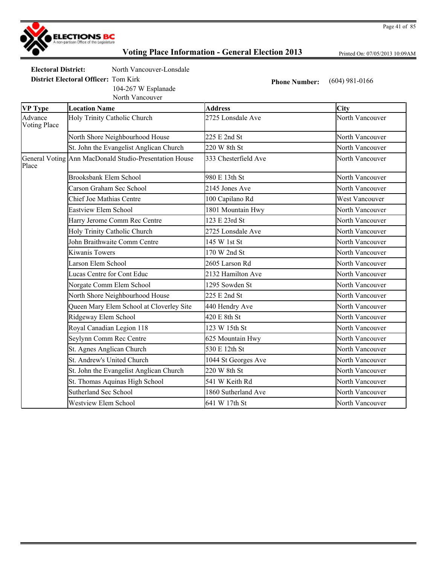

Printed On: 07/05/2013 10:09AM

Page 41 of 85

**Electoral District:** North Vancouver-Lonsdale

**District Electoral Officer:** Tom Kirk **Phone Number:** (604) 981-0166

104-267 W Esplanade

|                                | North Vancouver                                        |                      |                 |
|--------------------------------|--------------------------------------------------------|----------------------|-----------------|
| <b>VP Type</b>                 | <b>Location Name</b>                                   | <b>Address</b>       | City            |
| Advance<br><b>Voting Place</b> | Holy Trinity Catholic Church                           | 2725 Lonsdale Ave    | North Vancouver |
|                                | North Shore Neighbourhood House                        | 225 E 2nd St         | North Vancouver |
|                                | St. John the Evangelist Anglican Church                | 220 W 8th St         | North Vancouver |
| Place                          | General Voting Ann MacDonald Studio-Presentation House | 333 Chesterfield Ave | North Vancouver |
|                                | Brooksbank Elem School                                 | 980 E 13th St        | North Vancouver |
|                                | Carson Graham Sec School                               | 2145 Jones Ave       | North Vancouver |
|                                | Chief Joe Mathias Centre                               | 100 Capilano Rd      | West Vancouver  |
|                                | Eastview Elem School                                   | 1801 Mountain Hwy    | North Vancouver |
|                                | Harry Jerome Comm Rec Centre                           | 123 E 23rd St        | North Vancouver |
|                                | Holy Trinity Catholic Church                           | 2725 Lonsdale Ave    | North Vancouver |
|                                | John Braithwaite Comm Centre                           | 145 W 1st St         | North Vancouver |
|                                | Kiwanis Towers                                         | 170 W 2nd St         | North Vancouver |
|                                | Larson Elem School                                     | 2605 Larson Rd       | North Vancouver |
|                                | Lucas Centre for Cont Educ                             | 2132 Hamilton Ave    | North Vancouver |
|                                | Norgate Comm Elem School                               | 1295 Sowden St       | North Vancouver |
|                                | North Shore Neighbourhood House                        | 225 E 2nd St         | North Vancouver |

Queen Mary Elem School at Cloverley Site 440 Hendry Ave North Vancouver Ridgeway Elem School **420 E** 8th St North Vancouver Royal Canadian Legion 118 123 W 15th St North Vancouver Seylynn Comm Rec Centre 625 Mountain Hwy North Vancouver St. Agnes Anglican Church 530 E 12th St North Vancouver St. Andrew's United Church 1044 St Georges Ave North Vancouver St. John the Evangelist Anglican Church 220 W 8th St North Vancouver St. Thomas Aquinas High School 541 W Keith Rd North Vancouver Sutherland Sec School 1860 Sutherland Ave North Vancouver Westview Elem School 641 W 17th St North Vancouver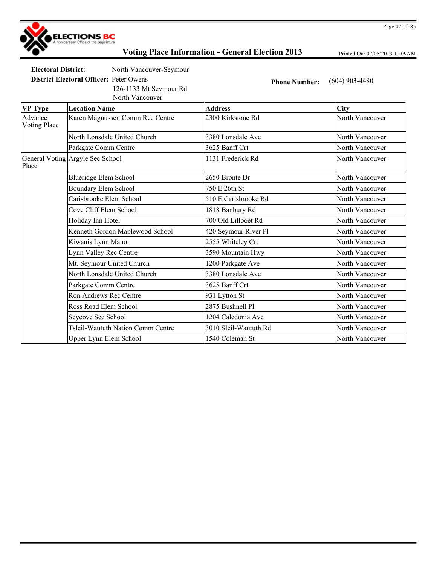

Printed On: 07/05/2013 10:09AM

**Electoral District:** North Vancouver-Seymour

**District Electoral Officer:** Peter Owens **Phone Number:** (604) 903-4480 126-1133 Mt Seymour Rd

North Vancouver

| <b>VP Type</b>                 | <b>Location Name</b>              | <b>Address</b>        | <b>City</b>     |
|--------------------------------|-----------------------------------|-----------------------|-----------------|
| Advance<br><b>Voting Place</b> | Karen Magnussen Comm Rec Centre   | 2300 Kirkstone Rd     | North Vancouver |
|                                | North Lonsdale United Church      | 3380 Lonsdale Ave     | North Vancouver |
|                                | Parkgate Comm Centre              | 3625 Banff Crt        | North Vancouver |
| Place                          | General Voting Argyle Sec School  | 1131 Frederick Rd     | North Vancouver |
|                                | Blueridge Elem School             | 2650 Bronte Dr        | North Vancouver |
|                                | Boundary Elem School              | 750 E 26th St         | North Vancouver |
|                                | Carisbrooke Elem School           | 510 E Carisbrooke Rd  | North Vancouver |
|                                | Cove Cliff Elem School            | 1818 Banbury Rd       | North Vancouver |
|                                | Holiday Inn Hotel                 | 700 Old Lillooet Rd   | North Vancouver |
|                                | Kenneth Gordon Maplewood School   | 420 Seymour River Pl  | North Vancouver |
|                                | Kiwanis Lynn Manor                | 2555 Whiteley Crt     | North Vancouver |
|                                | Lynn Valley Rec Centre            | 3590 Mountain Hwy     | North Vancouver |
|                                | Mt. Seymour United Church         | 1200 Parkgate Ave     | North Vancouver |
|                                | North Lonsdale United Church      | 3380 Lonsdale Ave     | North Vancouver |
|                                | Parkgate Comm Centre              | 3625 Banff Crt        | North Vancouver |
|                                | Ron Andrews Rec Centre            | 931 Lytton St         | North Vancouver |
|                                | Ross Road Elem School             | 2875 Bushnell Pl      | North Vancouver |
|                                | Seycove Sec School                | 1204 Caledonia Ave    | North Vancouver |
|                                | Tsleil-Waututh Nation Comm Centre | 3010 Sleil-Waututh Rd | North Vancouver |
|                                | Upper Lynn Elem School            | 1540 Coleman St       | North Vancouver |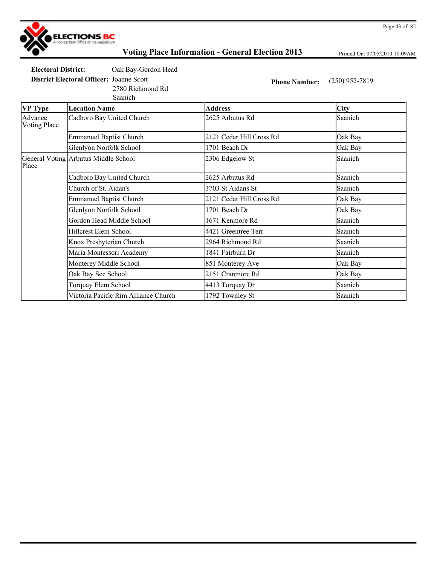

Printed On: 07/05/2013 10:09AM

**Electoral District:** Oak Bay-Gordon Head

2780 Richmond Rd

**District Electoral Officer:** Joanne Scott **Phone Number:** (250) 952-7819

Saanich **VP Type Location Name Address City** Advance Voting Place Cadboro Bay United Church 2625 Arbutus Rd Saanich Emmanuel Baptist Church 2121 Cedar Hill Cross Rd Oak Bay Glenlyon Norfolk School 1701 Beach Dr **Oak Bay** General Voting Arbutus Middle School 2306 Edgelow St Saanich Place Cadboro Bay United Church 2625 Arbutus Rd Saanich Church of St. Aidan's 3703 St Aidans St Saanich Emmanuel Baptist Church 2121 Cedar Hill Cross Rd Oak Bay Glenlyon Norfolk School 1701 Beach Dr **Oak Bay** Gordon Head Middle School 1671 Kenmore Rd Saanich Hillcrest Elem School 4421 Greentree Terr Saanich Knox Presbyterian Church 2964 Richmond Rd Saanich Maria Montessori Academy 1841 Fairburn Dr Saanich Monterey Middle School 851 Monterey Ave Oak Bay Oak Bay Sec School 2151 Cranmore Rd Oak Bay Torquay Elem School **1413** Torquay Dr Saanich Victoria Pacific Rim Alliance Church 1792 Townley St Saanich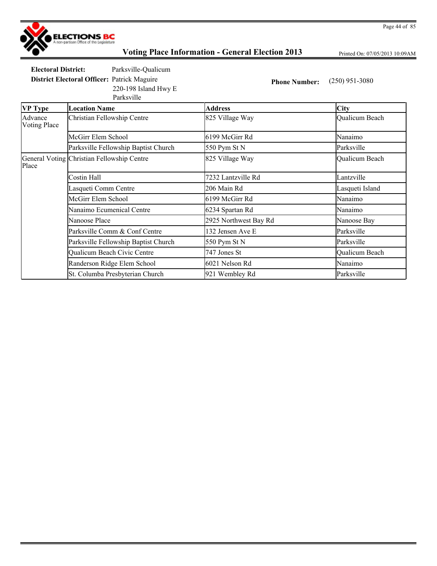

Printed On: 07/05/2013 10:09AM

**Electoral District:** Parksville-Qualicum **District Electoral Officer:** Patrick Maguire **Phone Number:** (250) 951-3080

220-198 Island Hwy E

|                         | Parksville                                 |                       |                 |
|-------------------------|--------------------------------------------|-----------------------|-----------------|
| <b>VP</b> Type          | <b>Location Name</b>                       | <b>Address</b>        | <b>City</b>     |
| Advance<br>Voting Place | Christian Fellowship Centre                | 825 Village Way       | Qualicum Beach  |
|                         | McGirr Elem School                         | 6199 McGirr Rd        | Nanaimo         |
|                         | Parksville Fellowship Baptist Church       | 550 Pym St N          | Parksville      |
| Place                   | General Voting Christian Fellowship Centre | 825 Village Way       | Qualicum Beach  |
|                         | Costin Hall                                | 7232 Lantzville Rd    | Lantzville      |
|                         | Lasqueti Comm Centre                       | 206 Main Rd           | Lasqueti Island |
|                         | McGirr Elem School                         | 6199 McGirr Rd        | Nanaimo         |
|                         | Nanaimo Ecumenical Centre                  | 6234 Spartan Rd       | Nanaimo         |
|                         | Nanoose Place                              | 2925 Northwest Bay Rd | Nanoose Bay     |
|                         | Parksville Comm & Conf Centre              | 132 Jensen Ave E      | Parksville      |
|                         | Parksville Fellowship Baptist Church       | 550 Pym St N          | Parksville      |
|                         | Qualicum Beach Civic Centre                | 747 Jones St          | Qualicum Beach  |
|                         | Randerson Ridge Elem School                | 6021 Nelson Rd        | Nanaimo         |
|                         | St. Columba Presbyterian Church            | 921 Wembley Rd        | Parksville      |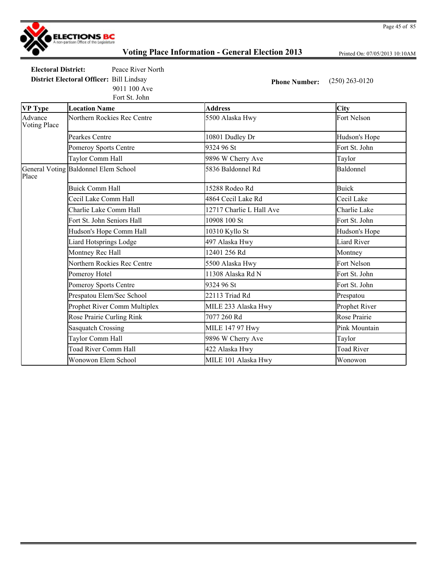

Printed On: 07/05/2013 10:10AM

Page 45 of 85

**Electoral District:** Peace River North **District Electoral Officer:** Bill Lindsay **Phone Number:** (250) 263-0120

Fort St. John 9011 100 Ave

| <b>VP</b> Type                 | <b>Location Name</b>                 | <b>Address</b>           | City               |
|--------------------------------|--------------------------------------|--------------------------|--------------------|
| Advance<br><b>Voting Place</b> | Northern Rockies Rec Centre          | 5500 Alaska Hwy          | Fort Nelson        |
|                                | Pearkes Centre                       | 10801 Dudley Dr          | Hudson's Hope      |
|                                | Pomeroy Sports Centre                | 9324 96 St               | Fort St. John      |
|                                | Taylor Comm Hall                     | 9896 W Cherry Ave        | Taylor             |
| Place                          | General Voting Baldonnel Elem School | 5836 Baldonnel Rd        | Baldonnel          |
|                                | <b>Buick Comm Hall</b>               | 15288 Rodeo Rd           | <b>Buick</b>       |
|                                | Cecil Lake Comm Hall                 | 4864 Cecil Lake Rd       | Cecil Lake         |
|                                | Charlie Lake Comm Hall               | 12717 Charlie L Hall Ave | Charlie Lake       |
|                                | Fort St. John Seniors Hall           | 10908 100 St             | Fort St. John      |
|                                | Hudson's Hope Comm Hall              | 10310 Kyllo St           | Hudson's Hope      |
|                                | Liard Hotsprings Lodge               | 497 Alaska Hwy           | <b>Liard River</b> |
|                                | Montney Rec Hall                     | 12401 256 Rd             | Montney            |
|                                | Northern Rockies Rec Centre          | 5500 Alaska Hwy          | Fort Nelson        |
|                                | Pomeroy Hotel                        | 11308 Alaska Rd N        | Fort St. John      |
|                                | Pomeroy Sports Centre                | 9324 96 St               | Fort St. John      |
|                                | Prespatou Elem/Sec School            | 22113 Triad Rd           | Prespatou          |
|                                | Prophet River Comm Multiplex         | MILE 233 Alaska Hwy      | Prophet River      |
|                                | Rose Prairie Curling Rink            | 7077 260 Rd              | Rose Prairie       |
|                                | <b>Sasquatch Crossing</b>            | <b>MILE 147 97 Hwy</b>   | Pink Mountain      |
|                                | Taylor Comm Hall                     | 9896 W Cherry Ave        | Taylor             |
|                                | <b>Toad River Comm Hall</b>          | 422 Alaska Hwy           | <b>Toad River</b>  |
|                                | Wonowon Elem School                  | MILE 101 Alaska Hwy      | Wonowon            |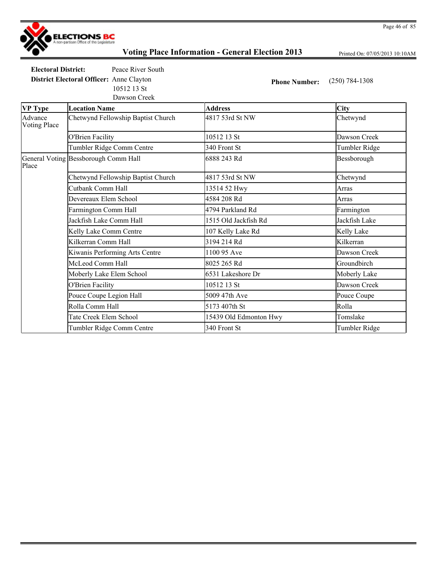

Printed On: 07/05/2013 10:10AM

**Electoral District:** Peace River South

Dawson Creek 10512 13 St

**District Electoral Officer:** Anne Clayton **Phone Number:** (250) 784-1308

| <b>VP Type</b>                 | <b>Location Name</b>                 | <b>Address</b>         | <b>City</b>   |
|--------------------------------|--------------------------------------|------------------------|---------------|
| Advance<br><b>Voting Place</b> | Chetwynd Fellowship Baptist Church   | 4817 53rd St NW        | Chetwynd      |
|                                | <b>O'Brien Facility</b>              | 10512 13 St            | Dawson Creek  |
|                                | Tumbler Ridge Comm Centre            | 340 Front St           | Tumbler Ridge |
| Place                          | General Voting Bessborough Comm Hall | 6888 243 Rd            | Bessborough   |
|                                | Chetwynd Fellowship Baptist Church   | 4817 53rd St NW        | Chetwynd      |
|                                | Cutbank Comm Hall                    | 13514 52 Hwy           | Arras         |
|                                | Devereaux Elem School                | 4584 208 Rd            | Arras         |
|                                | Farmington Comm Hall                 | 4794 Parkland Rd       | Farmington    |
|                                | Jackfish Lake Comm Hall              | 1515 Old Jackfish Rd   | Jackfish Lake |
|                                | Kelly Lake Comm Centre               | 107 Kelly Lake Rd      | Kelly Lake    |
|                                | Kilkerran Comm Hall                  | 3194 214 Rd            | Kilkerran     |
|                                | Kiwanis Performing Arts Centre       | 1100 95 Ave            | Dawson Creek  |
|                                | McLeod Comm Hall                     | 8025 265 Rd            | Groundbirch   |
|                                | Moberly Lake Elem School             | 6531 Lakeshore Dr      | Moberly Lake  |
|                                | <b>O'Brien Facility</b>              | 10512 13 St            | Dawson Creek  |
|                                | Pouce Coupe Legion Hall              | 5009 47th Ave          | Pouce Coupe   |
|                                | Rolla Comm Hall                      | 5173 407th St          | Rolla         |
|                                | Tate Creek Elem School               | 15439 Old Edmonton Hwy | Tomslake      |
|                                | Tumbler Ridge Comm Centre            | 340 Front St           | Tumbler Ridge |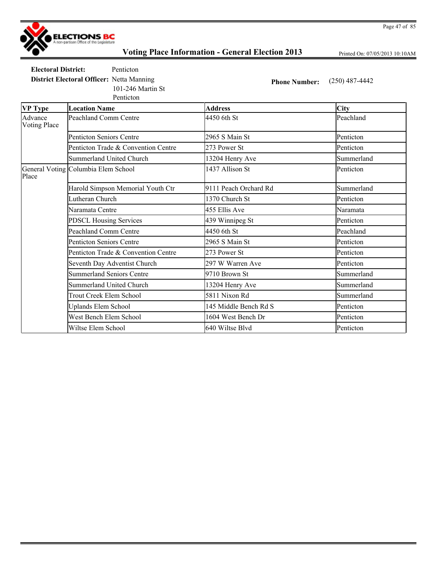

Printed On: 07/05/2013 10:10AM

**Electoral District:** Penticton **District Electoral Officer:** Netta Manning **Phone Number:** (250) 487-4442

101-246 Martin St

Penticton

| <b>VP</b> Type                 | <b>Location Name</b>                | <b>Address</b>        | <b>City</b> |
|--------------------------------|-------------------------------------|-----------------------|-------------|
| Advance<br><b>Voting Place</b> | <b>Peachland Comm Centre</b>        | 4450 6th St           | Peachland   |
|                                | <b>Penticton Seniors Centre</b>     | 2965 S Main St        | Penticton   |
|                                | Penticton Trade & Convention Centre | 273 Power St          | Penticton   |
|                                | <b>Summerland United Church</b>     | 13204 Henry Ave       | Summerland  |
| Place                          | General Voting Columbia Elem School | 1437 Allison St       | Penticton   |
|                                | Harold Simpson Memorial Youth Ctr   | 9111 Peach Orchard Rd | Summerland  |
|                                | Lutheran Church                     | 1370 Church St        | Penticton   |
|                                | Naramata Centre                     | 455 Ellis Ave         | Naramata    |
|                                | <b>PDSCL Housing Services</b>       | 439 Winnipeg St       | Penticton   |
|                                | <b>Peachland Comm Centre</b>        | 4450 6th St           | Peachland   |
|                                | <b>Penticton Seniors Centre</b>     | 2965 S Main St        | Penticton   |
|                                | Penticton Trade & Convention Centre | 273 Power St          | Penticton   |
|                                | Seventh Day Adventist Church        | 297 W Warren Ave      | Penticton   |
|                                | <b>Summerland Seniors Centre</b>    | 9710 Brown St         | Summerland  |
|                                | <b>Summerland United Church</b>     | 13204 Henry Ave       | Summerland  |
|                                | <b>Trout Creek Elem School</b>      | 5811 Nixon Rd         | Summerland  |
|                                | <b>Uplands Elem School</b>          | 145 Middle Bench Rd S | Penticton   |
|                                | West Bench Elem School              | 1604 West Bench Dr    | Penticton   |
|                                | Wiltse Elem School                  | 640 Wiltse Blvd       | Penticton   |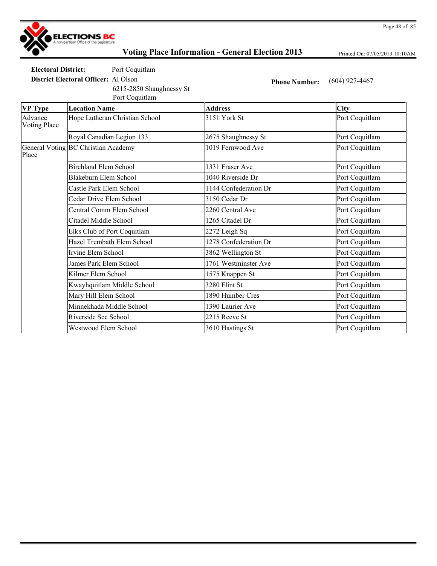

Printed On: 07/05/2013 10:10AM

**Electoral District:** Port Coquitlam

Port Coquitlam 6215-2850 Shaughnessy St

**District Electoral Officer:** Al Olson **Phone Number:** (604) 927-4467

| <b>VP</b> Type                 | <b>Location Name</b>                | <b>Address</b>        | <b>City</b>    |
|--------------------------------|-------------------------------------|-----------------------|----------------|
| Advance<br><b>Voting Place</b> | Hope Lutheran Christian School      | 3151 York St          | Port Coquitlam |
|                                | Royal Canadian Legion 133           | 2675 Shaughnessy St   | Port Coquitlam |
| Place                          | General Voting BC Christian Academy | 1019 Fernwood Ave     | Port Coquitlam |
|                                | <b>Birchland Elem School</b>        | 1331 Fraser Ave       | Port Coquitlam |
|                                | Blakeburn Elem School               | 1040 Riverside Dr     | Port Coquitlam |
|                                | Castle Park Elem School             | 1144 Confederation Dr | Port Coquitlam |
|                                | Cedar Drive Elem School             | 3150 Cedar Dr         | Port Coquitlam |
|                                | Central Comm Elem School            | 2260 Central Ave      | Port Coquitlam |
|                                | Citadel Middle School               | 1265 Citadel Dr       | Port Coquitlam |
|                                | Elks Club of Port Coquitlam         | 2272 Leigh Sq         | Port Coquitlam |
|                                | Hazel Trembath Elem School          | 1278 Confederation Dr | Port Coquitlam |
|                                | Irvine Elem School                  | 3862 Wellington St    | Port Coquitlam |
|                                | James Park Elem School              | 1761 Westminster Ave  | Port Coquitlam |
|                                | Kilmer Elem School                  | 1575 Knappen St       | Port Coquitlam |
|                                | Kwayhquitlam Middle School          | 3280 Flint St         | Port Coquitlam |
|                                | Mary Hill Elem School               | 1890 Humber Cres      | Port Coquitlam |
|                                | Minnekhada Middle School            | 1390 Laurier Ave      | Port Coquitlam |
|                                | Riverside Sec School                | 2215 Reeve St         | Port Coquitlam |
|                                | Westwood Elem School                | 3610 Hastings St      | Port Coquitlam |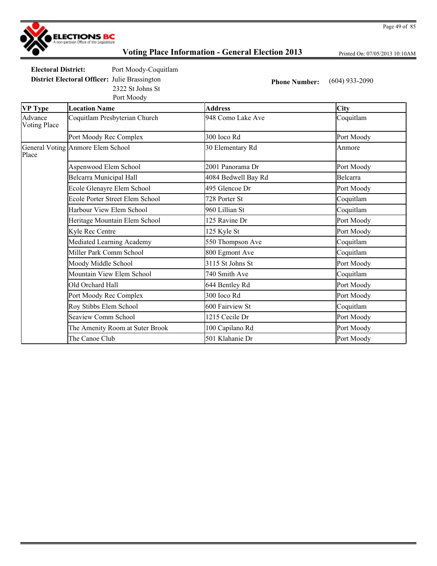

Printed On: 07/05/2013 10:10AM

Page 49 of 85

**Electoral District:** Port Moody-Coquitlam **District Electoral Officer:** Julie Brassington **Phone Number:** (604) 933-2090

Port Moody 2322 St Johns St

| <b>VP</b> Type                 | <b>Location Name</b>              | <b>Address</b>      | <b>City</b> |
|--------------------------------|-----------------------------------|---------------------|-------------|
| Advance<br><b>Voting Place</b> | Coquitlam Presbyterian Church     | 948 Como Lake Ave   | Coquitlam   |
|                                | Port Moody Rec Complex            | 300 Ioco Rd         | Port Moody  |
| Place                          | General Voting Anmore Elem School | 30 Elementary Rd    | Anmore      |
|                                | Aspenwood Elem School             | 2001 Panorama Dr    | Port Moody  |
|                                | <b>Belcarra Municipal Hall</b>    | 4084 Bedwell Bay Rd | Belcarra    |
|                                | Ecole Glenayre Elem School        | 495 Glencoe Dr      | Port Moody  |
|                                | Ecole Porter Street Elem School   | 728 Porter St       | Coquitlam   |
|                                | Harbour View Elem School          | 960 Lillian St      | Coquitlam   |
|                                | Heritage Mountain Elem School     | 125 Ravine Dr       | Port Moody  |
|                                | Kyle Rec Centre                   | 125 Kyle St         | Port Moody  |
|                                | Mediated Learning Academy         | 550 Thompson Ave    | Coquitlam   |
|                                | Miller Park Comm School           | 800 Egmont Ave      | Coquitlam   |
|                                | Moody Middle School               | 3115 St Johns St    | Port Moody  |
|                                | Mountain View Elem School         | 740 Smith Ave       | Coquitlam   |
|                                | Old Orchard Hall                  | 644 Bentley Rd      | Port Moody  |
|                                | Port Moody Rec Complex            | 300 Ioco Rd         | Port Moody  |
|                                | Roy Stibbs Elem School            | 600 Fairview St     | Coquitlam   |
|                                | Seaview Comm School               | 1215 Cecile Dr      | Port Moody  |
|                                | The Amenity Room at Suter Brook   | 100 Capilano Rd     | Port Moody  |
|                                | The Canoe Club                    | 501 Klahanie Dr     | Port Moody  |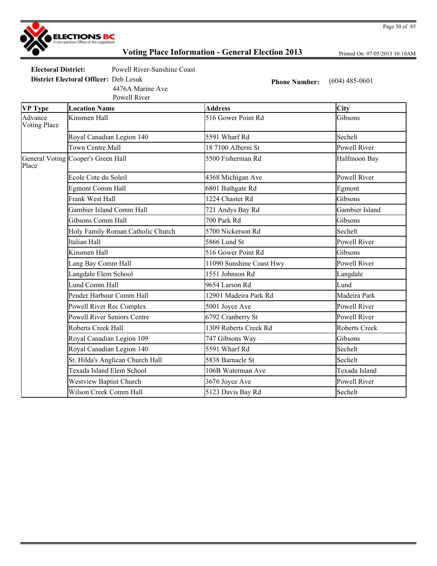

Printed On: 07/05/2013 10:10AM

Page 50 of 85

**Electoral District:** Powell River-Sunshine Coast

**District Electoral Officer:** Deb Lesuk **Phone Number:** (604) 485-0601

Powell River 4476A Marine Ave

| <b>VP</b> Type          | <b>Location Name</b>               | <b>Address</b>           | City                 |
|-------------------------|------------------------------------|--------------------------|----------------------|
| Advance<br>Voting Place | Kinsmen Hall                       | 516 Gower Point Rd       | Gibsons              |
|                         | Royal Canadian Legion 140          | 5591 Wharf Rd            | Sechelt              |
|                         | Town Centre Mall                   | 18 7100 Alberni St       | Powell River         |
| Place                   | General Voting Cooper's Green Hall | 5500 Fisherman Rd        | Halfmoon Bay         |
|                         | Ecole Cote du Soleil               | 4368 Michigan Ave        | Powell River         |
|                         | <b>Egmont Comm Hall</b>            | 6801 Bathgate Rd         | Egmont               |
|                         | Frank West Hall                    | 1224 Chaster Rd          | Gibsons              |
|                         | Gambier Island Comm Hall           | 721 Andys Bay Rd         | Gambier Island       |
|                         | Gibsons Comm Hall                  | 700 Park Rd              | Gibsons              |
|                         | Holy Family Roman Catholic Church  | 5700 Nickerson Rd        | Sechelt              |
|                         | Italian Hall                       | 5866 Lund St             | <b>Powell River</b>  |
|                         | Kinsmen Hall                       | 516 Gower Point Rd       | Gibsons              |
|                         | Lang Bay Comm Hall                 | 11090 Sunshine Coast Hwy | Powell River         |
|                         | Langdale Elem School               | 1551 Johnson Rd          | Langdale             |
|                         | Lund Comm Hall                     | 9654 Larson Rd           | Lund                 |
|                         | Pender Harbour Comm Hall           | 12901 Madeira Park Rd    | Madeira Park         |
|                         | Powell River Rec Complex           | 5001 Joyce Ave           | Powell River         |
|                         | <b>Powell River Seniors Centre</b> | 6792 Cranberry St        | <b>Powell River</b>  |
|                         | Roberts Creek Hall                 | 1309 Roberts Creek Rd    | <b>Roberts Creek</b> |
|                         | Royal Canadian Legion 109          | 747 Gibsons Way          | Gibsons              |
|                         | Royal Canadian Legion 140          | 5591 Wharf Rd            | Sechelt              |
|                         | St. Hilda's Anglican Church Hall   | 5838 Barnacle St         | Sechelt              |
|                         | Texada Island Elem School          | 106B Waterman Ave        | Texada Island        |
|                         | <b>Westview Baptist Church</b>     | 3676 Joyce Ave           | <b>Powell River</b>  |
|                         | Wilson Creek Comm Hall             | 5123 Davis Bay Rd        | Sechelt              |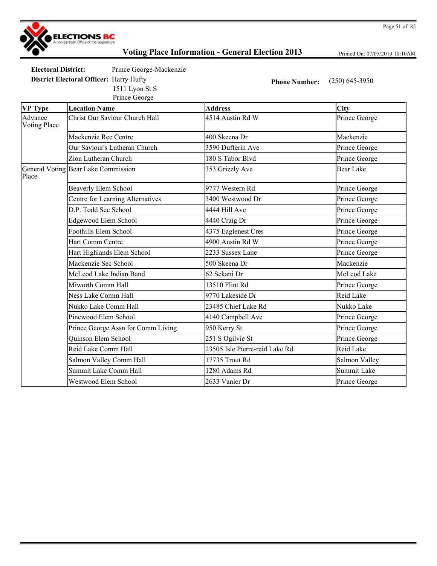

Printed On: 07/05/2013 10:10AM

| Electoral District:                            | Prince George-Mackenzie |
|------------------------------------------------|-------------------------|
| <b>District Electoral Officer: Harry Hufty</b> |                         |
|                                                | 1511 Lyon St S          |

**Phone Number:** (250) 645-3950

|                                | Prince George                       |                                |                  |
|--------------------------------|-------------------------------------|--------------------------------|------------------|
| <b>VP Type</b>                 | <b>Location Name</b>                | <b>Address</b>                 | City             |
| Advance<br><b>Voting Place</b> | Christ Our Saviour Church Hall      | 4514 Austin Rd W               | Prince George    |
|                                | Mackenzie Rec Centre                | 400 Skeena Dr                  | Mackenzie        |
|                                | Our Saviour's Lutheran Church       | 3590 Dufferin Ave              | Prince George    |
|                                | Zion Lutheran Church                | 180 S Tabor Blvd               | Prince George    |
| Place                          | General Voting Bear Lake Commission | 353 Grizzly Ave                | <b>Bear Lake</b> |
|                                | <b>Beaverly Elem School</b>         | 9777 Western Rd                | Prince George    |
|                                | Centre for Learning Alternatives    | 3400 Westwood Dr               | Prince George    |
|                                | D.P. Todd Sec School                | 4444 Hill Ave                  | Prince George    |
|                                | Edgewood Elem School                | 4440 Craig Dr                  | Prince George    |
|                                | Foothills Elem School               | 4375 Eaglenest Cres            | Prince George    |
|                                | Hart Comm Centre                    | 4900 Austin Rd W               | Prince George    |
|                                | Hart Highlands Elem School          | 2233 Sussex Lane               | Prince George    |
|                                | Mackenzie Sec School                | 500 Skeena Dr                  | Mackenzie        |
|                                | McLeod Lake Indian Band             | 62 Sekani Dr                   | McLeod Lake      |
|                                | Miworth Comm Hall                   | 13510 Flint Rd                 | Prince George    |
|                                | Ness Lake Comm Hall                 | 9770 Lakeside Dr               | <b>Reid Lake</b> |
|                                | Nukko Lake Comm Hall                | 23485 Chief Lake Rd            | Nukko Lake       |
|                                | Pinewood Elem School                | 4140 Campbell Ave              | Prince George    |
|                                | Prince George Assn for Comm Living  | 950 Kerry St                   | Prince George    |
|                                | <b>Ouinson Elem School</b>          | 251 S Ogilvie St               | Prince George    |
|                                | Reid Lake Comm Hall                 | 23505 Isle Pierre-reid Lake Rd | <b>Reid Lake</b> |
|                                | Salmon Valley Comm Hall             | 17735 Trout Rd                 | Salmon Valley    |
|                                | Summit Lake Comm Hall               | 1280 Adams Rd                  | Summit Lake      |
|                                | Westwood Elem School                | 2633 Vanier Dr                 | Prince George    |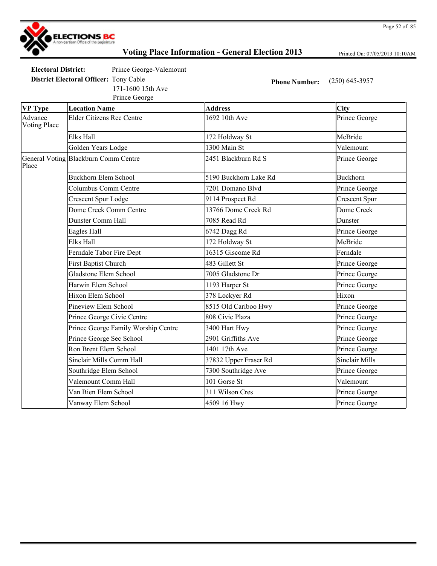

Printed On: 07/05/2013 10:10AM

**Electoral District:** Prince George-Valemount

**District Electoral Officer:** Tony Cable **Phone Number:** (250) 645-3957

Prince George 171-1600 15th Ave

| <b>VP</b> Type                 | <b>Location Name</b>                 | <b>Address</b>        | City                  |
|--------------------------------|--------------------------------------|-----------------------|-----------------------|
| Advance<br><b>Voting Place</b> | <b>Elder Citizens Rec Centre</b>     | 1692 10th Ave         | Prince George         |
|                                | Elks Hall                            | 172 Holdway St        | McBride               |
|                                | Golden Years Lodge                   | 1300 Main St          | Valemount             |
| Place                          | General Voting Blackburn Comm Centre | 2451 Blackburn Rd S   | Prince George         |
|                                | <b>Buckhorn Elem School</b>          | 5190 Buckhorn Lake Rd | <b>Buckhorn</b>       |
|                                | Columbus Comm Centre                 | 7201 Domano Blvd      | Prince George         |
|                                | <b>Crescent Spur Lodge</b>           | 9114 Prospect Rd      | <b>Crescent Spur</b>  |
|                                | Dome Creek Comm Centre               | 13766 Dome Creek Rd   | Dome Creek            |
|                                | Dunster Comm Hall                    | 7085 Read Rd          | Dunster               |
|                                | Eagles Hall                          | 6742 Dagg Rd          | Prince George         |
|                                | Elks Hall                            | 172 Holdway St        | McBride               |
|                                | Ferndale Tabor Fire Dept             | 16315 Giscome Rd      | Ferndale              |
|                                | <b>First Baptist Church</b>          | 483 Gillett St        | Prince George         |
|                                | Gladstone Elem School                | 7005 Gladstone Dr     | Prince George         |
|                                | Harwin Elem School                   | 1193 Harper St        | Prince George         |
|                                | Hixon Elem School                    | 378 Lockyer Rd        | Hixon                 |
|                                | Pineview Elem School                 | 8515 Old Cariboo Hwy  | Prince George         |
|                                | Prince George Civic Centre           | 808 Civic Plaza       | Prince George         |
|                                | Prince George Family Worship Centre  | 3400 Hart Hwy         | Prince George         |
|                                | Prince George Sec School             | 2901 Griffiths Ave    | Prince George         |
|                                | Ron Brent Elem School                | 1401 17th Ave         | Prince George         |
|                                | Sinclair Mills Comm Hall             | 37832 Upper Fraser Rd | <b>Sinclair Mills</b> |
|                                | Southridge Elem School               | 7300 Southridge Ave   | Prince George         |
|                                | Valemount Comm Hall                  | 101 Gorse St          | Valemount             |
|                                | Van Bien Elem School                 | 311 Wilson Cres       | Prince George         |
|                                | Vanway Elem School                   | 4509 16 Hwy           | Prince George         |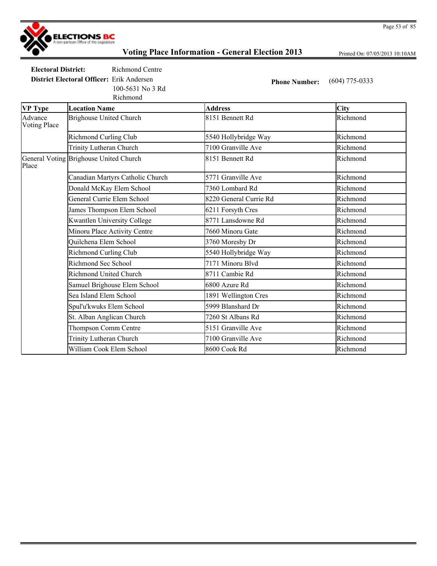

Printed On: 07/05/2013 10:10AM

**Electoral District:** Richmond Centre **District Electoral Officer:** Erik Andersen **Phone Number:** (604) 775-0333

Richmond 100-5631 No 3 Rd

| <b>VP Type</b>                 | <b>Location Name</b>                   | <b>Address</b>         | <b>City</b> |
|--------------------------------|----------------------------------------|------------------------|-------------|
| Advance<br><b>Voting Place</b> | <b>Brighouse United Church</b>         | 8151 Bennett Rd        | Richmond    |
|                                | <b>Richmond Curling Club</b>           | 5540 Hollybridge Way   | Richmond    |
|                                | Trinity Lutheran Church                | 7100 Granville Ave     | Richmond    |
| Place                          | General Voting Brighouse United Church | 8151 Bennett Rd        | Richmond    |
|                                | Canadian Martyrs Catholic Church       | 5771 Granville Ave     | Richmond    |
|                                | Donald McKay Elem School               | 7360 Lombard Rd        | Richmond    |
|                                | General Currie Elem School             | 8220 General Currie Rd | Richmond    |
|                                | James Thompson Elem School             | 6211 Forsyth Cres      | Richmond    |
|                                | <b>Kwantlen University College</b>     | 8771 Lansdowne Rd      | Richmond    |
|                                | Minoru Place Activity Centre           | 7660 Minoru Gate       | Richmond    |
|                                | Quilchena Elem School                  | 3760 Moresby Dr        | Richmond    |
|                                | <b>Richmond Curling Club</b>           | 5540 Hollybridge Way   | Richmond    |
|                                | Richmond Sec School                    | 7171 Minoru Blvd       | Richmond    |
|                                | Richmond United Church                 | 8711 Cambie Rd         | Richmond    |
|                                | Samuel Brighouse Elem School           | 6800 Azure Rd          | Richmond    |
|                                | Sea Island Elem School                 | 1891 Wellington Cres   | Richmond    |
|                                | Spul'u'kwuks Elem School               | 5999 Blanshard Dr      | Richmond    |
|                                | St. Alban Anglican Church              | 7260 St Albans Rd      | Richmond    |
|                                | Thompson Comm Centre                   | 5151 Granville Ave     | Richmond    |
|                                | Trinity Lutheran Church                | 7100 Granville Ave     | Richmond    |
|                                | William Cook Elem School               | 8600 Cook Rd           | Richmond    |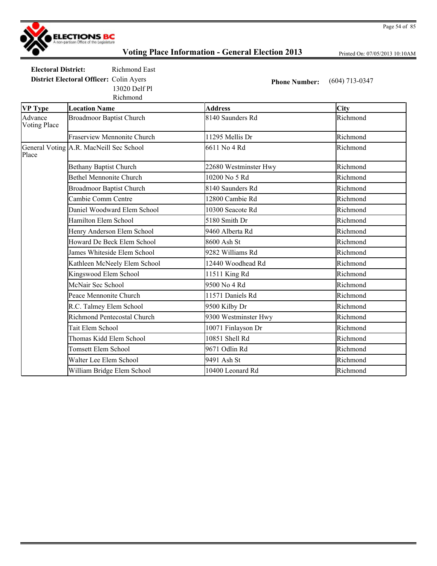

Printed On: 07/05/2013 10:10AM

**Electoral District:** Richmond East **District Electoral Officer:** Colin Ayers **Phone Number:** (604) 713-0347 13020 Delf Pl

|                                | Richmond                                |                       |             |
|--------------------------------|-----------------------------------------|-----------------------|-------------|
| <b>VP Type</b>                 | <b>Location Name</b>                    | <b>Address</b>        | <b>City</b> |
| Advance<br><b>Voting Place</b> | <b>Broadmoor Baptist Church</b>         | 8140 Saunders Rd      | Richmond    |
|                                | <b>Fraserview Mennonite Church</b>      | 11295 Mellis Dr       | Richmond    |
| Place                          | General Voting A.R. MacNeill Sec School | 6611 No 4 Rd          | Richmond    |
|                                | <b>Bethany Baptist Church</b>           | 22680 Westminster Hwy | Richmond    |
|                                | <b>Bethel Mennonite Church</b>          | 10200 No 5 Rd         | Richmond    |
|                                | <b>Broadmoor Baptist Church</b>         | 8140 Saunders Rd      | Richmond    |
|                                | Cambie Comm Centre                      | 12800 Cambie Rd       | Richmond    |
|                                | Daniel Woodward Elem School             | 10300 Seacote Rd      | Richmond    |
|                                | Hamilton Elem School                    | 5180 Smith Dr         | Richmond    |
|                                | Henry Anderson Elem School              | 9460 Alberta Rd       | Richmond    |
|                                | Howard De Beck Elem School              | 8600 Ash St           | Richmond    |
|                                | James Whiteside Elem School             | 9282 Williams Rd      | Richmond    |
|                                | Kathleen McNeely Elem School            | 12440 Woodhead Rd     | Richmond    |
|                                | Kingswood Elem School                   | 11511 King Rd         | Richmond    |
|                                | McNair Sec School                       | 9500 No 4 Rd          | Richmond    |
|                                | Peace Mennonite Church                  | 11571 Daniels Rd      | Richmond    |
|                                | R.C. Talmey Elem School                 | 9500 Kilby Dr         | Richmond    |
|                                | <b>Richmond Pentecostal Church</b>      | 9300 Westminster Hwy  | Richmond    |
|                                | Tait Elem School                        | 10071 Finlayson Dr    | Richmond    |
|                                | Thomas Kidd Elem School                 | 10851 Shell Rd        | Richmond    |
|                                | Tomsett Elem School                     | 9671 Odlin Rd         | Richmond    |
|                                | Walter Lee Elem School                  | 9491 Ash St           | Richmond    |
|                                | William Bridge Elem School              | 10400 Leonard Rd      | Richmond    |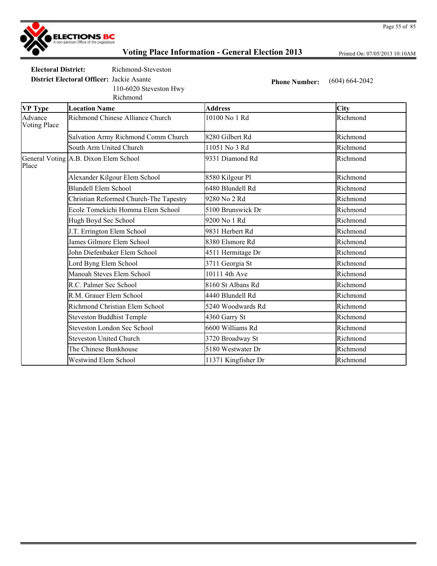

Printed On: 07/05/2013 10:10AM

**Electoral District:** Richmond-Steveston

110-6020 Steveston Hwy

**District Electoral Officer:** Jackie Asante **Phone Number:** (604) 664-2042

| <b>VP Type</b>          | <b>Location Name</b>                   | <b>Address</b>      | City     |
|-------------------------|----------------------------------------|---------------------|----------|
| Advance<br>Voting Place | Richmond Chinese Alliance Church       | 10100 No 1 Rd       | Richmond |
|                         | Salvation Army Richmond Comm Church    | 8280 Gilbert Rd     | Richmond |
|                         | South Arm United Church                | 11051 No 3 Rd       | Richmond |
| Place                   | General Voting A.B. Dixon Elem School  | 9331 Diamond Rd     | Richmond |
|                         | Alexander Kilgour Elem School          | 8580 Kilgour Pl     | Richmond |
|                         | <b>Blundell Elem School</b>            | 6480 Blundell Rd    | Richmond |
|                         | Christian Reformed Church-The Tapestry | 9280 No 2 Rd        | Richmond |
|                         | Ecole Tomekichi Homma Elem School      | 5100 Brunswick Dr   | Richmond |
|                         | Hugh Boyd Sec School                   | 9200 No 1 Rd        | Richmond |
|                         | J.T. Errington Elem School             | 9831 Herbert Rd     | Richmond |
|                         | James Gilmore Elem School              | 8380 Elsmore Rd     | Richmond |
|                         | John Diefenbaker Elem School           | 4511 Hermitage Dr   | Richmond |
|                         | Lord Byng Elem School                  | 3711 Georgia St     | Richmond |
|                         | Manoah Steves Elem School              | 10111 4th Ave       | Richmond |
|                         | R.C. Palmer Sec School                 | 8160 St Albans Rd   | Richmond |
|                         | R.M. Grauer Elem School                | 4440 Blundell Rd    | Richmond |
|                         | Richmond Christian Elem School         | 5240 Woodwards Rd   | Richmond |
|                         | <b>Steveston Buddhist Temple</b>       | 4360 Garry St       | Richmond |
|                         | <b>Steveston London Sec School</b>     | 6600 Williams Rd    | Richmond |
|                         | <b>Steveston United Church</b>         | 3720 Broadway St    | Richmond |
|                         | The Chinese Bunkhouse                  | 5180 Westwater Dr   | Richmond |
|                         | <b>Westwind Elem School</b>            | 11371 Kingfisher Dr | Richmond |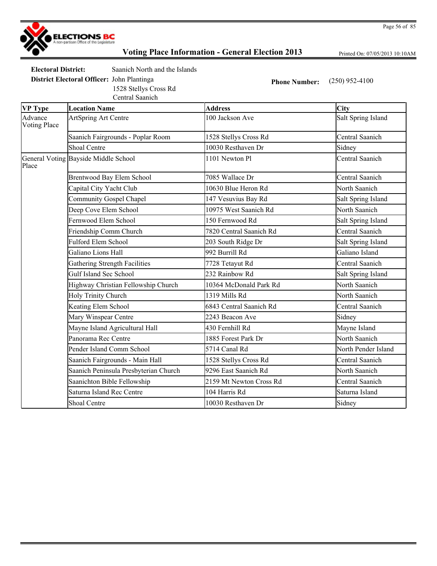

Printed On: 07/05/2013 10:10AM

**Electoral District:** Saanich North and the Islands

**District Electoral Officer:** John Plantinga **Phone Number:** (250) 952-4100 1528 Stellys Cross Rd

Central Saanich

| <b>VP</b> Type                 | <b>Location Name</b>                  | <b>Address</b>          | <b>City</b>         |
|--------------------------------|---------------------------------------|-------------------------|---------------------|
| Advance<br><b>Voting Place</b> | ArtSpring Art Centre                  | 100 Jackson Ave         | Salt Spring Island  |
|                                | Saanich Fairgrounds - Poplar Room     | 1528 Stellys Cross Rd   | Central Saanich     |
|                                | <b>Shoal Centre</b>                   | 10030 Resthaven Dr      | Sidney              |
| Place                          | General Voting Bayside Middle School  | 1101 Newton Pl          | Central Saanich     |
|                                | Brentwood Bay Elem School             | 7085 Wallace Dr         | Central Saanich     |
|                                | Capital City Yacht Club               | 10630 Blue Heron Rd     | North Saanich       |
|                                | Community Gospel Chapel               | 147 Vesuvius Bay Rd     | Salt Spring Island  |
|                                | Deep Cove Elem School                 | 10975 West Saanich Rd   | North Saanich       |
|                                | Fernwood Elem School                  | 150 Fernwood Rd         | Salt Spring Island  |
|                                | Friendship Comm Church                | 7820 Central Saanich Rd | Central Saanich     |
|                                | <b>Fulford Elem School</b>            | 203 South Ridge Dr      | Salt Spring Island  |
|                                | Galiano Lions Hall                    | 992 Burrill Rd          | Galiano Island      |
|                                | Gathering Strength Facilities         | 7728 Tetayut Rd         | Central Saanich     |
|                                | Gulf Island Sec School                | 232 Rainbow Rd          | Salt Spring Island  |
|                                | Highway Christian Fellowship Church   | 10364 McDonald Park Rd  | North Saanich       |
|                                | <b>Holy Trinity Church</b>            | 1319 Mills Rd           | North Saanich       |
|                                | Keating Elem School                   | 6843 Central Saanich Rd | Central Saanich     |
|                                | Mary Winspear Centre                  | 2243 Beacon Ave         | Sidney              |
|                                | Mayne Island Agricultural Hall        | 430 Fernhill Rd         | Mayne Island        |
|                                | Panorama Rec Centre                   | 1885 Forest Park Dr     | North Saanich       |
|                                | Pender Island Comm School             | 5714 Canal Rd           | North Pender Island |
|                                | Saanich Fairgrounds - Main Hall       | 1528 Stellys Cross Rd   | Central Saanich     |
|                                | Saanich Peninsula Presbyterian Church | 9296 East Saanich Rd    | North Saanich       |
|                                | Saanichton Bible Fellowship           | 2159 Mt Newton Cross Rd | Central Saanich     |
|                                | Saturna Island Rec Centre             | 104 Harris Rd           | Saturna Island      |
|                                | <b>Shoal Centre</b>                   | 10030 Resthaven Dr      | Sidney              |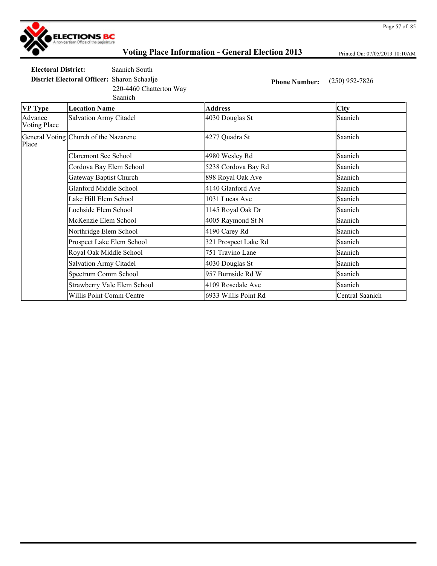

Printed On: 07/05/2013 10:10AM

**Electoral District:** Saanich South

220-4460 Chatterton Way

**District Electoral Officer:** Sharon Schaalje **Phone Number:** (250) 952-7826

| <b>VP</b> Type                 | <b>Location Name</b>                  | <b>Address</b>       | <b>City</b>     |
|--------------------------------|---------------------------------------|----------------------|-----------------|
| Advance<br><b>Voting Place</b> | <b>Salvation Army Citadel</b>         | 4030 Douglas St      | Saanich         |
| Place                          | General Voting Church of the Nazarene | 4277 Quadra St       | Saanich         |
|                                | <b>Claremont Sec School</b>           | 4980 Wesley Rd       | Saanich         |
|                                | Cordova Bay Elem School               | 5238 Cordova Bay Rd  | Saanich         |
|                                | Gateway Baptist Church                | 898 Royal Oak Ave    | Saanich         |
|                                | <b>Glanford Middle School</b>         | 4140 Glanford Ave    | Saanich         |
|                                | Lake Hill Elem School                 | 1031 Lucas Ave       | Saanich         |
|                                | Lochside Elem School                  | 1145 Royal Oak Dr    | Saanich         |
|                                | McKenzie Elem School                  | 4005 Raymond St N    | Saanich         |
|                                | Northridge Elem School                | 4190 Carey Rd        | Saanich         |
|                                | Prospect Lake Elem School             | 321 Prospect Lake Rd | Saanich         |
|                                | Royal Oak Middle School               | 751 Travino Lane     | Saanich         |
|                                | <b>Salvation Army Citadel</b>         | 4030 Douglas St      | Saanich         |
|                                | Spectrum Comm School                  | 957 Burnside Rd W    | Saanich         |
|                                | Strawberry Vale Elem School           | 4109 Rosedale Ave    | Saanich         |
|                                | Willis Point Comm Centre              | 6933 Willis Point Rd | Central Saanich |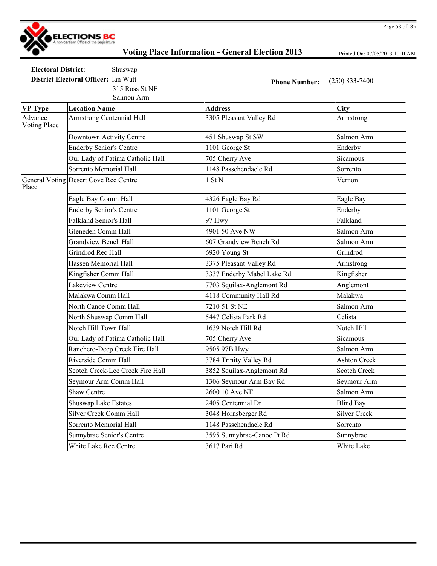

Printed On: 07/05/2013 10:10AM

**Electoral District:** Shuswap **District Electoral Officer:** Ian Watt **Phone Number:** (250) 833-7400 315 Ross St NE

Salmon Arm

| <b>VP Type</b>                 | <b>Location Name</b>                  | <b>Address</b>             | City                |
|--------------------------------|---------------------------------------|----------------------------|---------------------|
| Advance<br><b>Voting Place</b> | <b>Armstrong Centennial Hall</b>      | 3305 Pleasant Valley Rd    | Armstrong           |
|                                | Downtown Activity Centre              | 451 Shuswap St SW          | Salmon Arm          |
|                                | <b>Enderby Senior's Centre</b>        | 1101 George St             | Enderby             |
|                                | Our Lady of Fatima Catholic Hall      | 705 Cherry Ave             | Sicamous            |
|                                | Sorrento Memorial Hall                | 1148 Passchendaele Rd      | Sorrento            |
| Place                          | General Voting Desert Cove Rec Centre | 1 St N                     | Vernon              |
|                                | Eagle Bay Comm Hall                   | 4326 Eagle Bay Rd          | Eagle Bay           |
|                                | <b>Enderby Senior's Centre</b>        | 1101 George St             | Enderby             |
|                                | <b>Falkland Senior's Hall</b>         | 97 Hwy                     | Falkland            |
|                                | Gleneden Comm Hall                    | 4901 50 Ave NW             | Salmon Arm          |
|                                | <b>Grandview Bench Hall</b>           | 607 Grandview Bench Rd     | Salmon Arm          |
|                                | Grindrod Rec Hall                     | 6920 Young St              | Grindrod            |
|                                | <b>Hassen Memorial Hall</b>           | 3375 Pleasant Valley Rd    | Armstrong           |
|                                | Kingfisher Comm Hall                  | 3337 Enderby Mabel Lake Rd | Kingfisher          |
|                                | Lakeview Centre                       | 7703 Squilax-Anglemont Rd  | Anglemont           |
|                                | Malakwa Comm Hall                     | 4118 Community Hall Rd     | Malakwa             |
|                                | North Canoe Comm Hall                 | 7210 51 St NE              | Salmon Arm          |
|                                | North Shuswap Comm Hall               | 5447 Celista Park Rd       | Celista             |
|                                | Notch Hill Town Hall                  | 1639 Notch Hill Rd         | Notch Hill          |
|                                | Our Lady of Fatima Catholic Hall      | 705 Cherry Ave             | Sicamous            |
|                                | Ranchero-Deep Creek Fire Hall         | 9505 97B Hwy               | Salmon Arm          |
|                                | Riverside Comm Hall                   | 3784 Trinity Valley Rd     | <b>Ashton Creek</b> |
|                                | Scotch Creek-Lee Creek Fire Hall      | 3852 Squilax-Anglemont Rd  | <b>Scotch Creek</b> |
|                                | Seymour Arm Comm Hall                 | 1306 Seymour Arm Bay Rd    | Seymour Arm         |
|                                | <b>Shaw Centre</b>                    | 2600 10 Ave NE             | Salmon Arm          |
|                                | <b>Shuswap Lake Estates</b>           | 2405 Centennial Dr         | <b>Blind Bay</b>    |
|                                | <b>Silver Creek Comm Hall</b>         | 3048 Hornsberger Rd        | <b>Silver Creek</b> |
|                                | Sorrento Memorial Hall                | 1148 Passchendaele Rd      | Sorrento            |
|                                | Sunnybrae Senior's Centre             | 3595 Sunnybrae-Canoe Pt Rd | Sunnybrae           |
|                                | White Lake Rec Centre                 | 3617 Pari Rd               | White Lake          |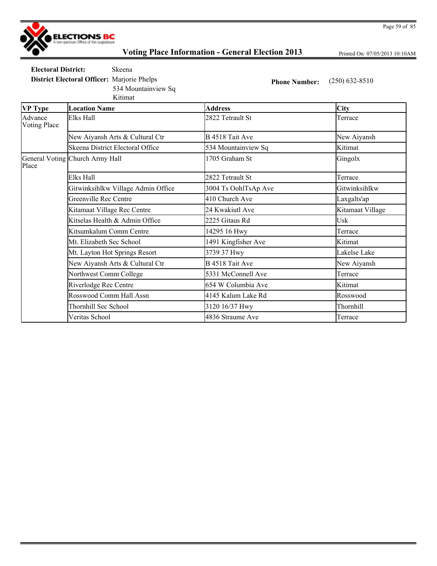

Printed On: 07/05/2013 10:10AM

Page 59 of 85

**Electoral District:** Skeena

534 Mountainview Sq

**District Electoral Officer:** Marjorie Phelps **Phone Number:** (250) 632-8510

Kitimat

| <b>VP Type</b>          | <b>Location Name</b>               | <b>Address</b>       | <b>City</b>      |
|-------------------------|------------------------------------|----------------------|------------------|
| Advance<br>Voting Place | Elks Hall                          | 2822 Tetrault St     | Terrace          |
|                         | New Aiyansh Arts & Cultural Ctr    | B 4518 Tait Ave      | New Aiyansh      |
|                         | Skeena District Electoral Office   | 534 Mountainview Sq  | Kitimat          |
| Place                   | General Voting Church Army Hall    | 1705 Graham St       | Gingolx          |
|                         | Elks Hall                          | 2822 Tetrault St     | Terrace          |
|                         | Gitwinksihlkw Village Admin Office | 3004 Ts OohlTsAp Ave | Gitwinksihlkw    |
|                         | Greenville Rec Centre              | 410 Church Ave       | Laxgalts'ap      |
|                         | Kitamaat Village Rec Centre        | 24 Kwakiutl Ave      | Kitamaat Village |
|                         | Kitselas Health & Admin Office     | 2225 Gitaus Rd       | Usk              |
|                         | Kitsumkalum Comm Centre            | 14295 16 Hwy         | Terrace          |
|                         | Mt. Elizabeth Sec School           | 1491 Kingfisher Ave  | Kitimat          |
|                         | Mt. Layton Hot Springs Resort      | 3739 37 Hwy          | Lakelse Lake     |
|                         | New Aiyansh Arts & Cultural Ctr    | B 4518 Tait Ave      | New Aiyansh      |
|                         | Northwest Comm College             | 5331 McConnell Ave   | Terrace          |
|                         | Riverlodge Rec Centre              | 654 W Columbia Ave   | Kitimat          |
|                         | Rosswood Comm Hall Assn            | 4145 Kalum Lake Rd   | Rosswood         |
|                         | Thornhill Sec School               | 3120 16/37 Hwy       | Thornhill        |
|                         | Veritas School                     | 4836 Straume Ave     | Terrace          |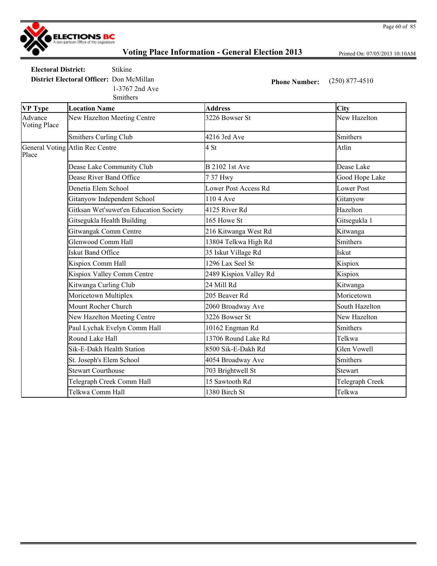

Printed On: 07/05/2013 10:10AM

**Electoral District:** Stikine

**District Electoral Officer:** Don McMillan **Phone Number:** (250) 877-4510 1-3767 2nd Ave

Smithers

| <b>VP Type</b>                 | <b>Location Name</b>                   | <b>Address</b>              | <b>City</b>        |
|--------------------------------|----------------------------------------|-----------------------------|--------------------|
| Advance<br><b>Voting Place</b> | New Hazelton Meeting Centre            | 3226 Bowser St              | New Hazelton       |
|                                | <b>Smithers Curling Club</b>           | 4216 3rd Ave                | <b>Smithers</b>    |
| Place                          | General Voting Atlin Rec Centre        | 4 St                        | Atlin              |
|                                | Dease Lake Community Club              | <b>B</b> 2102 1st Ave       | Dease Lake         |
|                                | Dease River Band Office                | 737 Hwy                     | Good Hope Lake     |
|                                | Denetia Elem School                    | <b>Lower Post Access Rd</b> | <b>Lower Post</b>  |
|                                | Gitanyow Independent School            | 110 4 Ave                   | Gitanyow           |
|                                | Gitksan Wet'suwet'en Education Society | 4125 River Rd               | Hazelton           |
|                                | Gitsegukla Health Building             | 165 Howe St                 | Gitsegukla 1       |
|                                | Gitwangak Comm Centre                  | 216 Kitwanga West Rd        | Kitwanga           |
|                                | Glenwood Comm Hall                     | 13804 Telkwa High Rd        | <b>Smithers</b>    |
|                                | <b>Iskut Band Office</b>               | 35 Iskut Village Rd         | Iskut              |
|                                | Kispiox Comm Hall                      | 1296 Lax Seel St            | Kispiox            |
|                                | Kispiox Valley Comm Centre             | 2489 Kispiox Valley Rd      | Kispiox            |
|                                | Kitwanga Curling Club                  | 24 Mill Rd                  | Kitwanga           |
|                                | Moricetown Multiplex                   | 205 Beaver Rd               | Moricetown         |
|                                | Mount Rocher Church                    | 2060 Broadway Ave           | South Hazelton     |
|                                | New Hazelton Meeting Centre            | 3226 Bowser St              | New Hazelton       |
|                                | Paul Lychak Evelyn Comm Hall           | 10162 Engman Rd             | Smithers           |
|                                | Round Lake Hall                        | 13706 Round Lake Rd         | Telkwa             |
|                                | Sik-E-Dakh Health Station              | 8500 Sik-E-Dakh Rd          | <b>Glen Vowell</b> |
|                                | St. Joseph's Elem School               | 4054 Broadway Ave           | Smithers           |
|                                | <b>Stewart Courthouse</b>              | 703 Brightwell St           | <b>Stewart</b>     |
|                                | Telegraph Creek Comm Hall              | 15 Sawtooth Rd              | Telegraph Creek    |
|                                | Telkwa Comm Hall                       | 1380 Birch St               | Telkwa             |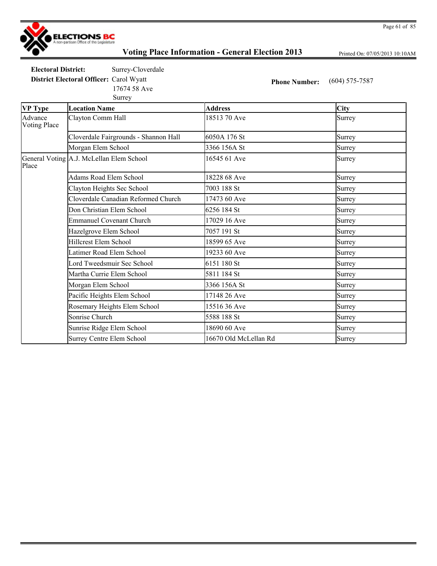

Printed On: 07/05/2013 10:10AM

**Electoral District:** Surrey-Cloverdale

Surrey 17674 58 Ave

**District Electoral Officer:** Carol Wyatt **Phone Number:** (604) 575-7587

| VP Type                        | <b>Location Name</b>                     | <b>Address</b>        | <b>City</b> |
|--------------------------------|------------------------------------------|-----------------------|-------------|
| Advance<br><b>Voting Place</b> | Clayton Comm Hall                        | 18513 70 Ave          | Surrey      |
|                                | Cloverdale Fairgrounds - Shannon Hall    | 6050A 176 St          | Surrey      |
|                                | Morgan Elem School                       | 3366 156A St          | Surrey      |
| Place                          | General Voting A.J. McLellan Elem School | 16545 61 Ave          | Surrey      |
|                                | Adams Road Elem School                   | 18228 68 Ave          | Surrey      |
|                                | Clayton Heights Sec School               | 7003 188 St           | Surrey      |
|                                | Cloverdale Canadian Reformed Church      | 17473 60 Ave          | Surrey      |
|                                | Don Christian Elem School                | 6256 184 St           | Surrey      |
|                                | <b>Emmanuel Covenant Church</b>          | 17029 16 Ave          | Surrey      |
|                                | Hazelgrove Elem School                   | 7057 191 St           | Surrey      |
|                                | <b>Hillcrest Elem School</b>             | 18599 65 Ave          | Surrey      |
|                                | Latimer Road Elem School                 | 19233 60 Ave          | Surrey      |
|                                | Lord Tweedsmuir Sec School               | 6151 180 St           | Surrey      |
|                                | Martha Currie Elem School                | 5811 184 St           | Surrey      |
|                                | Morgan Elem School                       | 3366 156A St          | Surrey      |
|                                | Pacific Heights Elem School              | 17148 26 Ave          | Surrey      |
|                                | Rosemary Heights Elem School             | 15516 36 Ave          | Surrey      |
|                                | Sonrise Church                           | 5588 188 St           | Surrey      |
|                                | Sunrise Ridge Elem School                | 18690 60 Ave          | Surrey      |
|                                | Surrey Centre Elem School                | 16670 Old McLellan Rd | Surrey      |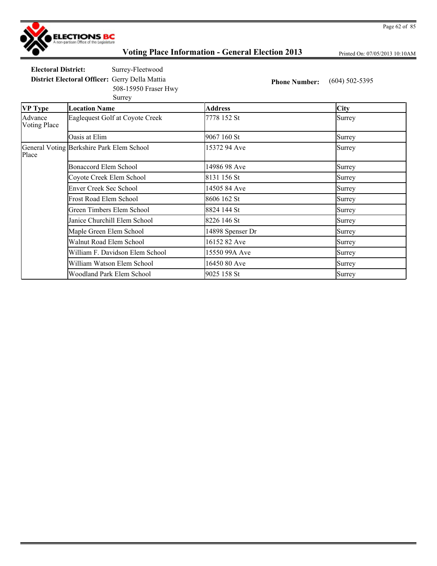

Printed On: 07/05/2013 10:10AM

**Electoral District:** Surrey-Fleetwood **District Electoral Officer:** Gerry Della Mattia **Phone Number:** (604) 502-5395

Surrey

508-15950 Fraser Hwy

| <b>VP</b> Type                 | <b>Location Name</b>                      | Address          | <b>City</b> |
|--------------------------------|-------------------------------------------|------------------|-------------|
| Advance<br><b>Voting Place</b> | Eaglequest Golf at Coyote Creek           | 7778 152 St      | Surrey      |
|                                | Oasis at Elim                             | 9067 160 St      | Surrey      |
| Place                          | General Voting Berkshire Park Elem School | 15372 94 Ave     | Surrey      |
|                                | <b>Bonaccord Elem School</b>              | 14986 98 Ave     | Surrey      |
|                                | Coyote Creek Elem School                  | 8131 156 St      | Surrey      |
|                                | <b>Enver Creek Sec School</b>             | 14505 84 Ave     | Surrey      |
|                                | Frost Road Elem School                    | 8606 162 St      | Surrey      |
|                                | Green Timbers Elem School                 | 8824 144 St      | Surrey      |
|                                | Janice Churchill Elem School              | 8226 146 St      | Surrey      |
|                                | Maple Green Elem School                   | 14898 Spenser Dr | Surrey      |
|                                | Walnut Road Elem School                   | 16152 82 Ave     | Surrey      |
|                                | William F. Davidson Elem School           | 15550 99A Ave    | Surrey      |
|                                | William Watson Elem School                | 16450 80 Ave     | Surrey      |
|                                | Woodland Park Elem School                 | 9025 158 St      | Surrey      |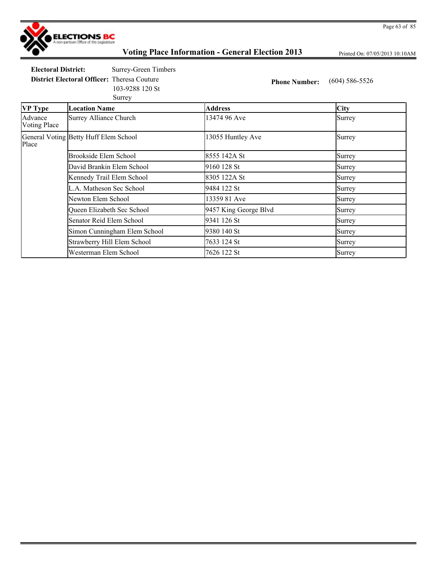

Printed On: 07/05/2013 10:10AM

**Electoral District:** Surrey-Green Timbers

103-9288 120 St

**District Electoral Officer:** Theresa Couture **Phone Number:** (604) 586-5526

| .      | . | __ |
|--------|---|----|
| Surrey |   |    |

| <b>VP Type</b>                 | <b>Location Name</b>                  | <b>Address</b>        | <b>City</b> |
|--------------------------------|---------------------------------------|-----------------------|-------------|
| Advance<br><b>Voting Place</b> | <b>Surrey Alliance Church</b>         | 13474 96 Ave          | Surrey      |
| Place                          | General Voting Betty Huff Elem School | 13055 Huntley Ave     | Surrey      |
|                                | Brookside Elem School                 | 8555 142A St          | Surrey      |
|                                | David Brankin Elem School             | 9160 128 St           | Surrey      |
|                                | Kennedy Trail Elem School             | 8305 122A St          | Surrey      |
|                                | L.A. Matheson Sec School              | 9484 122 St           | Surrey      |
|                                | Newton Elem School                    | 13359 81 Ave          | Surrey      |
|                                | Queen Elizabeth Sec School            | 9457 King George Blvd | Surrey      |
|                                | Senator Reid Elem School              | 9341 126 St           | Surrey      |
|                                | Simon Cunningham Elem School          | 9380 140 St           | Surrey      |
|                                | Strawberry Hill Elem School           | 7633 124 St           | Surrey      |
|                                | Westerman Elem School                 | 7626 122 St           | Surrey      |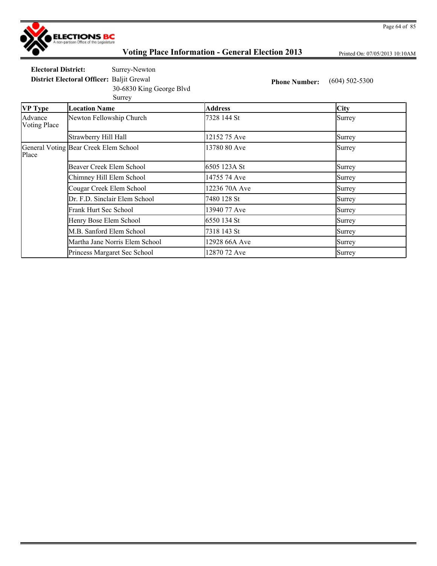

Printed On: 07/05/2013 10:10AM

**Electoral District:** Surrey-Newton **District Electoral Officer:** Baljit Grewal **Phone Number:** (604) 502-5300

Surrey 30-6830 King George Blvd

| <b>VP Type</b>          | <b>Location Name</b>                  | <b>Address</b> | <b>City</b> |
|-------------------------|---------------------------------------|----------------|-------------|
| Advance<br>Voting Place | Newton Fellowship Church              | 7328 144 St    | Surrey      |
|                         | Strawberry Hill Hall                  | 12152 75 Ave   | Surrey      |
| Place                   | General Voting Bear Creek Elem School | 13780 80 Ave   | Surrey      |
|                         | Beaver Creek Elem School              | 6505 123A St   | Surrey      |
|                         | Chimney Hill Elem School              | 14755 74 Ave   | Surrey      |
|                         | Cougar Creek Elem School              | 12236 70A Ave  | Surrey      |
|                         | Dr. F.D. Sinclair Elem School         | 7480 128 St    | Surrey      |
|                         | Frank Hurt Sec School                 | 13940 77 Ave   | Surrey      |
|                         | Henry Bose Elem School                | 6550 134 St    | Surrey      |
|                         | M.B. Sanford Elem School              | 7318 143 St    | Surrey      |
|                         | Martha Jane Norris Elem School        | 12928 66A Ave  | Surrey      |
|                         | Princess Margaret Sec School          | 12870 72 Ave   | Surrey      |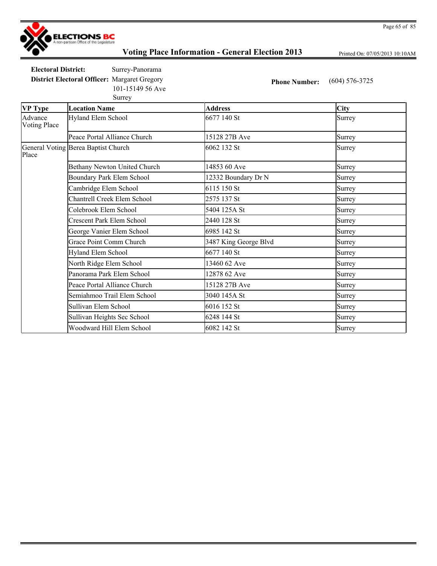

Printed On: 07/05/2013 10:10AM

**Electoral District:** Surrey-Panorama **District Electoral Officer:** Margaret Gregory **Phone Number:** (604) 576-3725 101-15149 56 Ave

|                                | Surrey                              |                       |             |
|--------------------------------|-------------------------------------|-----------------------|-------------|
| <b>VP</b> Type                 | <b>Location Name</b>                | <b>Address</b>        | <b>City</b> |
| Advance<br><b>Voting Place</b> | Hyland Elem School                  | 6677 140 St           | Surrey      |
|                                | Peace Portal Alliance Church        | 15128 27B Ave         | Surrey      |
| Place                          | General Voting Berea Baptist Church | 6062 132 St           | Surrey      |
|                                | Bethany Newton United Church        | 14853 60 Ave          | Surrey      |
|                                | Boundary Park Elem School           | 12332 Boundary Dr N   | Surrey      |
|                                | Cambridge Elem School               | 6115 150 St           | Surrey      |
|                                | <b>Chantrell Creek Elem School</b>  | 2575 137 St           | Surrey      |
|                                | Colebrook Elem School               | 5404 125A St          | Surrey      |
|                                | Crescent Park Elem School           | 2440 128 St           | Surrey      |
|                                | George Vanier Elem School           | 6985 142 St           | Surrey      |
|                                | Grace Point Comm Church             | 3487 King George Blvd | Surrey      |
|                                | Hyland Elem School                  | 6677 140 St           | Surrey      |
|                                | North Ridge Elem School             | 13460 62 Ave          | Surrey      |
|                                | Panorama Park Elem School           | 12878 62 Ave          | Surrey      |
|                                | Peace Portal Alliance Church        | 15128 27B Ave         | Surrey      |
|                                | Semiahmoo Trail Elem School         | 3040 145A St          | Surrey      |
|                                | Sullivan Elem School                | 6016 152 St           | Surrey      |
|                                | Sullivan Heights Sec School         | 6248 144 St           | Surrey      |
|                                | Woodward Hill Elem School           | 6082 142 St           | Surrey      |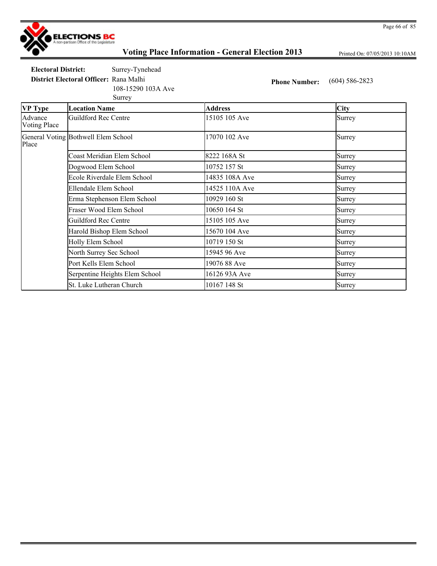

Printed On: 07/05/2013 10:10AM

Page 66 of 85

**Electoral District:** Surrey-Tynehead

108-15290 103A Ave

**District Electoral Officer:** Rana Malhi **Phone Number:** (604) 586-2823

| Surrey |
|--------|
|        |

| <b>VP Type</b>                 | <b>Location Name</b>                | <b>Address</b> | <b>City</b> |
|--------------------------------|-------------------------------------|----------------|-------------|
| Advance<br><b>Voting Place</b> | Guildford Rec Centre                | 15105 105 Ave  | Surrey      |
| Place                          | General Voting Bothwell Elem School | 17070 102 Ave  | Surrey      |
|                                | Coast Meridian Elem School          | 8222 168A St   | Surrey      |
|                                | Dogwood Elem School                 | 10752 157 St   | Surrey      |
|                                | Ecole Riverdale Elem School         | 14835 108A Ave | Surrey      |
|                                | Ellendale Elem School               | 14525 110A Ave | Surrey      |
|                                | Erma Stephenson Elem School         | 10929 160 St   | Surrey      |
|                                | Fraser Wood Elem School             | 10650 164 St   | Surrey      |
|                                | <b>Guildford Rec Centre</b>         | 15105 105 Ave  | Surrey      |
|                                | Harold Bishop Elem School           | 15670 104 Ave  | Surrey      |
|                                | Holly Elem School                   | 10719 150 St   | Surrey      |
|                                | North Surrey Sec School             | 15945 96 Ave   | Surrey      |
|                                | Port Kells Elem School              | 19076 88 Ave   | Surrey      |
|                                | Serpentine Heights Elem School      | 16126 93A Ave  | Surrey      |
|                                | St. Luke Lutheran Church            | 10167 148 St   | Surrey      |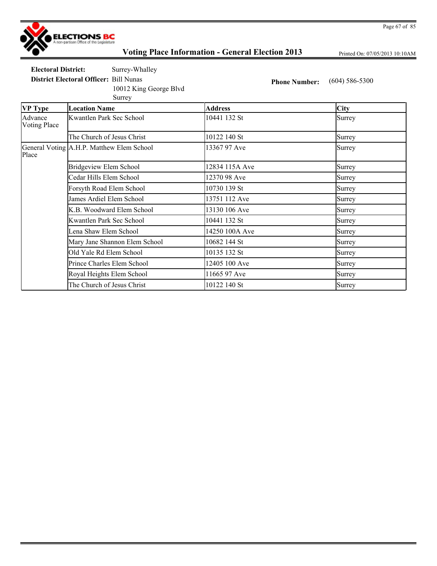

Printed On: 07/05/2013 10:10AM

**Electoral District:** Surrey-Whalley **District Electoral Officer:** Bill Nunas **Phone Number:** (604) 586-5300

Surrey 10012 King George Blvd

**VP Type Location Name Address City** Advance Voting Place Kwantlen Park Sec School 10441 132 St Surrey The Church of Jesus Christ 10122 140 St Surrey General Voting A.H.P. Matthew Elem School 13367 97 Ave Surrey Place Bridgeview Elem School 12834 115A Ave Surrey Cedar Hills Elem School 12370 98 Ave Surrey Forsyth Road Elem School 10730 139 St Surrey James Ardiel Elem School 13751 112 Ave Surrey K.B. Woodward Elem School 13130 106 Ave Surrey Kwantlen Park Sec School 10441 132 St Surrey Lena Shaw Elem School 14250 100A Ave Surrey Mary Jane Shannon Elem School 10682 144 St Surrey Old Yale Rd Elem School 10135 132 St Surrey Prince Charles Elem School 12405 100 Ave Surrey Royal Heights Elem School 11665 97 Ave Surrey The Church of Jesus Christ 10122 140 St Surrey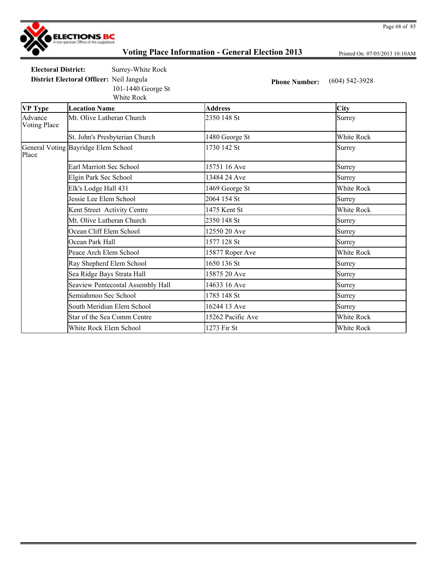

Printed On: 07/05/2013 10:10AM

**Electoral District:** Surrey-White Rock

101-1440 George St

White Rock

**District Electoral Officer:** Neil Jangula **Phone Number:** (604) 542-3928

| <b>VP Type</b>                 | <b>Location Name</b>                | <b>Address</b>    | City       |
|--------------------------------|-------------------------------------|-------------------|------------|
| Advance<br><b>Voting Place</b> | Mt. Olive Lutheran Church           | 2350 148 St       | Surrey     |
|                                | St. John's Presbyterian Church      | 1480 George St    | White Rock |
| Place                          | General Voting Bayridge Elem School | 1730 142 St       | Surrey     |
|                                | Earl Marriott Sec School            | 15751 16 Ave      | Surrey     |
|                                | Elgin Park Sec School               | 13484 24 Ave      | Surrey     |
|                                | Elk's Lodge Hall 431                | 1469 George St    | White Rock |
|                                | Jessie Lee Elem School              | 2064 154 St       | Surrey     |
|                                | Kent Street Activity Centre         | 1475 Kent St      | White Rock |
|                                | Mt. Olive Lutheran Church           | 2350 148 St       | Surrey     |
|                                | Ocean Cliff Elem School             | 12550 20 Ave      | Surrey     |
|                                | Ocean Park Hall                     | 1577 128 St       | Surrey     |
|                                | Peace Arch Elem School              | 15877 Roper Ave   | White Rock |
|                                | Ray Shepherd Elem School            | 1650 136 St       | Surrey     |
|                                | Sea Ridge Bays Strata Hall          | 15875 20 Ave      | Surrey     |
|                                | Seaview Pentecostal Assembly Hall   | 14633 16 Ave      | Surrey     |
|                                | Semiahmoo Sec School                | 1785 148 St       | Surrey     |
|                                | South Meridian Elem School          | 16244 13 Ave      | Surrey     |
|                                | Star of the Sea Comm Centre         | 15262 Pacific Ave | White Rock |
|                                | White Rock Elem School              | 1273 Fir St       | White Rock |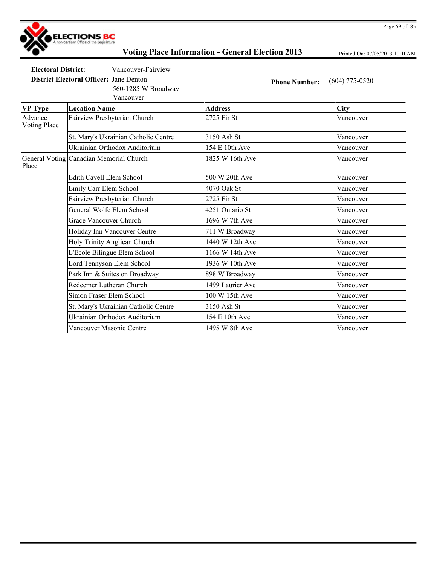

Printed On: 07/05/2013 10:10AM

**Electoral District:** Vancouver-Fairview

Vancouver 560-1285 W Broadway

**District Electoral Officer:** Jane Denton **Phone Number:** (604) 775-0520

| <b>VP Type</b>                 | <b>Location Name</b>                    | <b>Address</b>   | <b>City</b> |
|--------------------------------|-----------------------------------------|------------------|-------------|
| Advance<br><b>Voting Place</b> | Fairview Presbyterian Church            | 2725 Fir St      | Vancouver   |
|                                | St. Mary's Ukrainian Catholic Centre    | 3150 Ash St      | Vancouver   |
|                                | Ukrainian Orthodox Auditorium           | 154 E 10th Ave   | Vancouver   |
| Place                          | General Voting Canadian Memorial Church | 1825 W 16th Ave  | Vancouver   |
|                                | Edith Cavell Elem School                | 500 W 20th Ave   | Vancouver   |
|                                | Emily Carr Elem School                  | 4070 Oak St      | Vancouver   |
|                                | Fairview Presbyterian Church            | 2725 Fir St      | Vancouver   |
|                                | General Wolfe Elem School               | 4251 Ontario St  | Vancouver   |
|                                | <b>Grace Vancouver Church</b>           | 1696 W 7th Ave   | Vancouver   |
|                                | Holiday Inn Vancouver Centre            | 711 W Broadway   | Vancouver   |
|                                | Holy Trinity Anglican Church            | 1440 W 12th Ave  | Vancouver   |
|                                | L'Ecole Bilingue Elem School            | 1166 W 14th Ave  | Vancouver   |
|                                | Lord Tennyson Elem School               | 1936 W 10th Ave  | Vancouver   |
|                                | Park Inn & Suites on Broadway           | 898 W Broadway   | Vancouver   |
|                                | Redeemer Lutheran Church                | 1499 Laurier Ave | Vancouver   |
|                                | Simon Fraser Elem School                | 100 W 15th Ave   | Vancouver   |
|                                | St. Mary's Ukrainian Catholic Centre    | 3150 Ash St      | Vancouver   |
|                                | Ukrainian Orthodox Auditorium           | 154 E 10th Ave   | Vancouver   |
|                                | Vancouver Masonic Centre                | 1495 W 8th Ave   | Vancouver   |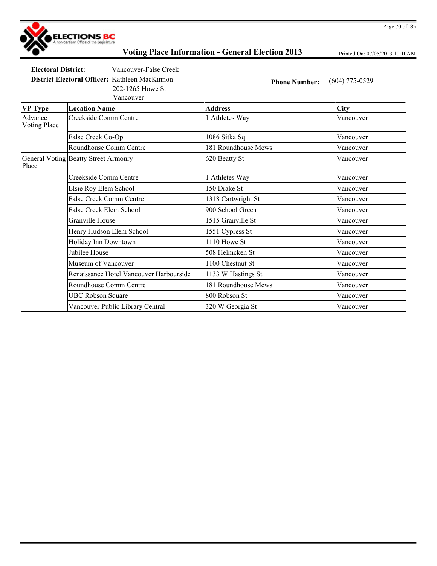

Printed On: 07/05/2013 10:10AM

**Electoral District:** Vancouver-False Creek **District Electoral Officer:** Kathleen MacKinnon **Phone Number:** (604) 775-0529 202-1265 Howe St

Vancouver

**VP Type Location Name Address City** Advance Voting Place Creekside Comm Centre 11 Athletes Way Vancouver False Creek Co-Op 1086 Sitka Sq Vancouver Roundhouse Comm Centre 181 Roundhouse Mews Vancouver General Voting Beatty Street Armoury 620 Beatty St Vancouver Place Creekside Comm Centre 1 Athletes Way Vancouver Elsie Roy Elem School 150 Drake St Vancouver False Creek Comm Centre 1318 Cartwright St Vancouver False Creek Elem School **900 School Green** Vancouver Granville House 2012 1515 Granville St 2013 1515 Granville St 2014 1515 Granville St Henry Hudson Elem School 1551 Cypress St Vancouver Holiday Inn Downtown 1110 Howe St Vancouver Jubilee House **1988** Solution St **1988** Solution St **1988** Solution Vancouver Museum of Vancouver 1100 Chestnut St Vancouver Renaissance Hotel Vancouver Harbourside 1133 W Hastings St Vancouver Roundhouse Comm Centre 181 Roundhouse Mews Vancouver UBC Robson Square **800 Robson St** 800 Robson St **Vancouver** Vancouver Public Library Central 320 W Georgia St Vancouver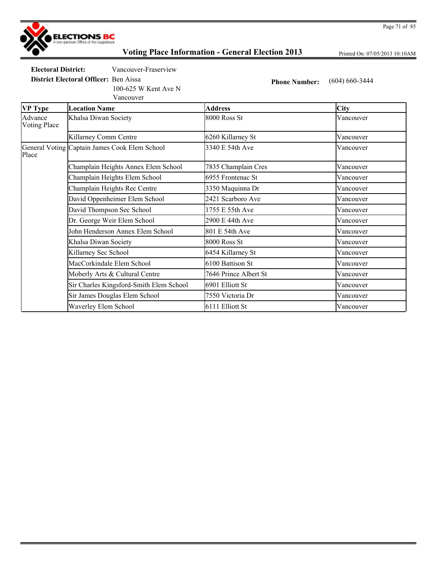

Printed On: 07/05/2013 10:10AM

**Electoral District:** Vancouver-Fraserview

**District Electoral Officer:** Ben Aissa **Phone Number:** (604) 660-3444 100-625 W Kent Ave N

Vancouver

| <b>VP Type</b>                 | <b>Location Name</b>                          | <b>Address</b>        | <b>City</b> |
|--------------------------------|-----------------------------------------------|-----------------------|-------------|
| Advance<br><b>Voting Place</b> | Khalsa Diwan Society                          | 8000 Ross St          | Vancouver   |
|                                | Killarney Comm Centre                         | 6260 Killarney St     | Vancouver   |
| Place                          | General Voting Captain James Cook Elem School | 3340 E 54th Ave       | Vancouver   |
|                                | Champlain Heights Annex Elem School           | 7835 Champlain Cres   | Vancouver   |
|                                | Champlain Heights Elem School                 | 6955 Frontenac St     | Vancouver   |
|                                | Champlain Heights Rec Centre                  | 3350 Maquinna Dr      | Vancouver   |
|                                | David Oppenheimer Elem School                 | 2421 Scarboro Ave     | Vancouver   |
|                                | David Thompson Sec School                     | 1755 E 55th Ave       | Vancouver   |
|                                | Dr. George Weir Elem School                   | 2900 E 44th Ave       | Vancouver   |
|                                | John Henderson Annex Elem School              | 801 E 54th Ave        | Vancouver   |
|                                | Khalsa Diwan Society                          | 8000 Ross St          | Vancouver   |
|                                | Killarney Sec School                          | 6454 Killarney St     | Vancouver   |
|                                | MacCorkindale Elem School                     | 6100 Battison St      | Vancouver   |
|                                | Moberly Arts & Cultural Centre                | 7646 Prince Albert St | Vancouver   |
|                                | Sir Charles Kingsford-Smith Elem School       | 6901 Elliott St       | Vancouver   |
|                                | Sir James Douglas Elem School                 | 7550 Victoria Dr      | Vancouver   |
|                                | Waverley Elem School                          | 6111 Elliott St       | Vancouver   |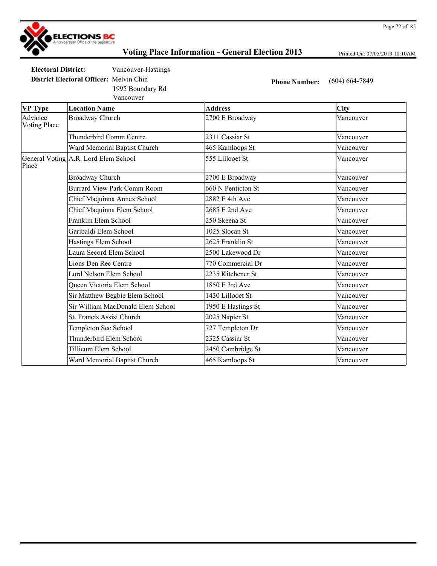

Printed On: 07/05/2013 10:10AM

**Electoral District:** Vancouver-Hastings

Vancouver 1995 Boundary Rd

**District Electoral Officer:** Melvin Chin **Phone Number:** (604) 664-7849

| <b>VP</b> Type                 | <b>Location Name</b>                 | <b>Address</b>     | <b>City</b> |
|--------------------------------|--------------------------------------|--------------------|-------------|
| Advance<br><b>Voting Place</b> | <b>Broadway Church</b>               | 2700 E Broadway    | Vancouver   |
|                                | Thunderbird Comm Centre              | 2311 Cassiar St    | Vancouver   |
|                                | Ward Memorial Baptist Church         | 465 Kamloops St    | Vancouver   |
| Place                          | General Voting A.R. Lord Elem School | 555 Lillooet St    | Vancouver   |
|                                | <b>Broadway Church</b>               | 2700 E Broadway    | Vancouver   |
|                                | Burrard View Park Comm Room          | 660 N Penticton St | Vancouver   |
|                                | Chief Maquinna Annex School          | 2882 E 4th Ave     | Vancouver   |
|                                | Chief Maquinna Elem School           | 2685 E 2nd Ave     | Vancouver   |
|                                | Franklin Elem School                 | 250 Skeena St      | Vancouver   |
|                                | Garibaldi Elem School                | 1025 Slocan St     | Vancouver   |
|                                | Hastings Elem School                 | 2625 Franklin St   | Vancouver   |
|                                | Laura Secord Elem School             | 2500 Lakewood Dr   | Vancouver   |
|                                | Lions Den Rec Centre                 | 770 Commercial Dr  | Vancouver   |
|                                | Lord Nelson Elem School              | 2235 Kitchener St  | Vancouver   |
|                                | Queen Victoria Elem School           | 1850 E 3rd Ave     | Vancouver   |
|                                | Sir Matthew Begbie Elem School       | 1430 Lillooet St   | Vancouver   |
|                                | Sir William MacDonald Elem School    | 1950 E Hastings St | Vancouver   |
|                                | St. Francis Assisi Church            | 2025 Napier St     | Vancouver   |
|                                | Templeton Sec School                 | 727 Templeton Dr   | Vancouver   |
|                                | Thunderbird Elem School              | 2325 Cassiar St    | Vancouver   |
|                                | Tillicum Elem School                 | 2450 Cambridge St  | Vancouver   |
|                                | Ward Memorial Baptist Church         | 465 Kamloops St    | Vancouver   |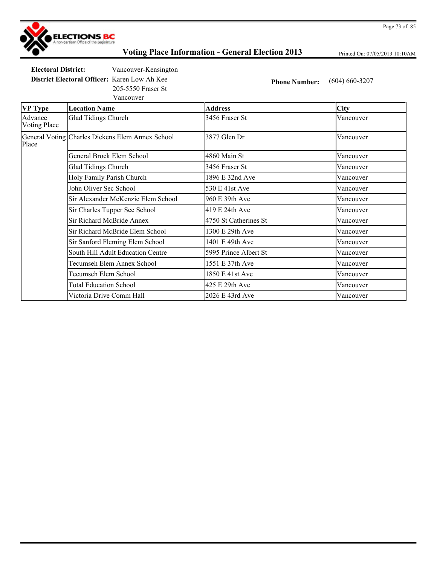

Printed On: 07/05/2013 10:10AM

**Electoral District:** Vancouver-Kensington

**District Electoral Officer:** Karen Low Ah Kee **Phone Number:** (604) 660-3207 205-5550 Fraser St

Vancouver

| <b>VP</b> Type                 | <b>Location Name</b>                             | <b>Address</b>        | <b>City</b> |
|--------------------------------|--------------------------------------------------|-----------------------|-------------|
| Advance<br><b>Voting Place</b> | <b>Glad Tidings Church</b>                       | 3456 Fraser St        | Vancouver   |
| Place                          | General Voting Charles Dickens Elem Annex School | 3877 Glen Dr          | Vancouver   |
|                                | General Brock Elem School                        | 4860 Main St          | Vancouver   |
|                                | Glad Tidings Church                              | 3456 Fraser St        | Vancouver   |
|                                | Holy Family Parish Church                        | 1896 E 32nd Ave       | Vancouver   |
|                                | John Oliver Sec School                           | 530 E 41st Ave        | Vancouver   |
|                                | Sir Alexander McKenzie Elem School               | 960 E 39th Ave        | Vancouver   |
|                                | Sir Charles Tupper Sec School                    | 419 E 24th Ave        | Vancouver   |
|                                | Sir Richard McBride Annex                        | 4750 St Catherines St | Vancouver   |
|                                | Sir Richard McBride Elem School                  | 1300 E 29th Ave       | Vancouver   |
|                                | Sir Sanford Fleming Elem School                  | 1401 E 49th Ave       | Vancouver   |
|                                | South Hill Adult Education Centre                | 5995 Prince Albert St | Vancouver   |
|                                | Tecumseh Elem Annex School                       | 1551 E 37th Ave       | Vancouver   |
|                                | Tecumseh Elem School                             | 1850 E 41st Ave       | Vancouver   |
|                                | <b>Total Education School</b>                    | 425 E 29th Ave        | Vancouver   |
|                                | Victoria Drive Comm Hall                         | 2026 E 43rd Ave       | Vancouver   |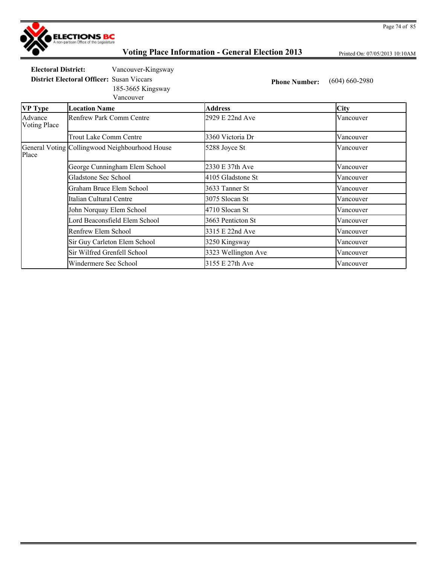

Printed On: 07/05/2013 10:10AM

**Electoral District:** Vancouver-Kingsway

**District Electoral Officer:** Susan Viccars **Phone Number:** (604) 660-2980

Vancouver 185-3665 Kingsway

| <b>VP Type</b>                 | <b>Location Name</b>                           | <b>Address</b>      | <b>City</b> |
|--------------------------------|------------------------------------------------|---------------------|-------------|
| Advance<br><b>Voting Place</b> | Renfrew Park Comm Centre                       | 2929 E 22nd Ave     | Vancouver   |
|                                | <b>Trout Lake Comm Centre</b>                  | 3360 Victoria Dr    | Vancouver   |
| Place                          | General Voting Collingwood Neighbourhood House | 5288 Joyce St       | Vancouver   |
|                                | George Cunningham Elem School                  | 2330 E 37th Ave     | Vancouver   |
|                                | Gladstone Sec School                           | 4105 Gladstone St   | Vancouver   |
|                                | Graham Bruce Elem School                       | 3633 Tanner St      | Vancouver   |
|                                | Italian Cultural Centre                        | 3075 Slocan St      | Vancouver   |
|                                | John Norquay Elem School                       | 4710 Slocan St      | Vancouver   |
|                                | Lord Beaconsfield Elem School                  | 3663 Penticton St   | Vancouver   |
|                                | Renfrew Elem School                            | 3315 E 22nd Ave     | Vancouver   |
|                                | Sir Guy Carleton Elem School                   | 3250 Kingsway       | Vancouver   |
|                                | Sir Wilfred Grenfell School                    | 3323 Wellington Ave | Vancouver   |
|                                | Windermere Sec School                          | 3155 E 27th Ave     | Vancouver   |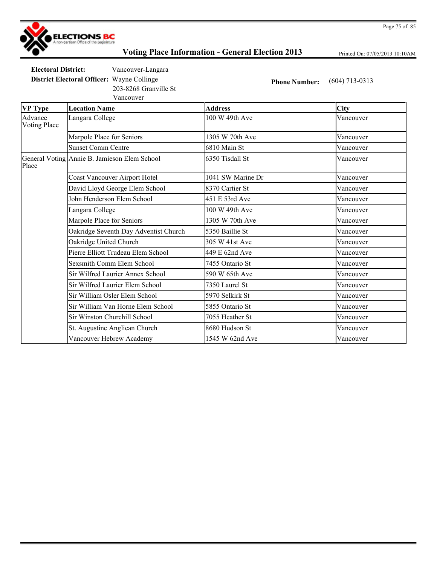

Printed On: 07/05/2013 10:10AM

**Electoral District:** Vancouver-Langara

Vancouver 203-8268 Granville St

**District Electoral Officer:** Wayne Collinge **Phone Number:** (604) 713-0313

| <b>VP Type</b>                 | <b>Location Name</b>                         | <b>Address</b>    | <b>City</b> |
|--------------------------------|----------------------------------------------|-------------------|-------------|
| Advance<br><b>Voting Place</b> | Langara College                              | 100 W 49th Ave    | Vancouver   |
|                                | Marpole Place for Seniors                    | 1305 W 70th Ave   | Vancouver   |
|                                | <b>Sunset Comm Centre</b>                    | 6810 Main St      | Vancouver   |
| Place                          | General Voting Annie B. Jamieson Elem School | 6350 Tisdall St   | Vancouver   |
|                                | <b>Coast Vancouver Airport Hotel</b>         | 1041 SW Marine Dr | Vancouver   |
|                                | David Lloyd George Elem School               | 8370 Cartier St   | Vancouver   |
|                                | John Henderson Elem School                   | 451 E 53rd Ave    | Vancouver   |
|                                | Langara College                              | 100 W 49th Ave    | Vancouver   |
|                                | Marpole Place for Seniors                    | 1305 W 70th Ave   | Vancouver   |
|                                | Oakridge Seventh Day Adventist Church        | 5350 Baillie St   | Vancouver   |
|                                | Oakridge United Church                       | 305 W 41st Ave    | Vancouver   |
|                                | Pierre Elliott Trudeau Elem School           | 449 E 62nd Ave    | Vancouver   |
|                                | <b>Sexsmith Comm Elem School</b>             | 7455 Ontario St   | Vancouver   |
|                                | Sir Wilfred Laurier Annex School             | 590 W 65th Ave    | Vancouver   |
|                                | Sir Wilfred Laurier Elem School              | 7350 Laurel St    | Vancouver   |
|                                | Sir William Osler Elem School                | 5970 Selkirk St   | Vancouver   |
|                                | Sir William Van Horne Elem School            | 5855 Ontario St   | Vancouver   |
|                                | Sir Winston Churchill School                 | 7055 Heather St   | Vancouver   |
|                                | St. Augustine Anglican Church                | 8680 Hudson St    | Vancouver   |
|                                | Vancouver Hebrew Academy                     | 1545 W 62nd Ave   | Vancouver   |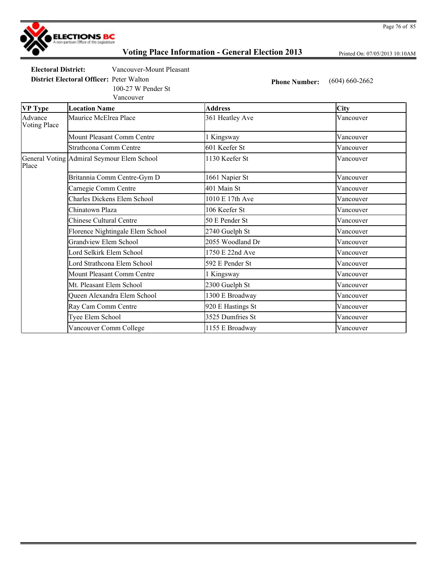

Printed On: 07/05/2013 10:10AM

**Electoral District:** Vancouver-Mount Pleasant

**District Electoral Officer:** Peter Walton **Phone Number:** (604) 660-2662

100-27 W Pender St

|                                | Vancouver                                  |                   |           |
|--------------------------------|--------------------------------------------|-------------------|-----------|
| <b>VP</b> Type                 | <b>Location Name</b>                       | <b>Address</b>    | City      |
| Advance<br><b>Voting Place</b> | Maurice McElrea Place                      | 361 Heatley Ave   | Vancouver |
|                                | Mount Pleasant Comm Centre                 | 1 Kingsway        | Vancouver |
|                                | <b>Strathcona Comm Centre</b>              | 601 Keefer St     | Vancouver |
| Place                          | General Voting Admiral Seymour Elem School | 1130 Keefer St    | Vancouver |
|                                | Britannia Comm Centre-Gym D                | 1661 Napier St    | Vancouver |
|                                | Carnegie Comm Centre                       | 401 Main St       | Vancouver |
|                                | <b>Charles Dickens Elem School</b>         | 1010 E 17th Ave   | Vancouver |
|                                | Chinatown Plaza                            | 106 Keefer St     | Vancouver |
|                                | <b>Chinese Cultural Centre</b>             | 50 E Pender St    | Vancouver |
|                                | Florence Nightingale Elem School           | 2740 Guelph St    | Vancouver |
|                                | Grandview Elem School                      | 2055 Woodland Dr  | Vancouver |
|                                | Lord Selkirk Elem School                   | 1750 E 22nd Ave   | Vancouver |
|                                | Lord Strathcona Elem School                | 592 E Pender St   | Vancouver |
|                                | Mount Pleasant Comm Centre                 | 1 Kingsway        | Vancouver |
|                                | Mt. Pleasant Elem School                   | 2300 Guelph St    | Vancouver |
|                                | Queen Alexandra Elem School                | 1300 E Broadway   | Vancouver |
|                                | Ray Cam Comm Centre                        | 920 E Hastings St | Vancouver |
|                                | Tyee Elem School                           | 3525 Dumfries St  | Vancouver |
|                                | Vancouver Comm College                     | 1155 E Broadway   | Vancouver |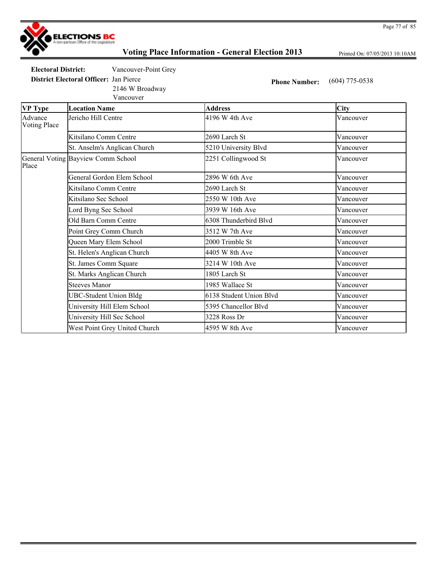

Printed On: 07/05/2013 10:10AM

**Electoral District:** Vancouver-Point Grey

**District Electoral Officer:** Jan Pierce **Phone Number:** (604) 775-0538

2146 W Broadway

Vancouver

| <b>VP</b> Type                 | <b>Location Name</b>               | <b>Address</b>          | <b>City</b> |
|--------------------------------|------------------------------------|-------------------------|-------------|
| Advance<br><b>Voting Place</b> | Jericho Hill Centre                | 4196 W 4th Ave          | Vancouver   |
|                                | Kitsilano Comm Centre              | 2690 Larch St           | Vancouver   |
|                                | St. Anselm's Anglican Church       | 5210 University Blvd    | Vancouver   |
| Place                          | General Voting Bayview Comm School | 2251 Collingwood St     | Vancouver   |
|                                | General Gordon Elem School         | 2896 W 6th Ave          | Vancouver   |
|                                | Kitsilano Comm Centre              | 2690 Larch St           | Vancouver   |
|                                | Kitsilano Sec School               | 2550 W 10th Ave         | Vancouver   |
|                                | Lord Byng Sec School               | 3939 W 16th Ave         | Vancouver   |
|                                | Old Barn Comm Centre               | 6308 Thunderbird Blvd   | Vancouver   |
|                                | Point Grey Comm Church             | 3512 W 7th Ave          | Vancouver   |
|                                | Queen Mary Elem School             | 2000 Trimble St         | Vancouver   |
|                                | St. Helen's Anglican Church        | 4405 W 8th Ave          | Vancouver   |
|                                | St. James Comm Square              | 3214 W 10th Ave         | Vancouver   |
|                                | St. Marks Anglican Church          | 1805 Larch St           | Vancouver   |
|                                | <b>Steeves Manor</b>               | 1985 Wallace St         | Vancouver   |
|                                | <b>UBC-Student Union Bldg</b>      | 6138 Student Union Blvd | Vancouver   |
|                                | University Hill Elem School        | 5395 Chancellor Blvd    | Vancouver   |
|                                | University Hill Sec School         | 3228 Ross Dr            | Vancouver   |
|                                | West Point Grey United Church      | 4595 W 8th Ave          | Vancouver   |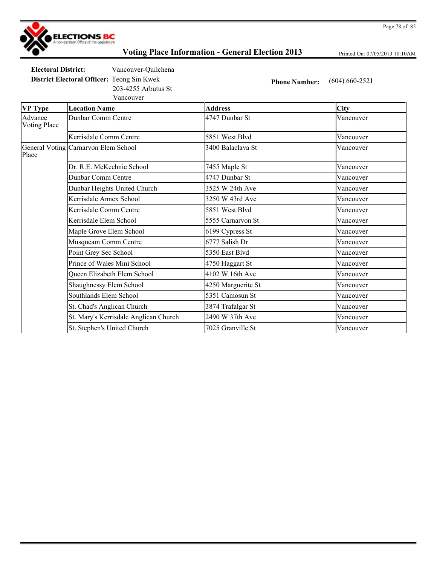

Printed On: 07/05/2013 10:10AM

**Electoral District:** Vancouver-Quilchena

**District Electoral Officer:** Teong Sin Kwek **Phone Number:** (604) 660-2521 203-4255 Arbutus St

Vancouver

| <b>VP</b> Type                 | <b>Location Name</b>                  | <b>Address</b>     | <b>City</b> |
|--------------------------------|---------------------------------------|--------------------|-------------|
| Advance<br><b>Voting Place</b> | Dunbar Comm Centre                    | 4747 Dunbar St     | Vancouver   |
|                                | Kerrisdale Comm Centre                | 5851 West Blvd     | Vancouver   |
| Place                          | General Voting Carnarvon Elem School  | 3400 Balaclava St  | Vancouver   |
|                                | Dr. R.E. McKechnie School             | 7455 Maple St      | Vancouver   |
|                                | Dunbar Comm Centre                    | 4747 Dunbar St     | Vancouver   |
|                                | Dunbar Heights United Church          | 3525 W 24th Ave    | Vancouver   |
|                                | Kerrisdale Annex School               | 3250 W 43rd Ave    | Vancouver   |
|                                | Kerrisdale Comm Centre                | 5851 West Blvd     | Vancouver   |
|                                | Kerrisdale Elem School                | 5555 Carnarvon St  | Vancouver   |
|                                | Maple Grove Elem School               | 6199 Cypress St    | Vancouver   |
|                                | Musqueam Comm Centre                  | 6777 Salish Dr     | Vancouver   |
|                                | Point Grey Sec School                 | 5350 East Blvd     | Vancouver   |
|                                | Prince of Wales Mini School           | 4750 Haggart St    | Vancouver   |
|                                | Queen Elizabeth Elem School           | 4102 W 16th Ave    | Vancouver   |
|                                | Shaughnessy Elem School               | 4250 Marguerite St | Vancouver   |
|                                | Southlands Elem School                | 5351 Camosun St    | Vancouver   |
|                                | St. Chad's Anglican Church            | 3874 Trafalgar St  | Vancouver   |
|                                | St. Mary's Kerrisdale Anglican Church | 2490 W 37th Ave    | Vancouver   |
|                                | St. Stephen's United Church           | 7025 Granville St  | Vancouver   |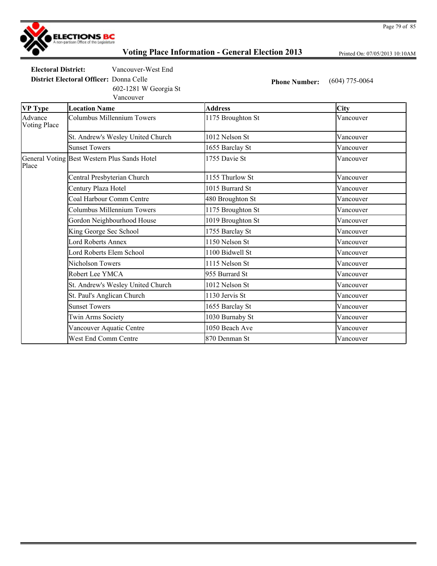

Printed On: 07/05/2013 10:10AM

**Electoral District:** Vancouver-West End

**District Electoral Officer:** Donna Celle **Phone Number:** (604) 775-0064

Vancouver 602-1281 W Georgia St

| <b>VP Type</b>                 | <b>Location Name</b>                         | <b>Address</b>    | <b>City</b> |
|--------------------------------|----------------------------------------------|-------------------|-------------|
| Advance<br><b>Voting Place</b> | Columbus Millennium Towers                   | 1175 Broughton St | Vancouver   |
|                                | St. Andrew's Wesley United Church            | 1012 Nelson St    | Vancouver   |
|                                | <b>Sunset Towers</b>                         | 1655 Barclay St   | Vancouver   |
| Place                          | General Voting Best Western Plus Sands Hotel | 1755 Davie St     | Vancouver   |
|                                | Central Presbyterian Church                  | 1155 Thurlow St   | Vancouver   |
|                                | Century Plaza Hotel                          | 1015 Burrard St   | Vancouver   |
|                                | Coal Harbour Comm Centre                     | 480 Broughton St  | Vancouver   |
|                                | Columbus Millennium Towers                   | 1175 Broughton St | Vancouver   |
|                                | Gordon Neighbourhood House                   | 1019 Broughton St | Vancouver   |
|                                | King George Sec School                       | 1755 Barclay St   | Vancouver   |
|                                | Lord Roberts Annex                           | 1150 Nelson St    | Vancouver   |
|                                | Lord Roberts Elem School                     | 1100 Bidwell St   | Vancouver   |
|                                | Nicholson Towers                             | 1115 Nelson St    | Vancouver   |
|                                | Robert Lee YMCA                              | 955 Burrard St    | Vancouver   |
|                                | St. Andrew's Wesley United Church            | 1012 Nelson St    | Vancouver   |
|                                | St. Paul's Anglican Church                   | 1130 Jervis St    | Vancouver   |
|                                | <b>Sunset Towers</b>                         | 1655 Barclay St   | Vancouver   |
|                                | <b>Twin Arms Society</b>                     | 1030 Burnaby St   | Vancouver   |
|                                | Vancouver Aquatic Centre                     | 1050 Beach Ave    | Vancouver   |
|                                | West End Comm Centre                         | 870 Denman St     | Vancouver   |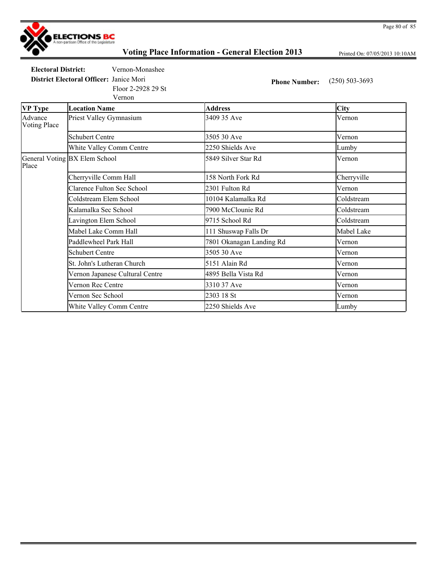

Printed On: 07/05/2013 10:10AM

**Electoral District:** Vernon-Monashee

**District Electoral Officer:** Janice Mori **Phone Number:** (250) 503-3693

Vernon Floor 2-2928 29 St

| VP Type                        | <b>Location Name</b>              | <b>Address</b>           | <b>City</b> |
|--------------------------------|-----------------------------------|--------------------------|-------------|
| Advance<br><b>Voting Place</b> | Priest Valley Gymnasium           | 3409 35 Ave              | Vernon      |
|                                | <b>Schubert Centre</b>            | 3505 30 Ave              | Vernon      |
|                                | White Valley Comm Centre          | 2250 Shields Ave         | Lumby       |
| Place                          | General Voting BX Elem School     | 5849 Silver Star Rd      | Vernon      |
|                                | Cherryville Comm Hall             | 158 North Fork Rd        | Cherryville |
|                                | <b>Clarence Fulton Sec School</b> | 2301 Fulton Rd           | Vernon      |
|                                | Coldstream Elem School            | 10104 Kalamalka Rd       | Coldstream  |
|                                | Kalamalka Sec School              | 7900 McClounie Rd        | Coldstream  |
|                                | Lavington Elem School             | 9715 School Rd           | Coldstream  |
|                                | Mabel Lake Comm Hall              | 111 Shuswap Falls Dr     | Mabel Lake  |
|                                | Paddlewheel Park Hall             | 7801 Okanagan Landing Rd | Vernon      |
|                                | <b>Schubert Centre</b>            | 3505 30 Ave              | Vernon      |
|                                | St. John's Lutheran Church        | 5151 Alain Rd            | Vernon      |
|                                | Vernon Japanese Cultural Centre   | 4895 Bella Vista Rd      | Vernon      |
|                                | Vernon Rec Centre                 | 3310 37 Ave              | Vernon      |
|                                | Vernon Sec School                 | 2303 18 St               | Vernon      |
|                                | White Valley Comm Centre          | 2250 Shields Ave         | Lumby       |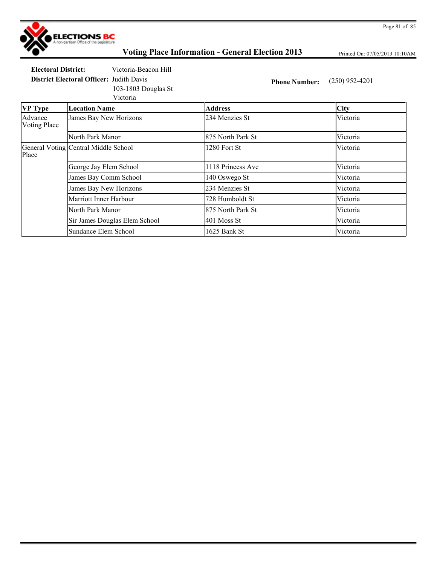

Printed On: 07/05/2013 10:10AM

**Electoral District:** Victoria-Beacon Hill

**District Electoral Officer:** Judith Davis **Phone Number:** (250) 952-4201 103-1803 Douglas St

Victoria

| <b>VP</b> Type                 | <b>Location Name</b>                 | <b>Address</b>    | City     |
|--------------------------------|--------------------------------------|-------------------|----------|
| Advance<br><b>Voting Place</b> | James Bay New Horizons               | 234 Menzies St    | Victoria |
|                                | North Park Manor                     | 875 North Park St | Victoria |
| Place                          | General Voting Central Middle School | 1280 Fort St      | Victoria |
|                                | George Jay Elem School               | 1118 Princess Ave | Victoria |
|                                | James Bay Comm School                | 140 Oswego St     | Victoria |
|                                | James Bay New Horizons               | 234 Menzies St    | Victoria |
|                                | Marriott Inner Harbour               | 728 Humboldt St   | Victoria |
|                                | North Park Manor                     | 875 North Park St | Victoria |
|                                | Sir James Douglas Elem School        | 401 Moss St       | Victoria |
|                                | Sundance Elem School                 | 1625 Bank St      | Victoria |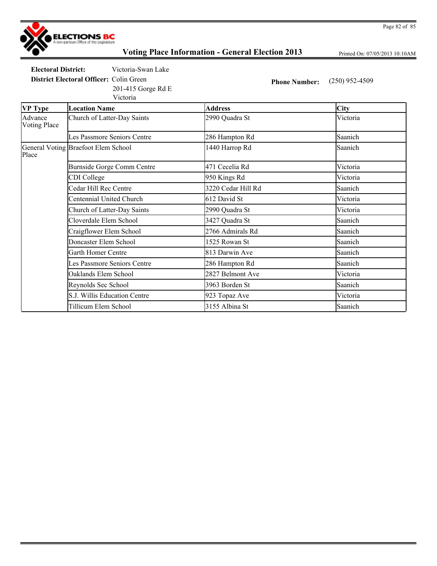

Printed On: 07/05/2013 10:10AM

**Electoral District:** Victoria-Swan Lake

**District Electoral Officer:** Colin Green **Phone Number:** (250) 952-4509

Victoria 201-415 Gorge Rd E

| <b>VP Type</b>                 | <b>Location Name</b>                | <b>Address</b>     | <b>City</b> |
|--------------------------------|-------------------------------------|--------------------|-------------|
| Advance<br><b>Voting Place</b> | Church of Latter-Day Saints         | 2990 Quadra St     | Victoria    |
|                                | Les Passmore Seniors Centre         | 286 Hampton Rd     | Saanich     |
| Place                          | General Voting Braefoot Elem School | 1440 Harrop Rd     | Saanich     |
|                                | Burnside Gorge Comm Centre          | 471 Cecelia Rd     | Victoria    |
|                                | CDI College                         | 950 Kings Rd       | Victoria    |
|                                | Cedar Hill Rec Centre               | 3220 Cedar Hill Rd | Saanich     |
|                                | Centennial United Church            | 612 David St       | Victoria    |
|                                | Church of Latter-Day Saints         | 2990 Quadra St     | Victoria    |
|                                | Cloverdale Elem School              | 3427 Quadra St     | Saanich     |
|                                | Craigflower Elem School             | 2766 Admirals Rd   | Saanich     |
|                                | Doncaster Elem School               | 1525 Rowan St      | Saanich     |
|                                | Garth Homer Centre                  | 813 Darwin Ave     | Saanich     |
|                                | Les Passmore Seniors Centre         | 286 Hampton Rd     | Saanich     |
|                                | Oaklands Elem School                | 2827 Belmont Ave   | Victoria    |
|                                | Reynolds Sec School                 | 3963 Borden St     | Saanich     |
|                                | S.J. Willis Education Centre        | 923 Topaz Ave      | Victoria    |
|                                | Tillicum Elem School                | 3155 Albina St     | Saanich     |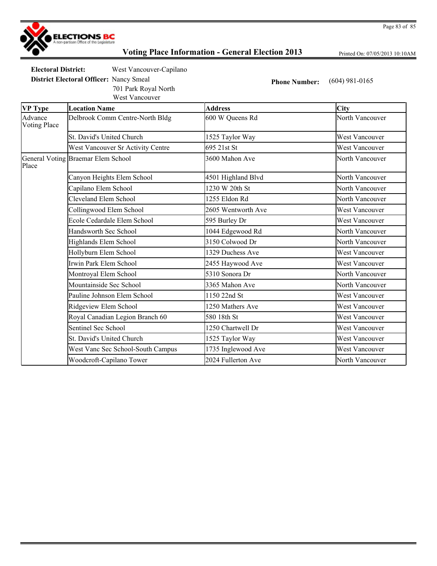

Printed On: 07/05/2013 10:10AM

**Electoral District:** West Vancouver-Capilano

701 Park Royal North

**District Electoral Officer:** Nancy Smeal **Phone Number:** (604) 981-0165

|                                | West Vancouver                     |                    |                       |
|--------------------------------|------------------------------------|--------------------|-----------------------|
| <b>VP Type</b>                 | <b>Location Name</b>               | <b>Address</b>     | <b>City</b>           |
| Advance<br><b>Voting Place</b> | Delbrook Comm Centre-North Bldg    | 600 W Queens Rd    | North Vancouver       |
|                                | St. David's United Church          | 1525 Taylor Way    | <b>West Vancouver</b> |
|                                | West Vancouver Sr Activity Centre  | 695 21st St        | <b>West Vancouver</b> |
| Place                          | General Voting Braemar Elem School | 3600 Mahon Ave     | North Vancouver       |
|                                | Canyon Heights Elem School         | 4501 Highland Blvd | North Vancouver       |
|                                | Capilano Elem School               | 1230 W 20th St     | North Vancouver       |
|                                | Cleveland Elem School              | 1255 Eldon Rd      | North Vancouver       |
|                                | Collingwood Elem School            | 2605 Wentworth Ave | West Vancouver        |
|                                | Ecole Cedardale Elem School        | 595 Burley Dr      | <b>West Vancouver</b> |
|                                | Handsworth Sec School              | 1044 Edgewood Rd   | North Vancouver       |
|                                | Highlands Elem School              | 3150 Colwood Dr    | North Vancouver       |
|                                | Hollyburn Elem School              | 1329 Duchess Ave   | <b>West Vancouver</b> |
|                                | Irwin Park Elem School             | 2455 Haywood Ave   | <b>West Vancouver</b> |
|                                | Montroyal Elem School              | 5310 Sonora Dr     | North Vancouver       |
|                                | Mountainside Sec School            | 3365 Mahon Ave     | North Vancouver       |
|                                | Pauline Johnson Elem School        | 1150 22nd St       | West Vancouver        |
|                                | Ridgeview Elem School              | 1250 Mathers Ave   | <b>West Vancouver</b> |
|                                | Royal Canadian Legion Branch 60    | 580 18th St        | <b>West Vancouver</b> |
|                                | Sentinel Sec School                | 1250 Chartwell Dr  | <b>West Vancouver</b> |
|                                | St. David's United Church          | 1525 Taylor Way    | <b>West Vancouver</b> |
|                                | West Vanc Sec School-South Campus  | 1735 Inglewood Ave | <b>West Vancouver</b> |
|                                | Woodcroft-Capilano Tower           | 2024 Fullerton Ave | North Vancouver       |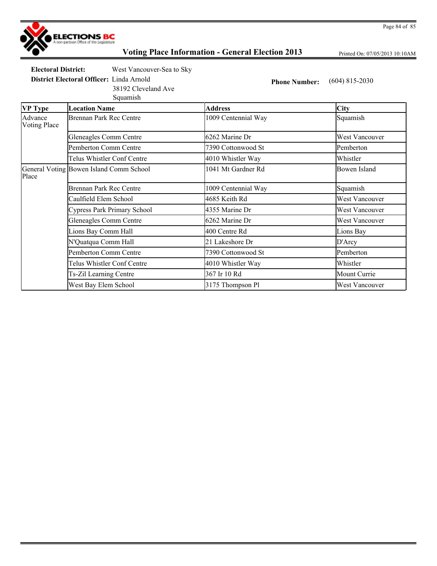

Printed On: 07/05/2013 10:10AM

**Electoral District:** West Vancouver-Sea to Sky

**District Electoral Officer:** Linda Arnold **Phone Number:** (604) 815-2030

Squamish 38192 Cleveland Ave

| VP Type                 | <b>Location Name</b>                    | <b>Address</b>      | <b>City</b>           |
|-------------------------|-----------------------------------------|---------------------|-----------------------|
| Advance<br>Voting Place | <b>Brennan Park Rec Centre</b>          | 1009 Centennial Way | Squamish              |
|                         | Gleneagles Comm Centre                  | 6262 Marine Dr      | West Vancouver        |
|                         | Pemberton Comm Centre                   | 7390 Cottonwood St  | Pemberton             |
|                         | Telus Whistler Conf Centre              | 4010 Whistler Way   | Whistler              |
| Place                   | General Voting Bowen Island Comm School | 1041 Mt Gardner Rd  | Bowen Island          |
|                         | <b>Brennan Park Rec Centre</b>          | 1009 Centennial Way | Squamish              |
|                         | Caulfield Elem School                   | 4685 Keith Rd       | West Vancouver        |
|                         | Cypress Park Primary School             | 4355 Marine Dr      | West Vancouver        |
|                         | Gleneagles Comm Centre                  | 6262 Marine Dr      | West Vancouver        |
|                         | Lions Bay Comm Hall                     | 400 Centre Rd       | Lions Bay             |
|                         | N'Quatqua Comm Hall                     | 21 Lakeshore Dr     | D'Arcy                |
|                         | Pemberton Comm Centre                   | 7390 Cottonwood St  | Pemberton             |
|                         | Telus Whistler Conf Centre              | 4010 Whistler Way   | Whistler              |
|                         | Ts-Zil Learning Centre                  | 367 Ir 10 Rd        | Mount Currie          |
|                         | West Bay Elem School                    | 3175 Thompson Pl    | <b>West Vancouver</b> |